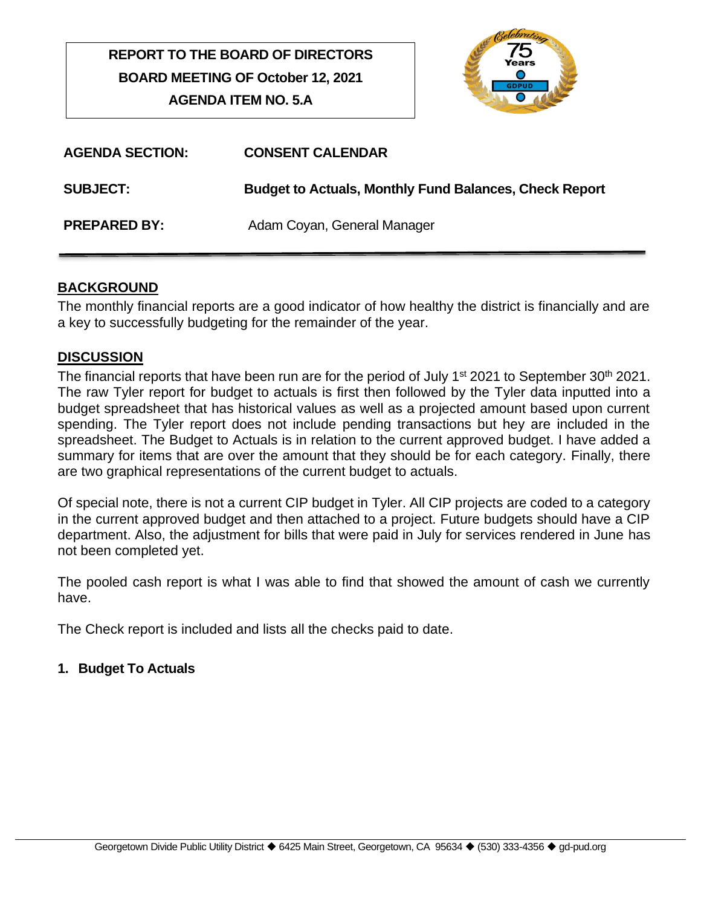# **REPORT TO THE BOARD OF DIRECTORS BOARD MEETING OF October 12, 2021 AGENDA ITEM NO. 5.A**



| <b>AGENDA SECTION:</b> | <b>CONSENT CALENDAR</b>                                       |
|------------------------|---------------------------------------------------------------|
| <b>SUBJECT:</b>        | <b>Budget to Actuals, Monthly Fund Balances, Check Report</b> |
| <b>PREPARED BY:</b>    | Adam Coyan, General Manager                                   |

# **BACKGROUND**

The monthly financial reports are a good indicator of how healthy the district is financially and are a key to successfully budgeting for the remainder of the year.

# **DISCUSSION**

The financial reports that have been run are for the period of July 1<sup>st</sup> 2021 to September 30<sup>th</sup> 2021. The raw Tyler report for budget to actuals is first then followed by the Tyler data inputted into a budget spreadsheet that has historical values as well as a projected amount based upon current spending. The Tyler report does not include pending transactions but hey are included in the spreadsheet. The Budget to Actuals is in relation to the current approved budget. I have added a summary for items that are over the amount that they should be for each category. Finally, there are two graphical representations of the current budget to actuals.

Of special note, there is not a current CIP budget in Tyler. All CIP projects are coded to a category in the current approved budget and then attached to a project. Future budgets should have a CIP department. Also, the adjustment for bills that were paid in July for services rendered in June has not been completed yet.

The pooled cash report is what I was able to find that showed the amount of cash we currently have.

The Check report is included and lists all the checks paid to date.

# **1. Budget To Actuals**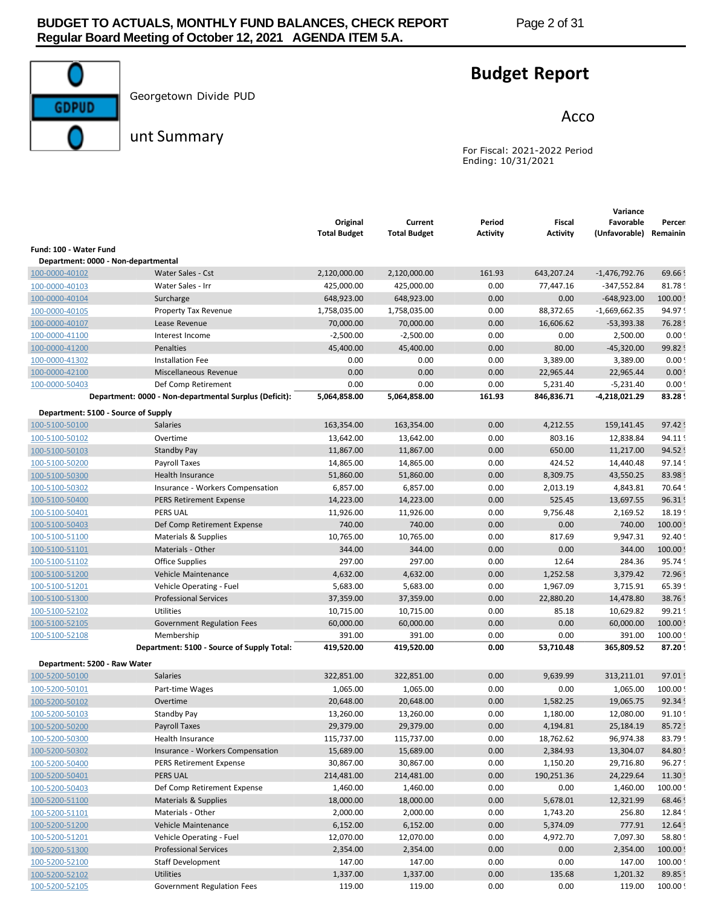

Georgetown Divide PUD

# **Budget Report**

Acco

unt Summary

For Fiscal: 2021-2022 Period Ending: 10/31/2021

|                                     |                                                        |                                 |                                |                    |                                  | Variance                   |                    |
|-------------------------------------|--------------------------------------------------------|---------------------------------|--------------------------------|--------------------|----------------------------------|----------------------------|--------------------|
|                                     |                                                        | Original<br><b>Total Budget</b> | Current<br><b>Total Budget</b> | Period<br>Activity | <b>Fiscal</b><br><b>Activity</b> | Favorable<br>(Unfavorable) | Percen<br>Remainin |
| Fund: 100 - Water Fund              |                                                        |                                 |                                |                    |                                  |                            |                    |
| Department: 0000 - Non-departmental |                                                        |                                 |                                |                    |                                  |                            |                    |
| 100-0000-40102                      | Water Sales - Cst                                      | 2,120,000.00                    | 2,120,000.00                   | 161.93             | 643,207.24                       | $-1,476,792.76$            | 69.66              |
| 100-0000-40103                      | Water Sales - Irr                                      | 425,000.00                      | 425,000.00                     | 0.00               | 77,447.16                        | $-347,552.84$              | 81.78              |
| 100-0000-40104                      | Surcharge                                              | 648,923.00                      | 648,923.00                     | 0.00               | 0.00                             | $-648,923.00$              | 100.00             |
| 100-0000-40105                      | Property Tax Revenue                                   | 1,758,035.00                    | 1,758,035.00                   | 0.00               | 88,372.65                        | $-1,669,662.35$            | 94.97              |
| 100-0000-40107                      | Lease Revenue                                          | 70,000.00                       | 70,000.00                      | 0.00               | 16,606.62                        | $-53,393.38$               | 76.28              |
| 100-0000-41100                      | Interest Income                                        | $-2,500.00$                     | $-2,500.00$                    | 0.00               | 0.00                             | 2,500.00                   | 0.00               |
| 100-0000-41200                      | Penalties                                              | 45,400.00                       | 45,400.00                      | 0.00               | 80.00                            | $-45,320.00$               | 99.82              |
| 100-0000-41302                      | Installation Fee                                       | 0.00                            | 0.00                           | 0.00               | 3,389.00                         | 3,389.00                   | 0.00               |
| 100-0000-42100                      | Miscellaneous Revenue                                  | 0.00                            | 0.00                           | 0.00               | 22,965.44                        | 22,965.44                  | 0.00               |
| 100-0000-50403                      | Def Comp Retirement                                    | 0.00                            | 0.00                           | 0.00               | 5,231.40                         | $-5,231.40$                | 0.00               |
|                                     | Department: 0000 - Non-departmental Surplus (Deficit): | 5,064,858.00                    | 5,064,858.00                   | 161.93             | 846,836.71                       | -4,218,021.29              | 83.28              |
| Department: 5100 - Source of Supply |                                                        |                                 |                                |                    |                                  |                            |                    |
| 100-5100-50100                      | <b>Salaries</b>                                        | 163,354.00                      | 163,354.00                     | 0.00               | 4,212.55                         | 159,141.45                 | 97.42              |
| 100-5100-50102                      | Overtime                                               | 13,642.00                       | 13,642.00                      | 0.00               | 803.16                           | 12,838.84                  | 94.11              |
| 100-5100-50103                      | <b>Standby Pay</b>                                     | 11,867.00                       | 11,867.00                      | 0.00               | 650.00                           | 11,217.00                  | 94.52              |
| 100-5100-50200                      | Payroll Taxes                                          | 14,865.00                       | 14,865.00                      | 0.00               | 424.52                           | 14,440.48                  | 97.14              |
| 100-5100-50300                      | <b>Health Insurance</b>                                | 51,860.00                       | 51,860.00                      | 0.00               | 8,309.75                         | 43,550.25                  | 83.98              |
| 100-5100-50302                      | Insurance - Workers Compensation                       | 6,857.00                        | 6,857.00                       | 0.00               | 2,013.19                         | 4,843.81                   | 70.64              |
| 100-5100-50400                      | <b>PERS Retirement Expense</b>                         | 14,223.00                       | 14,223.00                      | 0.00               | 525.45                           | 13,697.55                  | 96.31              |
| 100-5100-50401                      | <b>PERS UAL</b>                                        | 11,926.00                       | 11,926.00                      | 0.00               | 9,756.48                         | 2,169.52                   | 18.19              |
| 100-5100-50403                      | Def Comp Retirement Expense                            | 740.00                          | 740.00                         | 0.00               | 0.00                             | 740.00                     | 100.00             |
| 100-5100-51100                      | Materials & Supplies                                   | 10,765.00                       | 10,765.00                      | 0.00               | 817.69                           | 9,947.31                   | 92.40              |
| 100-5100-51101                      | Materials - Other                                      | 344.00                          | 344.00                         | 0.00               | 0.00                             | 344.00                     | 100.00             |
| 100-5100-51102                      | <b>Office Supplies</b>                                 | 297.00                          | 297.00                         | 0.00               | 12.64                            | 284.36                     | 95.74              |
| 100-5100-51200                      | Vehicle Maintenance                                    | 4,632.00                        | 4,632.00                       | 0.00               | 1,252.58                         | 3,379.42                   | 72.96              |
| 100-5100-51201                      | Vehicle Operating - Fuel                               | 5,683.00                        | 5,683.00                       | 0.00               | 1,967.09                         | 3,715.91                   | 65.39              |
| 100-5100-51300                      | <b>Professional Services</b>                           | 37,359.00                       | 37,359.00                      | 0.00               | 22,880.20                        | 14,478.80                  | 38.76              |
| 100-5100-52102                      | Utilities                                              | 10,715.00                       | 10,715.00                      | 0.00               | 85.18                            | 10,629.82                  | 99.21              |
| 100-5100-52105                      | <b>Government Regulation Fees</b>                      | 60,000.00                       | 60,000.00                      | 0.00               | 0.00                             | 60,000.00                  | 100.00             |
| 100-5100-52108                      | Membership                                             | 391.00                          | 391.00                         | 0.00               | 0.00                             | 391.00                     | 100.00             |
|                                     | Department: 5100 - Source of Supply Total:             | 419,520.00                      | 419,520.00                     | 0.00               | 53,710.48                        | 365,809.52                 | 87.20              |
| Department: 5200 - Raw Water        |                                                        |                                 |                                |                    |                                  |                            |                    |
| 100-5200-50100                      | <b>Salaries</b>                                        | 322,851.00                      | 322,851.00                     | 0.00               | 9,639.99                         | 313,211.01                 | 97.01              |
| 100-5200-50101                      | Part-time Wages                                        | 1,065.00                        | 1,065.00                       | 0.00               | 0.00                             | 1,065.00                   | 100.00             |
| 100-5200-50102                      | Overtime                                               | 20,648.00                       | 20,648.00                      | 0.00               | 1,582.25                         | 19,065.75                  | 92.34              |
| 100-5200-50103                      | Standby Pay                                            | 13,260.00                       | 13,260.00                      | 0.00               | 1,180.00                         | 12,080.00                  | 91.10              |
| 100-5200-50200                      | <b>Payroll Taxes</b>                                   | 29,379.00                       | 29,379.00                      | 0.00               | 4,194.81                         | 25,184.19                  | 85.72              |
| 100-5200-50300                      | Health Insurance                                       | 115,737.00                      | 115,737.00                     | 0.00               | 18,762.62                        | 96,974.38                  | 83.79              |
| 100-5200-50302                      | Insurance - Workers Compensation                       | 15,689.00                       | 15,689.00                      | 0.00               | 2,384.93                         | 13,304.07                  | 84.80              |
| 100-5200-50400                      | PERS Retirement Expense                                | 30,867.00                       | 30,867.00                      | 0.00               | 1,150.20                         | 29,716.80                  | 96.27              |
| 100-5200-50401                      | PERS UAL                                               | 214,481.00                      | 214,481.00                     | 0.00               | 190,251.36                       | 24,229.64                  | 11.30              |
| 100-5200-50403                      | Def Comp Retirement Expense                            | 1,460.00                        | 1,460.00                       | 0.00               | 0.00                             | 1,460.00                   | 100.00             |
| 100-5200-51100                      | Materials & Supplies                                   | 18,000.00                       | 18,000.00                      | 0.00               | 5,678.01                         | 12,321.99                  | 68.46              |
| 100-5200-51101                      | Materials - Other                                      | 2,000.00                        | 2,000.00                       | 0.00               | 1,743.20                         | 256.80                     | 12.84              |
| 100-5200-51200                      | Vehicle Maintenance                                    | 6,152.00                        | 6,152.00                       | 0.00               | 5,374.09                         | 777.91                     | 12.64              |
| 100-5200-51201                      | Vehicle Operating - Fuel                               | 12,070.00                       | 12,070.00                      | 0.00               | 4,972.70                         | 7,097.30                   | 58.80              |
| 100-5200-51300                      | <b>Professional Services</b>                           | 2,354.00                        | 2,354.00                       | 0.00               | 0.00                             | 2,354.00                   | 100.00             |
| 100-5200-52100                      | <b>Staff Development</b>                               | 147.00                          | 147.00                         | 0.00               | 0.00                             | 147.00                     | 100.00             |
| 100-5200-52102                      | <b>Utilities</b>                                       | 1,337.00                        | 1,337.00                       | 0.00               | 135.68                           | 1,201.32                   | 89.85              |
| 100-5200-52105                      | Government Regulation Fees                             | 119.00                          | 119.00                         | 0.00               | 0.00                             | 119.00                     | 100.00             |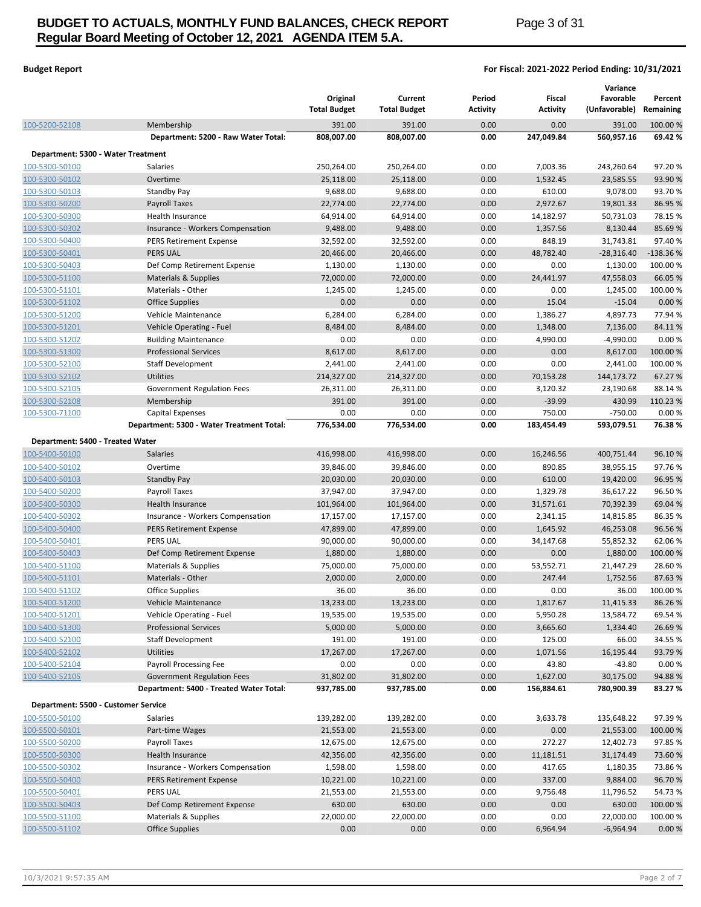# **BUDGET TO ACTUALS, MONTHLY FUND BALANCES, CHECK REPORT Page 3 of 31 Regular Board Meeting of October 12, 2021 AGENDA ITEM 5.A.**

## **Budget Report For Fiscal: 2021-2022 Period Ending: 10/31/2021**

|                                     |                                           | Original<br><b>Total Budget</b> | Current<br><b>Total Budget</b> | Period<br><b>Activity</b> | Fiscal<br><b>Activity</b> | Variance<br>Favorable<br>(Unfavorable) Remaining | Percent    |
|-------------------------------------|-------------------------------------------|---------------------------------|--------------------------------|---------------------------|---------------------------|--------------------------------------------------|------------|
| 100-5200-52108                      | Membership                                | 391.00                          | 391.00                         | 0.00                      | 0.00                      | 391.00                                           | 100.00 %   |
|                                     | Department: 5200 - Raw Water Total:       | 808,007.00                      | 808,007.00                     | 0.00                      | 247,049.84                | 560,957.16                                       | 69.42 %    |
| Department: 5300 - Water Treatment  |                                           |                                 |                                |                           |                           |                                                  |            |
| 100-5300-50100                      | Salaries                                  | 250,264.00                      | 250,264.00                     | 0.00                      | 7,003.36                  | 243,260.64                                       | 97.20%     |
| 100-5300-50102                      | Overtime                                  | 25,118.00                       | 25,118.00                      | 0.00                      | 1,532.45                  | 23,585.55                                        | 93.90 %    |
| 100-5300-50103                      | <b>Standby Pay</b>                        | 9,688.00                        | 9,688.00                       | 0.00                      | 610.00                    | 9,078.00                                         | 93.70%     |
| 100-5300-50200                      | <b>Payroll Taxes</b>                      | 22,774.00                       | 22,774.00                      | 0.00                      | 2,972.67                  | 19,801.33                                        | 86.95 %    |
| 100-5300-50300                      | Health Insurance                          | 64,914.00                       | 64,914.00                      | 0.00                      | 14,182.97                 | 50,731.03                                        | 78.15 %    |
| 100-5300-50302                      | Insurance - Workers Compensation          | 9,488.00                        | 9,488.00                       | 0.00                      | 1,357.56                  | 8,130.44                                         | 85.69%     |
| 100-5300-50400                      | <b>PERS Retirement Expense</b>            | 32,592.00                       | 32,592.00                      | 0.00                      | 848.19                    | 31,743.81                                        | 97.40 %    |
| 100-5300-50401                      | <b>PERS UAL</b>                           | 20,466.00                       | 20,466.00                      | 0.00                      | 48,782.40                 | $-28,316.40$                                     | $-138.36%$ |
| 100-5300-50403                      | Def Comp Retirement Expense               | 1,130.00                        | 1,130.00                       | 0.00                      | 0.00                      | 1,130.00                                         | 100.00 %   |
| 100-5300-51100                      | Materials & Supplies                      | 72,000.00                       | 72,000.00                      | 0.00                      | 24,441.97                 | 47,558.03                                        | 66.05 %    |
| 100-5300-51101                      | Materials - Other                         | 1,245.00                        | 1,245.00                       | 0.00                      | 0.00                      | 1,245.00                                         | 100.00 %   |
| 100-5300-51102                      | Office Supplies                           | 0.00                            | 0.00                           | 0.00                      | 15.04                     | $-15.04$                                         | 0.00%      |
| 100-5300-51200                      | Vehicle Maintenance                       | 6,284.00                        | 6,284.00                       | 0.00                      | 1,386.27                  | 4,897.73                                         | 77.94 %    |
| <u>100-5300-51201</u>               | Vehicle Operating - Fuel                  | 8,484.00                        | 8,484.00                       | 0.00                      | 1,348.00                  | 7,136.00                                         | 84.11%     |
| 100-5300-51202                      | <b>Building Maintenance</b>               | 0.00                            | 0.00                           | 0.00                      | 4,990.00                  | $-4,990.00$                                      | 0.00%      |
| 100-5300-51300                      | <b>Professional Services</b>              | 8,617.00                        | 8,617.00                       | 0.00                      | 0.00                      | 8,617.00                                         | 100.00 %   |
| 100-5300-52100                      | <b>Staff Development</b>                  | 2,441.00                        | 2,441.00                       | 0.00                      | 0.00                      | 2,441.00                                         | 100.00 %   |
| 100-5300-52102                      | <b>Utilities</b>                          | 214,327.00                      | 214,327.00                     | 0.00                      | 70,153.28                 | 144,173.72                                       | 67.27 %    |
| 100-5300-52105                      | Government Regulation Fees                | 26,311.00                       | 26,311.00                      | 0.00                      | 3,120.32                  | 23,190.68                                        | 88.14 %    |
| 100-5300-52108                      | Membership                                | 391.00                          | 391.00                         | 0.00                      | $-39.99$                  | 430.99                                           | 110.23 %   |
| 100-5300-71100                      | Capital Expenses                          | 0.00                            | 0.00                           | 0.00                      | 750.00                    | $-750.00$                                        | 0.00%      |
|                                     | Department: 5300 - Water Treatment Total: | 776,534.00                      | 776,534.00                     | 0.00                      | 183,454.49                | 593,079.51                                       | 76.38%     |
| Department: 5400 - Treated Water    |                                           |                                 |                                |                           |                           |                                                  |            |
| 100-5400-50100                      | Salaries                                  | 416,998.00                      | 416,998.00                     | 0.00                      | 16,246.56                 | 400,751.44                                       | 96.10%     |
| 100-5400-50102                      | Overtime                                  | 39,846.00                       | 39,846.00                      | 0.00                      | 890.85                    | 38,955.15                                        | 97.76%     |
| 100-5400-50103                      | <b>Standby Pay</b>                        | 20,030.00                       | 20,030.00                      | 0.00                      | 610.00                    | 19,420.00                                        | 96.95 %    |
| 100-5400-50200                      | Payroll Taxes                             | 37,947.00                       | 37,947.00                      | 0.00                      | 1,329.78                  | 36,617.22                                        | 96.50 %    |
| 100-5400-50300                      | Health Insurance                          | 101,964.00                      | 101,964.00                     | 0.00                      | 31,571.61                 | 70,392.39                                        | 69.04 %    |
| 100-5400-50302                      | Insurance - Workers Compensation          | 17,157.00                       | 17,157.00                      | 0.00                      | 2,341.15                  | 14,815.85                                        | 86.35 %    |
| 100-5400-50400                      | <b>PERS Retirement Expense</b>            | 47,899.00                       | 47,899.00                      | 0.00                      | 1,645.92                  | 46,253.08                                        | 96.56 %    |
| 100-5400-50401                      | <b>PERS UAL</b>                           | 90,000.00                       | 90,000.00                      | 0.00                      | 34,147.68                 | 55,852.32                                        | 62.06%     |
| 100-5400-50403                      | Def Comp Retirement Expense               | 1,880.00                        | 1,880.00                       | 0.00                      | 0.00                      | 1,880.00                                         | 100.00 %   |
| 100-5400-51100                      | Materials & Supplies                      | 75,000.00                       | 75,000.00                      | 0.00                      | 53,552.71                 | 21,447.29                                        | 28.60 %    |
| 100-5400-51101                      | Materials - Other                         | 2,000.00                        | 2,000.00                       | 0.00                      | 247.44                    | 1,752.56                                         | 87.63%     |
| 100-5400-51102                      | Office Supplies                           | 36.00                           | 36.00                          | 0.00                      | 0.00                      | 36.00                                            | 100.00 %   |
| 100-5400-51200                      | Vehicle Maintenance                       | 13,233.00                       | 13,233.00                      | 0.00                      | 1,817.67                  | 11,415.33                                        | 86.26 %    |
| 100-5400-51201                      | Vehicle Operating - Fuel                  | 19,535.00                       | 19,535.00                      | 0.00                      | 5,950.28                  | 13,584.72                                        | 69.54 %    |
| 100-5400-51300                      | <b>Professional Services</b>              | 5,000.00                        | 5,000.00                       | 0.00                      | 3,665.60                  | 1,334.40                                         | 26.69 %    |
| 100-5400-52100                      | Staff Development                         | 191.00                          | 191.00                         | 0.00                      | 125.00                    | 66.00                                            | 34.55 %    |
| 100-5400-52102                      | <b>Utilities</b>                          | 17,267.00                       | 17,267.00                      | 0.00                      | 1,071.56                  | 16,195.44                                        | 93.79%     |
| 100-5400-52104                      | Payroll Processing Fee                    | 0.00                            | 0.00                           | 0.00                      | 43.80                     | $-43.80$                                         | 0.00 %     |
| 100-5400-52105                      | Government Regulation Fees                | 31,802.00                       | 31,802.00                      | 0.00                      | 1,627.00                  | 30,175.00                                        | 94.88%     |
|                                     | Department: 5400 - Treated Water Total:   | 937,785.00                      | 937,785.00                     | 0.00                      | 156,884.61                | 780,900.39                                       | 83.27 %    |
| Department: 5500 - Customer Service |                                           |                                 |                                |                           |                           |                                                  |            |
| 100-5500-50100                      | Salaries                                  | 139,282.00                      | 139,282.00                     | 0.00                      | 3,633.78                  | 135,648.22                                       | 97.39 %    |
| 100-5500-50101                      | Part-time Wages                           | 21,553.00                       | 21,553.00                      | 0.00                      | 0.00                      | 21,553.00                                        | 100.00 %   |
| 100-5500-50200                      | Payroll Taxes                             | 12,675.00                       | 12,675.00                      | 0.00                      | 272.27                    | 12,402.73                                        | 97.85%     |
| 100-5500-50300                      | Health Insurance                          | 42,356.00                       | 42,356.00                      | 0.00                      | 11,181.51                 | 31,174.49                                        | 73.60 %    |
| 100-5500-50302                      | Insurance - Workers Compensation          | 1,598.00                        | 1,598.00                       | 0.00                      | 417.65                    | 1,180.35                                         | 73.86 %    |
| 100-5500-50400                      | <b>PERS Retirement Expense</b>            | 10,221.00                       | 10,221.00                      | 0.00                      | 337.00                    | 9,884.00                                         | 96.70 %    |
| 100-5500-50401                      | PERS UAL                                  | 21,553.00                       | 21,553.00                      | 0.00                      | 9,756.48                  | 11,796.52                                        | 54.73 %    |
| 100-5500-50403                      | Def Comp Retirement Expense               | 630.00                          | 630.00                         | 0.00                      | 0.00                      | 630.00                                           | 100.00 %   |
| 100-5500-51100                      | Materials & Supplies                      | 22,000.00                       | 22,000.00                      | 0.00                      | 0.00                      | 22,000.00                                        | 100.00 %   |
| 100-5500-51102                      | <b>Office Supplies</b>                    | 0.00                            | 0.00                           | 0.00                      | 6,964.94                  | $-6,964.94$                                      | 0.00%      |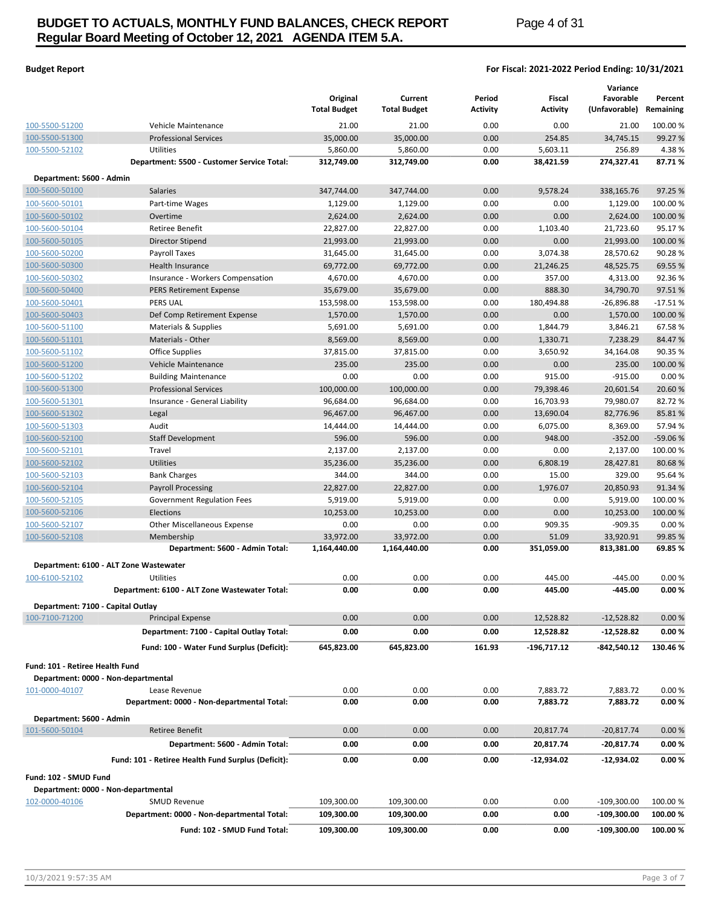# **BUDGET TO ACTUALS, MONTHLY FUND BALANCES, CHECK REPORT Page 4 of 31 Regular Board Meeting of October 12, 2021 AGENDA ITEM 5.A.**

## **Budget Report For Fiscal: 2021-2022 Period Ending: 10/31/2021**

|                                                     |                                                    | Original<br><b>Total Budget</b> | Current<br><b>Total Budget</b> | Period<br>Activity | Fiscal<br><b>Activity</b> | Variance<br>Favorable<br>(Unfavorable) | Percent<br>Remaining |
|-----------------------------------------------------|----------------------------------------------------|---------------------------------|--------------------------------|--------------------|---------------------------|----------------------------------------|----------------------|
| 100-5500-51200                                      | Vehicle Maintenance                                | 21.00                           | 21.00                          | 0.00               | 0.00                      | 21.00                                  | 100.00 %             |
| 100-5500-51300                                      | <b>Professional Services</b>                       | 35,000.00                       | 35,000.00                      | 0.00               | 254.85                    | 34,745.15                              | 99.27 %              |
| 100-5500-52102                                      | Utilities                                          | 5,860.00                        | 5,860.00                       | 0.00               | 5,603.11                  | 256.89                                 | 4.38 %               |
|                                                     | Department: 5500 - Customer Service Total:         | 312,749.00                      | 312,749.00                     | 0.00               | 38,421.59                 | 274,327.41                             | 87.71%               |
| Department: 5600 - Admin                            |                                                    |                                 |                                |                    |                           |                                        |                      |
| 100-5600-50100                                      | Salaries                                           | 347,744.00                      | 347,744.00                     | 0.00               | 9,578.24                  | 338,165.76                             | 97.25 %              |
| 100-5600-50101                                      | Part-time Wages                                    | 1,129.00                        | 1,129.00                       | 0.00               | 0.00                      | 1,129.00                               | 100.00 %             |
| 100-5600-50102                                      | Overtime                                           | 2,624.00                        | 2,624.00                       | 0.00               | 0.00                      | 2,624.00                               | 100.00 %             |
| 100-5600-50104                                      | <b>Retiree Benefit</b>                             | 22,827.00                       | 22,827.00                      | 0.00               | 1,103.40                  | 21,723.60                              | 95.17 %              |
| 100-5600-50105                                      | Director Stipend                                   | 21,993.00                       | 21,993.00                      | 0.00               | 0.00                      | 21,993.00                              | 100.00 %             |
| 100-5600-50200                                      | Payroll Taxes                                      | 31,645.00                       | 31,645.00                      | 0.00               | 3,074.38                  | 28,570.62                              | 90.28%               |
| 100-5600-50300                                      | Health Insurance                                   | 69,772.00                       | 69,772.00                      | 0.00               | 21,246.25                 | 48,525.75                              | 69.55 %              |
| 100-5600-50302                                      | Insurance - Workers Compensation                   | 4,670.00                        | 4,670.00                       | 0.00               | 357.00                    | 4,313.00                               | 92.36%               |
| 100-5600-50400                                      | <b>PERS Retirement Expense</b>                     | 35,679.00                       | 35,679.00                      | 0.00               | 888.30                    | 34,790.70                              | 97.51%               |
| 100-5600-50401                                      | <b>PERS UAL</b>                                    | 153,598.00                      | 153,598.00                     | 0.00               | 180,494.88                | $-26,896.88$                           | $-17.51%$            |
| 100-5600-50403                                      | Def Comp Retirement Expense                        | 1,570.00                        | 1,570.00                       | 0.00               | 0.00                      | 1,570.00                               | 100.00 %             |
| 100-5600-51100                                      | Materials & Supplies                               | 5,691.00                        | 5,691.00                       | 0.00               | 1,844.79                  | 3,846.21                               | 67.58%               |
| 100-5600-51101                                      | Materials - Other                                  | 8,569.00                        | 8,569.00                       | 0.00               | 1,330.71                  | 7,238.29                               | 84.47%               |
| 100-5600-51102                                      | Office Supplies                                    | 37,815.00                       | 37,815.00                      | 0.00               | 3,650.92                  | 34,164.08                              | 90.35 %              |
| 100-5600-51200                                      | Vehicle Maintenance                                | 235.00                          | 235.00                         | 0.00               | 0.00                      | 235.00                                 | 100.00 %             |
| 100-5600-51202                                      | <b>Building Maintenance</b>                        | 0.00                            | 0.00                           | 0.00               | 915.00                    | $-915.00$                              | 0.00%                |
| 100-5600-51300                                      | <b>Professional Services</b>                       | 100,000.00                      | 100,000.00                     | 0.00               | 79,398.46                 | 20,601.54                              | 20.60 %              |
| 100-5600-51301                                      | Insurance - General Liability                      | 96,684.00                       | 96,684.00                      | 0.00               | 16,703.93                 | 79,980.07                              | 82.72%               |
| 100-5600-51302                                      | Legal                                              | 96,467.00                       | 96,467.00                      | 0.00               | 13,690.04                 | 82,776.96                              | 85.81%               |
| 100-5600-51303                                      | Audit                                              | 14,444.00                       | 14,444.00                      | 0.00               | 6,075.00                  | 8,369.00                               | 57.94 %              |
| 100-5600-52100                                      | <b>Staff Development</b>                           | 596.00                          | 596.00                         | 0.00               | 948.00                    | $-352.00$                              | -59.06 %             |
| 100-5600-52101                                      | Travel                                             | 2,137.00                        | 2,137.00                       | 0.00               | 0.00                      | 2,137.00                               | 100.00 %             |
| 100-5600-52102                                      | <b>Utilities</b><br><b>Bank Charges</b>            | 35,236.00<br>344.00             | 35,236.00<br>344.00            | 0.00<br>0.00       | 6,808.19<br>15.00         | 28,427.81<br>329.00                    | 80.68%<br>95.64 %    |
| 100-5600-52103<br>100-5600-52104                    | <b>Payroll Processing</b>                          | 22,827.00                       | 22,827.00                      | 0.00               | 1,976.07                  | 20,850.93                              | 91.34 %              |
|                                                     |                                                    | 5,919.00                        |                                | 0.00               | 0.00                      | 5,919.00                               | 100.00 %             |
| 100-5600-52105<br>100-5600-52106                    | Government Regulation Fees<br>Elections            | 10,253.00                       | 5,919.00<br>10,253.00          | 0.00               | 0.00                      | 10,253.00                              | 100.00 %             |
| 100-5600-52107                                      | <b>Other Miscellaneous Expense</b>                 | 0.00                            | 0.00                           | 0.00               | 909.35                    | $-909.35$                              | 0.00%                |
| 100-5600-52108                                      | Membership                                         | 33,972.00                       | 33,972.00                      | 0.00               | 51.09                     | 33,920.91                              | 99.85 %              |
|                                                     | Department: 5600 - Admin Total:                    | 1,164,440.00                    | 1,164,440.00                   | 0.00               | 351,059.00                | 813,381.00                             | 69.85 %              |
|                                                     | Department: 6100 - ALT Zone Wastewater             |                                 |                                |                    |                           |                                        |                      |
| 100-6100-52102                                      | Utilities                                          | 0.00                            | 0.00                           | 0.00               | 445.00                    | $-445.00$                              | 0.00%                |
|                                                     | Department: 6100 - ALT Zone Wastewater Total:      | 0.00                            | 0.00                           | 0.00               | 445.00                    | $-445.00$                              | 0.00%                |
|                                                     |                                                    |                                 |                                |                    |                           |                                        |                      |
| Department: 7100 - Capital Outlay<br>100-7100-71200 | <b>Principal Expense</b>                           | 0.00                            | 0.00                           | 0.00               | 12,528.82                 | $-12,528.82$                           | 0.00%                |
|                                                     | Department: 7100 - Capital Outlay Total:           | 0.00                            | 0.00                           | 0.00               | 12,528.82                 | -12,528.82                             | 0.00%                |
|                                                     | Fund: 100 - Water Fund Surplus (Deficit):          |                                 | 645,823.00                     |                    |                           |                                        |                      |
|                                                     |                                                    | 645,823.00                      |                                | 161.93             | -196,717.12               | -842,540.12                            | 130.46 %             |
| Fund: 101 - Retiree Health Fund                     |                                                    |                                 |                                |                    |                           |                                        |                      |
| Department: 0000 - Non-departmental                 |                                                    |                                 |                                |                    |                           |                                        |                      |
| 101-0000-40107                                      | Lease Revenue                                      | 0.00                            | 0.00                           | 0.00               | 7,883.72                  | 7,883.72                               | 0.00%                |
|                                                     | Department: 0000 - Non-departmental Total:         | 0.00                            | 0.00                           | 0.00               | 7,883.72                  | 7,883.72                               | 0.00%                |
| Department: 5600 - Admin                            |                                                    |                                 |                                |                    |                           |                                        |                      |
| 101-5600-50104                                      | <b>Retiree Benefit</b>                             | 0.00                            | 0.00                           | 0.00               | 20,817.74                 | $-20,817.74$                           | 0.00%                |
|                                                     | Department: 5600 - Admin Total:                    | 0.00                            | 0.00                           | 0.00               | 20,817.74                 | -20,817.74                             | 0.00%                |
|                                                     | Fund: 101 - Retiree Health Fund Surplus (Deficit): | 0.00                            | 0.00                           | 0.00               | -12,934.02                | $-12,934.02$                           | 0.00%                |
| Fund: 102 - SMUD Fund                               |                                                    |                                 |                                |                    |                           |                                        |                      |
| Department: 0000 - Non-departmental                 |                                                    |                                 |                                |                    |                           |                                        |                      |
| 102-0000-40106                                      | <b>SMUD Revenue</b>                                | 109,300.00                      | 109,300.00                     | 0.00               | 0.00                      | $-109,300.00$                          | 100.00 %             |
|                                                     | Department: 0000 - Non-departmental Total:         | 109,300.00                      | 109,300.00                     | 0.00               | 0.00                      | $-109,300.00$                          | 100.00 %             |
|                                                     | Fund: 102 - SMUD Fund Total:                       | 109,300.00                      | 109,300.00                     | 0.00               | 0.00                      | $-109,300.00$                          | 100.00 %             |
|                                                     |                                                    |                                 |                                |                    |                           |                                        |                      |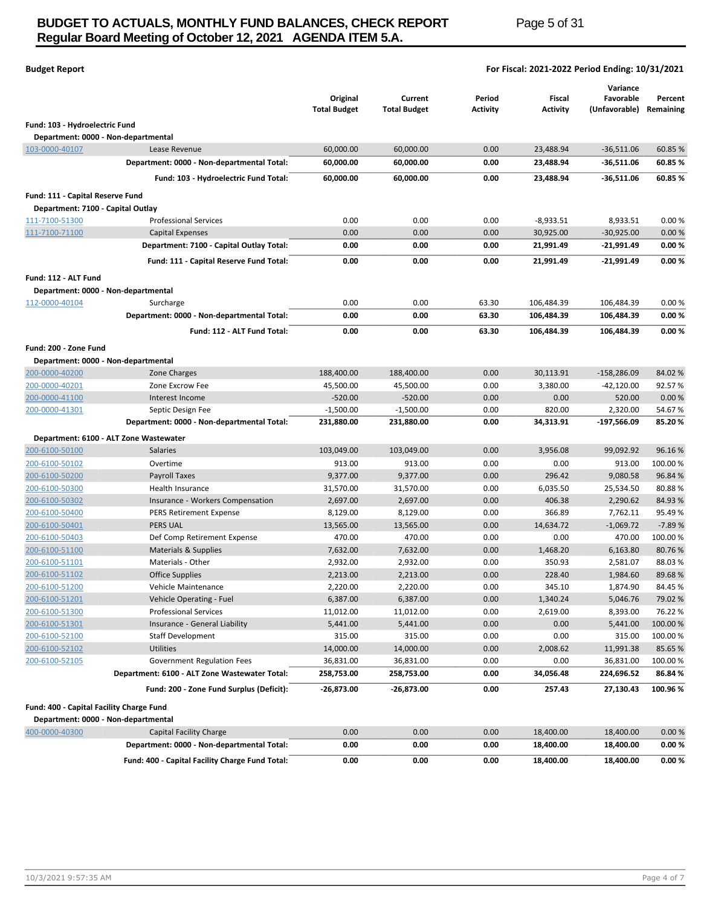# **BUDGET TO ACTUALS, MONTHLY FUND BALANCES, CHECK REPORT Page 5 of 31 Regular Board Meeting of October 12, 2021 AGENDA ITEM 5.A.**

| <b>Budget Report</b> | For Fiscal: 2021-2022 Period Ending: 10/31/2021 |
|----------------------|-------------------------------------------------|
|                      |                                                 |

|                                          |                                                                 | Original<br><b>Total Budget</b> | Current<br><b>Total Budget</b> | Period<br>Activity | Fiscal<br><b>Activity</b> | Variance<br>Favorable<br>(Unfavorable) | Percent<br>Remaining |
|------------------------------------------|-----------------------------------------------------------------|---------------------------------|--------------------------------|--------------------|---------------------------|----------------------------------------|----------------------|
| Fund: 103 - Hydroelectric Fund           |                                                                 |                                 |                                |                    |                           |                                        |                      |
|                                          | Department: 0000 - Non-departmental                             |                                 |                                |                    |                           |                                        |                      |
| 103-0000-40107                           | Lease Revenue                                                   | 60,000.00                       | 60,000.00                      | 0.00               | 23,488.94                 | $-36,511.06$                           | 60.85 %              |
|                                          | Department: 0000 - Non-departmental Total:                      | 60,000.00                       | 60,000.00                      | 0.00               | 23,488.94                 | $-36,511.06$                           | 60.85 %              |
|                                          | Fund: 103 - Hydroelectric Fund Total:                           | 60,000.00                       | 60,000.00                      | 0.00               | 23,488.94                 | $-36,511.06$                           | 60.85 %              |
|                                          |                                                                 |                                 |                                |                    |                           |                                        |                      |
| Fund: 111 - Capital Reserve Fund         |                                                                 |                                 |                                |                    |                           |                                        |                      |
| Department: 7100 - Capital Outlay        |                                                                 |                                 |                                |                    |                           |                                        |                      |
| 111-7100-51300                           | <b>Professional Services</b>                                    | 0.00                            | 0.00                           | 0.00               | $-8,933.51$               | 8,933.51                               | 0.00%                |
| 111-7100-71100                           | <b>Capital Expenses</b>                                         | 0.00                            | 0.00                           | 0.00               | 30,925.00                 | $-30,925.00$                           | 0.00%                |
|                                          | Department: 7100 - Capital Outlay Total:                        | 0.00                            | 0.00                           | 0.00               | 21,991.49                 | $-21,991.49$                           | 0.00%                |
|                                          | Fund: 111 - Capital Reserve Fund Total:                         | 0.00                            | 0.00                           | 0.00               | 21,991.49                 | $-21,991.49$                           | 0.00%                |
| Fund: 112 - ALT Fund                     |                                                                 |                                 |                                |                    |                           |                                        |                      |
|                                          | Department: 0000 - Non-departmental                             |                                 |                                |                    |                           |                                        |                      |
| 112-0000-40104                           | Surcharge                                                       | 0.00                            | 0.00                           | 63.30              | 106,484.39                | 106,484.39                             | 0.00%                |
|                                          | Department: 0000 - Non-departmental Total:                      | 0.00                            | 0.00                           | 63.30              | 106,484.39                | 106,484.39                             | 0.00%                |
|                                          | Fund: 112 - ALT Fund Total:                                     | 0.00                            | 0.00                           | 63.30              | 106,484.39                | 106,484.39                             | 0.00%                |
|                                          |                                                                 |                                 |                                |                    |                           |                                        |                      |
| Fund: 200 - Zone Fund                    |                                                                 |                                 |                                |                    |                           |                                        |                      |
|                                          | Department: 0000 - Non-departmental                             |                                 |                                |                    |                           |                                        |                      |
| 200-0000-40200                           | Zone Charges                                                    | 188,400.00                      | 188,400.00                     | 0.00               | 30,113.91                 | $-158,286.09$                          | 84.02%               |
| 200-0000-40201                           | Zone Excrow Fee                                                 | 45,500.00                       | 45,500.00                      | 0.00               | 3,380.00                  | $-42,120.00$                           | 92.57%               |
| 200-0000-41100                           | Interest Income                                                 | $-520.00$                       | $-520.00$                      | 0.00               | 0.00                      | 520.00                                 | 0.00%                |
| 200-0000-41301                           | Septic Design Fee<br>Department: 0000 - Non-departmental Total: | $-1,500.00$<br>231,880.00       | $-1,500.00$<br>231,880.00      | 0.00<br>0.00       | 820.00<br>34,313.91       | 2,320.00<br>-197,566.09                | 54.67%<br>85.20%     |
|                                          |                                                                 |                                 |                                |                    |                           |                                        |                      |
|                                          | Department: 6100 - ALT Zone Wastewater                          |                                 |                                |                    |                           |                                        |                      |
| 200-6100-50100                           | <b>Salaries</b>                                                 | 103,049.00                      | 103,049.00                     | 0.00               | 3,956.08                  | 99,092.92                              | 96.16%               |
| 200-6100-50102                           | Overtime                                                        | 913.00                          | 913.00                         | 0.00               | 0.00                      | 913.00                                 | 100.00%              |
| 200-6100-50200                           | Payroll Taxes                                                   | 9,377.00                        | 9,377.00                       | 0.00               | 296.42                    | 9,080.58                               | 96.84%               |
| 200-6100-50300                           | Health Insurance                                                | 31,570.00                       | 31,570.00                      | 0.00               | 6,035.50                  | 25,534.50                              | 80.88%               |
| 200-6100-50302                           | Insurance - Workers Compensation                                | 2,697.00                        | 2,697.00                       | 0.00               | 406.38                    | 2,290.62                               | 84.93%               |
| 200-6100-50400                           | <b>PERS Retirement Expense</b>                                  | 8,129.00                        | 8,129.00                       | 0.00               | 366.89                    | 7,762.11                               | 95.49%               |
| 200-6100-50401                           | <b>PERS UAL</b>                                                 | 13,565.00                       | 13,565.00                      | 0.00               | 14,634.72                 | $-1,069.72$                            | $-7.89%$             |
| 200-6100-50403                           | Def Comp Retirement Expense                                     | 470.00                          | 470.00                         | 0.00               | 0.00                      | 470.00                                 | 100.00%              |
| 200-6100-51100                           | Materials & Supplies                                            | 7,632.00                        | 7,632.00                       | 0.00               | 1,468.20                  | 6,163.80                               | 80.76%               |
| 200-6100-51101                           | Materials - Other                                               | 2,932.00                        | 2,932.00                       | 0.00               | 350.93                    | 2,581.07                               | 88.03%<br>89.68%     |
| 200-6100-51102<br>200-6100-51200         | Office Supplies<br>Vehicle Maintenance                          | 2,213.00<br>2,220.00            | 2,213.00<br>2,220.00           | 0.00<br>0.00       | 228.40<br>345.10          | 1,984.60<br>1,874.90                   | 84.45%               |
| 200-6100-51201                           | Vehicle Operating - Fuel                                        | 6,387.00                        | 6,387.00                       | 0.00               | 1,340.24                  | 5,046.76                               | 79.02%               |
| 200-6100-51300                           | <b>Professional Services</b>                                    | 11,012.00                       | 11,012.00                      | 0.00               | 2,619.00                  | 8,393.00                               | 76.22%               |
| 200-6100-51301                           | Insurance - General Liability                                   | 5,441.00                        | 5,441.00                       | 0.00               | 0.00                      | 5,441.00                               | 100.00%              |
| 200-6100-52100                           | Staff Development                                               | 315.00                          | 315.00                         | 0.00               | 0.00                      | 315.00                                 | 100.00%              |
| 200-6100-52102                           | <b>Utilities</b>                                                | 14,000.00                       | 14,000.00                      | 0.00               | 2,008.62                  | 11,991.38                              | 85.65%               |
| 200-6100-52105                           | Government Regulation Fees                                      | 36,831.00                       | 36,831.00                      | 0.00               | 0.00                      | 36,831.00                              | 100.00%              |
|                                          | Department: 6100 - ALT Zone Wastewater Total:                   | 258,753.00                      | 258,753.00                     | 0.00               | 34,056.48                 | 224,696.52                             | 86.84%               |
|                                          |                                                                 |                                 |                                |                    |                           |                                        |                      |
|                                          | Fund: 200 - Zone Fund Surplus (Deficit):                        | $-26,873.00$                    | $-26,873.00$                   | 0.00               | 257.43                    | 27,130.43                              | 100.96%              |
| Fund: 400 - Capital Facility Charge Fund |                                                                 |                                 |                                |                    |                           |                                        |                      |
|                                          | Department: 0000 - Non-departmental                             |                                 |                                |                    |                           |                                        |                      |
| 400-0000-40300                           | Capital Facility Charge                                         | 0.00                            | 0.00                           | 0.00               | 18,400.00                 | 18,400.00                              | 0.00%                |
|                                          | Department: 0000 - Non-departmental Total:                      | 0.00                            | 0.00                           | 0.00               | 18,400.00                 | 18,400.00                              | 0.00%                |
|                                          | Fund: 400 - Capital Facility Charge Fund Total:                 | 0.00                            | 0.00                           | 0.00               | 18,400.00                 | 18,400.00                              | 0.00%                |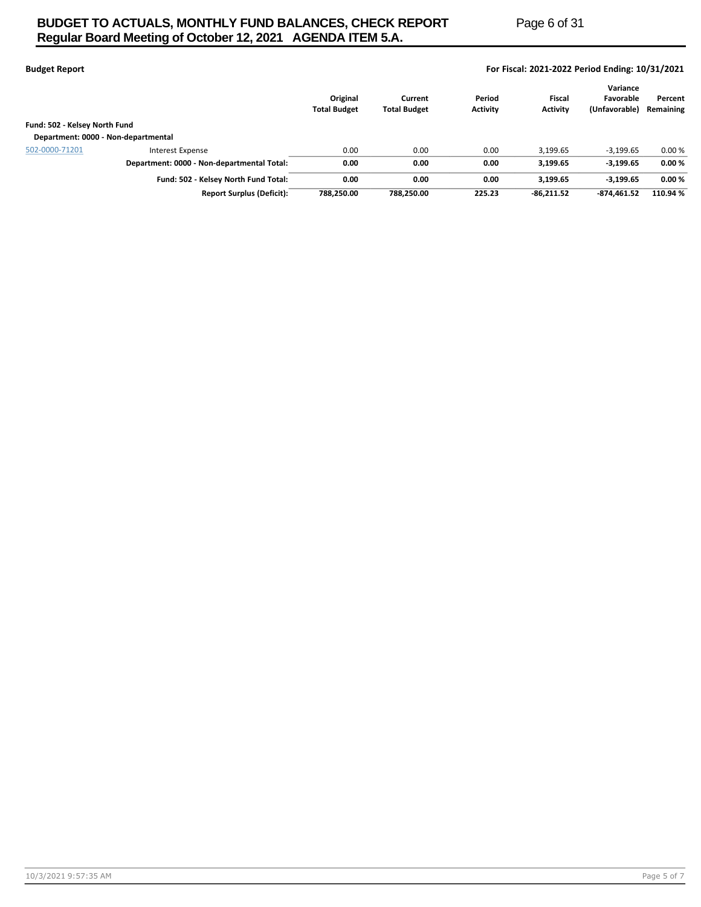# **BUDGET TO ACTUALS, MONTHLY FUND BALANCES, CHECK REPORT Page 6 of 31 Regular Board Meeting of October 12, 2021 AGENDA ITEM 5.A.**

| <b>Budget Report</b> | For Fiscal: 2021-2022 Period Ending: 10/31/2021 |
|----------------------|-------------------------------------------------|

|                                     |                                            | Original<br><b>Total Budget</b> | Current<br><b>Total Budget</b> | Period<br><b>Activity</b> | Fiscal<br><b>Activity</b> | Variance<br>Favorable<br>(Unfavorable) | Percent<br>Remaining |
|-------------------------------------|--------------------------------------------|---------------------------------|--------------------------------|---------------------------|---------------------------|----------------------------------------|----------------------|
| Fund: 502 - Kelsey North Fund       |                                            |                                 |                                |                           |                           |                                        |                      |
| Department: 0000 - Non-departmental |                                            |                                 |                                |                           |                           |                                        |                      |
| 502-0000-71201                      | Interest Expense                           | 0.00                            | 0.00                           | 0.00                      | 3.199.65                  | $-3,199.65$                            | 0.00%                |
|                                     | Department: 0000 - Non-departmental Total: | 0.00                            | 0.00                           | 0.00                      | 3.199.65                  | $-3,199.65$                            | 0.00%                |
|                                     | Fund: 502 - Kelsey North Fund Total:       | 0.00                            | 0.00                           | 0.00                      | 3.199.65                  | $-3,199.65$                            | 0.00%                |
|                                     | <b>Report Surplus (Deficit):</b>           | 788.250.00                      | 788.250.00                     | 225.23                    | $-86.211.52$              | $-874.461.52$                          | 110.94 %             |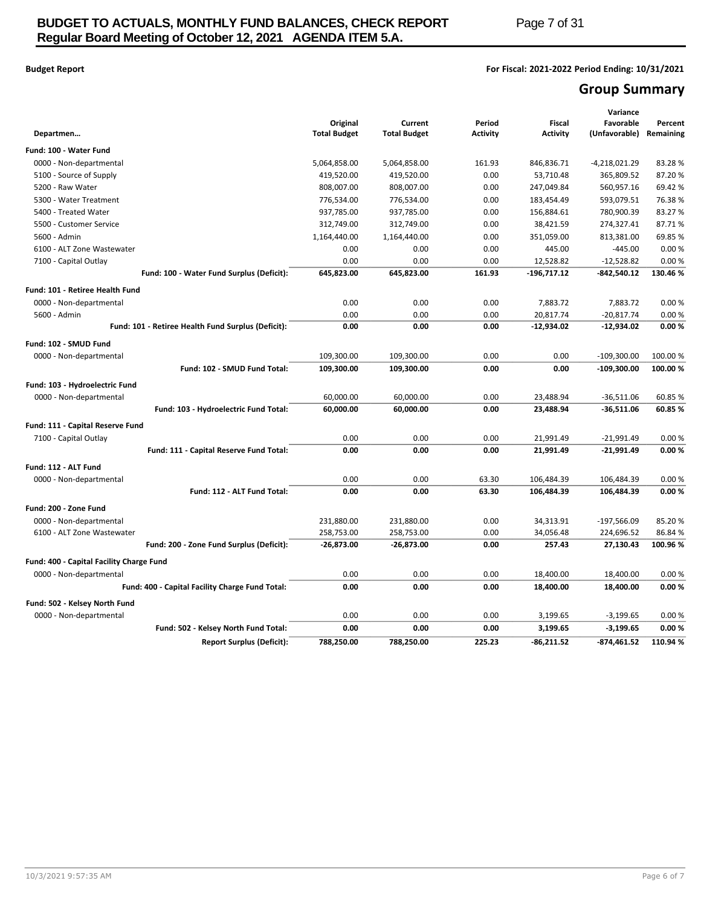## **Budget Report For Fiscal: 2021-2022 Period Ending: 10/31/2021**

# **Group Summary**

|                                                    |                                 |                                |                           |                                  | Variance                   |                      |
|----------------------------------------------------|---------------------------------|--------------------------------|---------------------------|----------------------------------|----------------------------|----------------------|
| Departmen                                          | Original<br><b>Total Budget</b> | Current<br><b>Total Budget</b> | Period<br><b>Activity</b> | <b>Fiscal</b><br><b>Activity</b> | Favorable<br>(Unfavorable) | Percent<br>Remaining |
| Fund: 100 - Water Fund                             |                                 |                                |                           |                                  |                            |                      |
| 0000 - Non-departmental                            | 5,064,858.00                    | 5,064,858.00                   | 161.93                    | 846,836.71                       | $-4,218,021.29$            | 83.28%               |
| 5100 - Source of Supply                            | 419,520.00                      | 419,520.00                     | 0.00                      | 53,710.48                        | 365,809.52                 | 87.20%               |
| 5200 - Raw Water                                   | 808,007.00                      | 808,007.00                     | 0.00                      | 247,049.84                       | 560,957.16                 | 69.42%               |
| 5300 - Water Treatment                             | 776,534.00                      | 776,534.00                     | 0.00                      | 183,454.49                       | 593,079.51                 | 76.38%               |
| 5400 - Treated Water                               | 937,785.00                      | 937,785.00                     | 0.00                      | 156,884.61                       | 780,900.39                 | 83.27%               |
| 5500 - Customer Service                            | 312,749.00                      | 312,749.00                     | 0.00                      | 38,421.59                        | 274,327.41                 | 87.71%               |
| 5600 - Admin                                       | 1,164,440.00                    | 1,164,440.00                   | 0.00                      | 351,059.00                       | 813,381.00                 | 69.85%               |
| 6100 - ALT Zone Wastewater                         | 0.00                            | 0.00                           | 0.00                      | 445.00                           | $-445.00$                  | 0.00%                |
| 7100 - Capital Outlay                              | 0.00                            | 0.00                           | 0.00                      | 12,528.82                        | $-12,528.82$               | 0.00%                |
| Fund: 100 - Water Fund Surplus (Deficit):          | 645,823.00                      | 645,823.00                     | 161.93                    | $-196,717.12$                    | -842,540.12                | 130.46 %             |
| Fund: 101 - Retiree Health Fund                    |                                 |                                |                           |                                  |                            |                      |
| 0000 - Non-departmental                            | 0.00                            | 0.00                           | 0.00                      | 7,883.72                         | 7,883.72                   | 0.00%                |
| 5600 - Admin                                       | 0.00                            | 0.00                           | 0.00                      | 20,817.74                        | $-20,817.74$               | 0.00%                |
| Fund: 101 - Retiree Health Fund Surplus (Deficit): | 0.00                            | 0.00                           | 0.00                      | $-12,934.02$                     | $-12,934.02$               | 0.00%                |
| Fund: 102 - SMUD Fund                              |                                 |                                |                           |                                  |                            |                      |
| 0000 - Non-departmental                            | 109,300.00                      | 109,300.00                     | 0.00                      | 0.00                             | $-109,300.00$              | 100.00 %             |
| Fund: 102 - SMUD Fund Total:                       | 109,300.00                      | 109,300.00                     | 0.00                      | 0.00                             | $-109,300.00$              | 100.00 %             |
| Fund: 103 - Hydroelectric Fund                     |                                 |                                |                           |                                  |                            |                      |
| 0000 - Non-departmental                            | 60,000.00                       | 60,000.00                      | 0.00                      | 23,488.94                        | $-36,511.06$               | 60.85%               |
| Fund: 103 - Hydroelectric Fund Total:              | 60,000.00                       | 60,000.00                      | 0.00                      | 23,488.94                        | $-36,511.06$               | 60.85%               |
| Fund: 111 - Capital Reserve Fund                   |                                 |                                |                           |                                  |                            |                      |
| 7100 - Capital Outlay                              | 0.00                            | 0.00                           | 0.00                      | 21,991.49                        | $-21,991.49$               | 0.00%                |
| Fund: 111 - Capital Reserve Fund Total:            | 0.00                            | 0.00                           | 0.00                      | 21,991.49                        | $-21,991.49$               | 0.00%                |
| Fund: 112 - ALT Fund                               |                                 |                                |                           |                                  |                            |                      |
| 0000 - Non-departmental                            | 0.00                            | 0.00                           | 63.30                     | 106,484.39                       | 106,484.39                 | 0.00%                |
| Fund: 112 - ALT Fund Total:                        | 0.00                            | 0.00                           | 63.30                     | 106,484.39                       | 106,484.39                 | 0.00%                |
| Fund: 200 - Zone Fund                              |                                 |                                |                           |                                  |                            |                      |
| 0000 - Non-departmental                            | 231,880.00                      | 231,880.00                     | 0.00                      | 34,313.91                        | -197,566.09                | 85.20%               |
| 6100 - ALT Zone Wastewater                         | 258,753.00                      | 258,753.00                     | 0.00                      | 34,056.48                        | 224,696.52                 | 86.84%               |
| Fund: 200 - Zone Fund Surplus (Deficit):           | $-26,873.00$                    | $-26,873.00$                   | 0.00                      | 257.43                           | 27,130.43                  | 100.96 %             |
| Fund: 400 - Capital Facility Charge Fund           |                                 |                                |                           |                                  |                            |                      |
| 0000 - Non-departmental                            | 0.00                            | 0.00                           | 0.00                      | 18,400.00                        | 18,400.00                  | 0.00%                |
| Fund: 400 - Capital Facility Charge Fund Total:    | 0.00                            | 0.00                           | 0.00                      | 18,400.00                        | 18,400.00                  | 0.00%                |
| Fund: 502 - Kelsey North Fund                      |                                 |                                |                           |                                  |                            |                      |
| 0000 - Non-departmental                            | 0.00                            | 0.00                           | 0.00                      | 3,199.65                         | $-3,199.65$                | 0.00%                |
| Fund: 502 - Kelsey North Fund Total:               | 0.00                            | 0.00                           | 0.00                      | 3,199.65                         | $-3,199.65$                | 0.00%                |
| <b>Report Surplus (Deficit):</b>                   | 788,250.00                      | 788,250.00                     | 225.23                    | $-86,211.52$                     | -874,461.52                | 110.94 %             |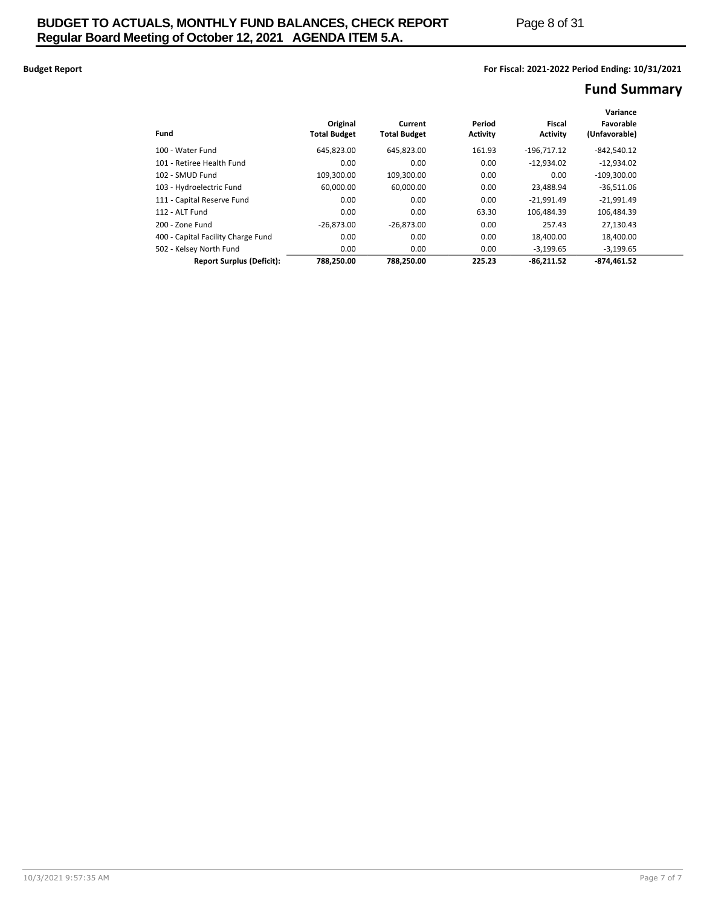## **Budget Report For Fiscal: 2021-2022 Period Ending: 10/31/2021**

# **Fund Summary**

|                                    |                     |                     |          |               | Variance      |  |
|------------------------------------|---------------------|---------------------|----------|---------------|---------------|--|
|                                    | Original            | Current             | Period   | <b>Fiscal</b> | Favorable     |  |
| Fund                               | <b>Total Budget</b> | <b>Total Budget</b> | Activity | Activity      | (Unfavorable) |  |
| 100 - Water Fund                   | 645,823.00          | 645.823.00          | 161.93   | $-196.717.12$ | $-842.540.12$ |  |
| 101 - Retiree Health Fund          | 0.00                | 0.00                | 0.00     | $-12.934.02$  | $-12.934.02$  |  |
| 102 - SMUD Fund                    | 109,300.00          | 109.300.00          | 0.00     | 0.00          | $-109.300.00$ |  |
| 103 - Hydroelectric Fund           | 60.000.00           | 60.000.00           | 0.00     | 23.488.94     | $-36.511.06$  |  |
| 111 - Capital Reserve Fund         | 0.00                | 0.00                | 0.00     | $-21,991.49$  | $-21,991.49$  |  |
| 112 - ALT Fund                     | 0.00                | 0.00                | 63.30    | 106.484.39    | 106.484.39    |  |
| 200 - Zone Fund                    | $-26.873.00$        | $-26.873.00$        | 0.00     | 257.43        | 27.130.43     |  |
| 400 - Capital Facility Charge Fund | 0.00                | 0.00                | 0.00     | 18.400.00     | 18,400.00     |  |
| 502 - Kelsey North Fund            | 0.00                | 0.00                | 0.00     | $-3,199.65$   | $-3,199.65$   |  |
| <b>Report Surplus (Deficit):</b>   | 788.250.00          | 788.250.00          | 225.23   | $-86.211.52$  | $-874.461.52$ |  |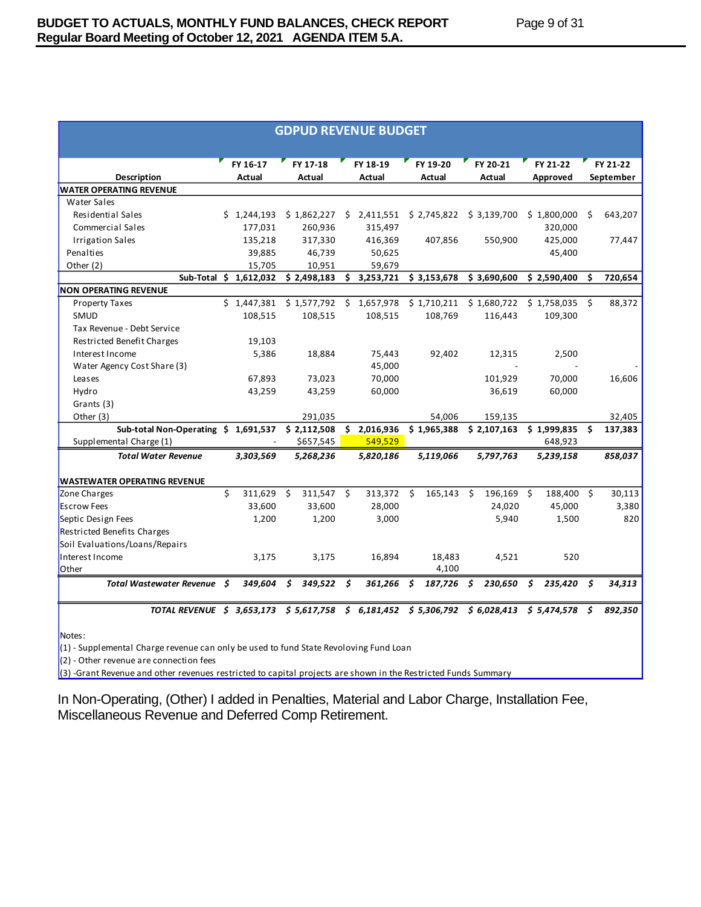| <b>GDPUD REVENUE BUDGET</b>                                                    |    |                        |    |                    |    |                    |      |                    |    |                    |                      |     |                       |
|--------------------------------------------------------------------------------|----|------------------------|----|--------------------|----|--------------------|------|--------------------|----|--------------------|----------------------|-----|-----------------------|
| <b>Description</b>                                                             |    | FY 16-17<br>Actual     |    | FY 17-18<br>Actual |    | FY 18-19<br>Actual |      | FY 19-20<br>Actual |    | FY 20-21<br>Actual | FY 21-22<br>Approved |     | FY 21-22<br>September |
| <b>WATER OPERATING REVENUE</b>                                                 |    |                        |    |                    |    |                    |      |                    |    |                    |                      |     |                       |
| <b>Water Sales</b>                                                             |    |                        |    |                    |    |                    |      |                    |    |                    |                      |     |                       |
| Residential Sales                                                              |    | \$1,244,193            |    | \$1,862,227        |    | \$2,411,551        |      | \$2,745,822        |    | \$3,139,700        | \$1,800,000          | Ś   | 643,207               |
| Commercial Sales                                                               |    | 177,031                |    | 260,936            |    | 315,497            |      |                    |    |                    | 320,000              |     |                       |
| <b>Irrigation Sales</b>                                                        |    | 135,218                |    | 317,330            |    | 416,369            |      | 407,856            |    | 550,900            | 425,000              |     | 77,447                |
| Penalties                                                                      |    | 39,885                 |    | 46,739             |    | 50,625             |      |                    |    |                    | 45,400               |     |                       |
| Other (2)                                                                      |    | 15,705                 |    | 10,951             |    | 59,679             |      |                    |    |                    |                      |     |                       |
|                                                                                |    | Sub-Total \$ 1,612,032 |    | \$2,498,183        |    | \$3,253,721        |      | \$3,153,678        |    | \$3,690,600        | \$2,590,400          | Ś.  | 720,654               |
| <b>NON OPERATING REVENUE</b>                                                   |    |                        |    |                    |    |                    |      |                    |    |                    |                      |     |                       |
| <b>Property Taxes</b>                                                          |    | \$1,447,381            |    | \$1,577,792        | Ŝ. | 1,657,978          |      | \$1,710,211        |    | \$1,680,722        | \$1,758,035          | Ŝ.  | 88,372                |
| SMUD                                                                           |    | 108,515                |    | 108,515            |    | 108,515            |      | 108,769            |    | 116,443            | 109,300              |     |                       |
| Tax Revenue - Debt Service                                                     |    |                        |    |                    |    |                    |      |                    |    |                    |                      |     |                       |
| Restricted Benefit Charges                                                     |    | 19,103                 |    |                    |    |                    |      |                    |    |                    |                      |     |                       |
| Interest Income                                                                |    | 5,386                  |    | 18,884             |    | 75,443             |      | 92,402             |    | 12,315             | 2,500                |     |                       |
| Water Agency Cost Share (3)                                                    |    |                        |    |                    |    | 45,000             |      |                    |    |                    |                      |     |                       |
| Leases                                                                         |    | 67,893                 |    | 73,023             |    | 70,000             |      |                    |    | 101,929            | 70,000               |     | 16,606                |
| Hydro                                                                          |    | 43,259                 |    | 43,259             |    | 60,000             |      |                    |    | 36,619             | 60,000               |     |                       |
| Grants (3)                                                                     |    |                        |    |                    |    |                    |      |                    |    |                    |                      |     |                       |
| Other (3)                                                                      |    |                        |    | 291,035            |    |                    |      | 54,006             |    | 159,135            |                      |     | 32,405                |
| Sub-total Non-Operating \$ 1,691,537                                           |    |                        |    | \$2,112,508        |    | \$2,016,936        |      | \$1,965,388        |    | \$2,107,163        | $$1,999,835$ \$      |     | 137,383               |
| Supplemental Charge (1)                                                        |    | $\blacksquare$         |    | \$657,545          |    | 549.529            |      |                    |    |                    | 648,923              |     |                       |
| <b>Total Water Revenue</b>                                                     |    | 3,303,569              |    | 5,268,236          |    | 5,820,186          |      | 5,119,066          |    | 5,797,763          | 5,239,158            |     | 858,037               |
|                                                                                |    |                        |    |                    |    |                    |      |                    |    |                    |                      |     |                       |
| <b>WASTEWATER OPERATING REVENUE</b>                                            |    |                        |    |                    |    |                    |      |                    |    |                    |                      |     |                       |
| Zone Charges                                                                   | Ś. | 311,629                | Ŝ. | 311,547            | Ŝ. | 313,372            | Ŝ.   | 165,143            | Ŝ. | 196,169 \$         | 188,400 \$           |     | 30,113                |
| <b>Escrow Fees</b>                                                             |    | 33,600                 |    | 33,600             |    | 28,000             |      |                    |    | 24,020             | 45,000               |     | 3,380                 |
| Septic Design Fees                                                             |    | 1,200                  |    | 1,200              |    | 3,000              |      |                    |    | 5,940              | 1,500                |     | 820                   |
| Restricted Benefits Charges                                                    |    |                        |    |                    |    |                    |      |                    |    |                    |                      |     |                       |
| Soil Evaluations/Loans/Repairs                                                 |    |                        |    |                    |    |                    |      |                    |    |                    |                      |     |                       |
| Interest Income                                                                |    | 3,175                  |    | 3,175              |    | 16,894             |      | 18,483             |    | 4.521              | 520                  |     |                       |
| <b>Other</b>                                                                   |    |                        |    |                    |    |                    |      | 4,100              |    |                    |                      |     |                       |
| Total Wastewater Revenue \$                                                    |    | 349,604                | \$ | $349,522$ \$       |    | 361,266            | - \$ | $187,726$ \$       |    | 230,650            | \$<br>235,420        | \$. | 34,313                |
| TOTAL REVENUE \$ 3,653,173 \$ 5,617,758 \$ 6,181,452 \$ 5,306,792 \$ 6,028,413 |    |                        |    |                    |    |                    |      |                    |    |                    | $$5,474,578$ \$      |     | 892,350               |

Notes:

(1) - Supplemental Charge revenue can only be used to fund State Revoloving Fund Loan

 $(2)$  - Other revenue are connection fees

(3) -Grant Revenue and other revenues restricted to capital projects are shown in the Restricted Funds Summary

In Non-Operating, (Other) I added in Penalties, Material and Labor Charge, Installation Fee, Miscellaneous Revenue and Deferred Comp Retirement.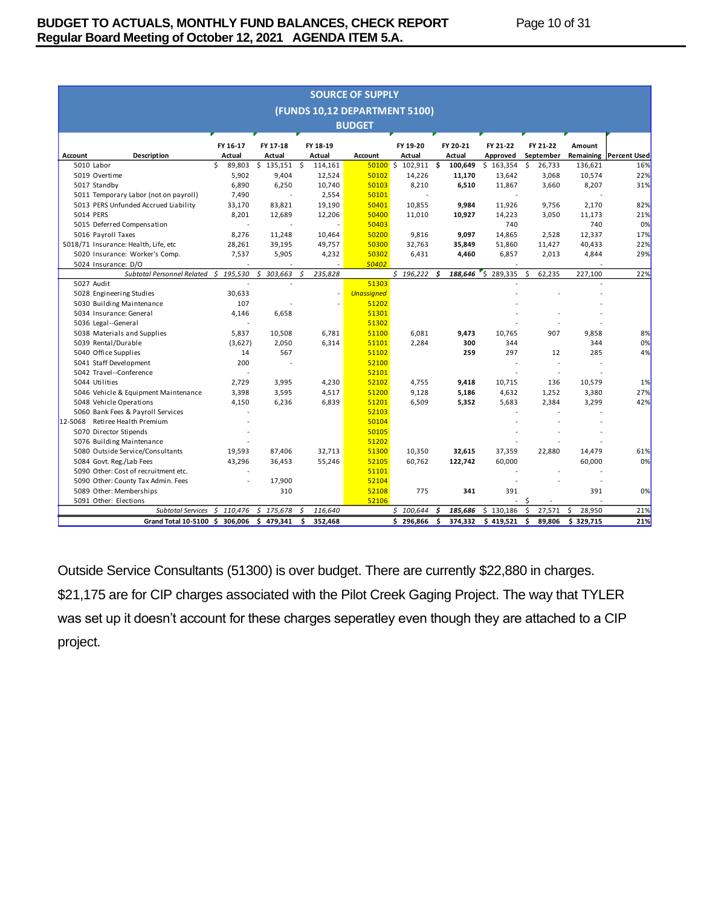|                | <b>SOURCE OF SUPPLY</b>                   |              |               |               |                               |                       |               |           |               |              |                               |  |
|----------------|-------------------------------------------|--------------|---------------|---------------|-------------------------------|-----------------------|---------------|-----------|---------------|--------------|-------------------------------|--|
|                |                                           |              |               |               | (FUNDS 10,12 DEPARTMENT 5100) |                       |               |           |               |              |                               |  |
|                | <b>BUDGET</b>                             |              |               |               |                               |                       |               |           |               |              |                               |  |
|                |                                           |              |               |               |                               |                       |               |           |               |              |                               |  |
|                |                                           | FY 16-17     | FY 17-18      | FY 18-19      |                               | FY 19-20              | FY 20-21      | FY 21-22  | FY 21-22      | Amount       |                               |  |
| <b>Account</b> | Description                               | Actual       | Actual        | Actual        | <b>Account</b>                | Actual                | Actual        | Approved  | September     |              | <b>Remaining Percent Used</b> |  |
|                | 5010 Labor                                | Ś.<br>89,803 | $$135,151$ \$ | 114,161       |                               | $50100$ \$ 102,911 \$ | 100,649       | \$163,354 | \$<br>26,733  | 136,621      | 16%                           |  |
|                | 5019 Overtime                             | 5,902        | 9,404         | 12,524        | 50102                         | 14,226                | 11,170        | 13,642    | 3,068         | 10,574       | 22%                           |  |
|                | 5017 Standby                              | 6,890        | 6,250         | 10,740        | 50103                         | 8,210                 | 6,510         | 11,867    | 3.660         | 8,207        | 31%                           |  |
|                | 5011 Temporary Labor (not on payroll)     | 7,490        |               | 2,554         | 50101                         |                       |               |           |               |              |                               |  |
|                | 5013 PERS Unfunded Accrued Liability      | 33,170       | 83,821        | 19,190        | 50401                         | 10,855                | 9,984         | 11,926    | 9,756         | 2,170        | 82%                           |  |
| 5014 PERS      |                                           | 8,201        | 12,689        | 12,206        | 50400                         | 11,010                | 10,927        | 14,223    | 3,050         | 11,173       | 21%                           |  |
|                | 5015 Deferred Compensation                |              |               |               | 50403                         |                       |               | 740       |               | 740          | 0%                            |  |
|                | 5016 Payroll Taxes                        | 8.276        | 11.248        | 10,464        | 50200                         | 9.816                 | 9.097         | 14,865    | 2.528         | 12,337       | 17%                           |  |
|                | 5018/71 Insurance: Health, Life, etc      | 28,261       | 39,195        | 49,757        | 50300                         | 32,763                | 35,849        | 51,860    | 11,427        | 40,433       | 22%                           |  |
|                | 5020 Insurance: Worker's Comp.            | 7,537        | 5,905         | 4,232         | 50302                         | 6,431                 | 4,460         | 6,857     | 2,013         | 4,844        | 29%                           |  |
|                | 5024 Insurance: D/O                       |              |               |               | 50402                         |                       |               |           |               |              |                               |  |
|                | Subtotal Personnel Related                | 195,530<br>Ś | \$<br>303,663 | Ś<br>235,828  |                               | \$196,222             | 188,646<br>Ś. | 5289,335  | \$<br>62,235  | 227,100      | 22%                           |  |
|                | 5027 Audit                                |              |               |               | 51303                         |                       |               |           |               |              |                               |  |
|                | 5028 Engineering Studies                  | 30,633       |               |               | <b>Unassigned</b>             |                       |               |           |               |              |                               |  |
|                | 5030 Building Maintenance                 | 107          |               |               | 51202                         |                       |               |           |               |              |                               |  |
|                | 5034 Insurance: General                   | 4,146        | 6,658         |               | 51301                         |                       |               |           |               |              |                               |  |
|                | 5036 Legal--General                       |              |               |               | 51302                         |                       |               |           |               |              |                               |  |
|                | 5038 Materials and Supplies               | 5.837        | 10,508        | 6,781         | 51100                         | 6,081                 | 9,473         | 10.765    | 907           | 9,858        | 8%                            |  |
|                | 5039 Rental/Durable                       | (3,627)      | 2,050         | 6,314         | 51101                         | 2,284                 | 300           | 344       |               | 344          | 0%                            |  |
|                | 5040 Office Supplies                      | 14           | 567           |               | 51102                         |                       | 259           | 297       | 12            | 285          | 4%                            |  |
|                | 5041 Staff Development                    | 200          |               |               | 52100                         |                       |               |           |               |              |                               |  |
|                | 5042 Travel--Conference                   |              |               |               | 52101                         |                       |               |           |               |              |                               |  |
|                | 5044 Utilities                            | 2.729        | 3,995         | 4,230         | 52102                         | 4,755                 | 9,418         | 10,715    | 136           | 10,579       | 1%                            |  |
|                | 5046 Vehicle & Equipment Maintenance      | 3,398        | 3,595         | 4,517         | 51200                         | 9,128                 | 5,186         | 4,632     | 1,252         | 3,380        | 27%                           |  |
|                | 5048 Vehicle Operations                   | 4,150        | 6,236         | 6,839         | 51201                         | 6,509                 | 5,352         | 5,683     | 2,384         | 3,299        | 42%                           |  |
|                | 5060 Bank Fees & Payroll Services         |              |               |               | 52103                         |                       |               |           |               |              |                               |  |
| 12-5068        | Retiree Health Premium                    |              |               |               | 50104                         |                       |               |           |               |              |                               |  |
|                | 5070 Director Stipends                    |              |               |               | 50105                         |                       |               |           |               |              |                               |  |
|                | 5076 Building Maintenance                 |              |               |               | 51202                         |                       |               |           |               |              |                               |  |
|                | 5080 Outside Service/Consultants          | 19,593       | 87.406        | 32.713        | 51300                         | 10,350                | 32.615        | 37,359    | 22.880        | 14,479       | 61%                           |  |
|                | 5084 Govt. Reg./Lab Fees                  | 43,296       | 36,453        | 55,246        | 52105                         | 60,762                | 122,742       | 60,000    |               | 60,000       | 0%                            |  |
|                | 5090 Other: Cost of recruitment etc.      |              |               |               | 51101                         |                       |               |           |               |              |                               |  |
|                | 5090 Other: County Tax Admin. Fees        |              | 17,900        |               | 52104                         |                       |               |           |               |              |                               |  |
|                | 5089 Other: Memberships                   |              | 310           |               | 52108                         | 775                   | 341           | 391       |               | 391          | 0%                            |  |
|                | 5091 Other: Elections                     |              |               |               | 52106                         |                       |               | ä,        | Ŝ             |              |                               |  |
|                | Subtotal Services \$ 110,476              |              | \$175,678     | 116,640<br>S  |                               | \$100,644             | 185,686<br>.s | \$130,186 | \$<br>27,571  | \$<br>28,950 | 21%                           |  |
|                | Grand Total 10-5100 \$ 306,006 \$ 479,341 |              |               | Ŝ.<br>352,468 |                               | \$296,866             | Ŝ.<br>374,332 | \$419,521 | \$.<br>89,806 | \$329,715    | 21%                           |  |

Outside Service Consultants (51300) is over budget. There are currently \$22,880 in charges. \$21,175 are for CIP charges associated with the Pilot Creek Gaging Project. The way that TYLER was set up it doesn't account for these charges seperatley even though they are attached to a CIP project.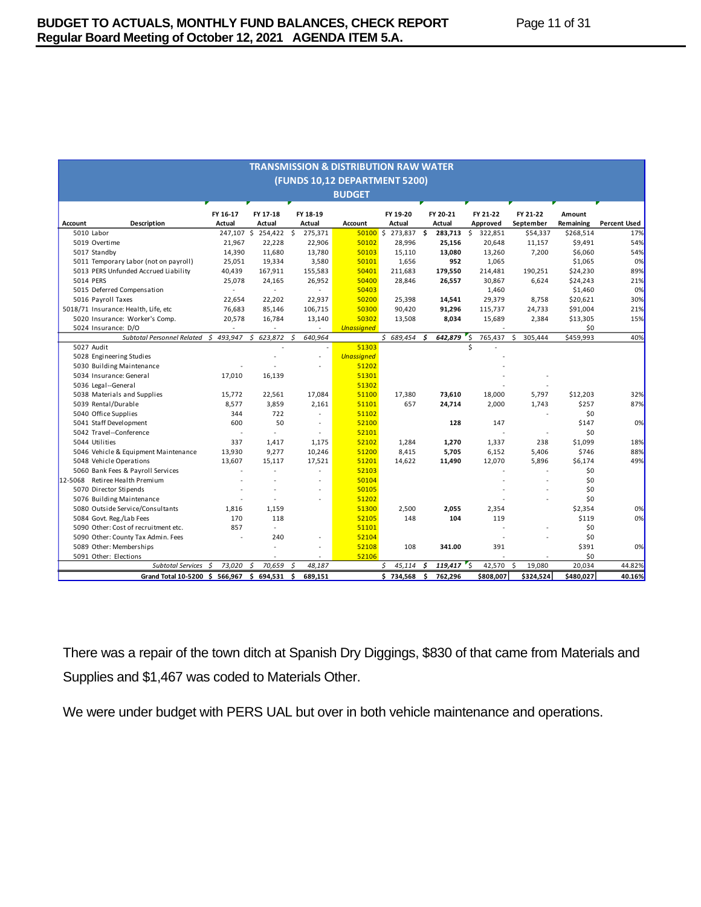| <b>TRANSMISSION &amp; DISTRIBUTION RAW WATER</b>                                                                                                                                                               |             |                    |                          |                   |              |    |                 |           |              |           |                     |  |  |
|----------------------------------------------------------------------------------------------------------------------------------------------------------------------------------------------------------------|-------------|--------------------|--------------------------|-------------------|--------------|----|-----------------|-----------|--------------|-----------|---------------------|--|--|
| (FUNDS 10,12 DEPARTMENT 5200)                                                                                                                                                                                  |             |                    |                          |                   |              |    |                 |           |              |           |                     |  |  |
|                                                                                                                                                                                                                |             |                    |                          | <b>BUDGET</b>     |              |    |                 |           |              |           |                     |  |  |
|                                                                                                                                                                                                                |             |                    |                          |                   |              |    |                 |           |              |           |                     |  |  |
|                                                                                                                                                                                                                | FY 16-17    | FY 17-18           | FY 18-19                 |                   | FY 19-20     |    | FY 20-21        | FY 21-22  | FY 21-22     | Amount    |                     |  |  |
| <b>Account</b><br><b>Description</b>                                                                                                                                                                           | Actual      | Actual             | Actual                   | <b>Account</b>    | Actual       |    | Actual          | Approved  | September    | Remaining | <b>Percent Used</b> |  |  |
| 5010 Labor                                                                                                                                                                                                     |             | 247,107 \$ 254,422 | \$<br>275,371            | 50100S            | 273,837      | \$ | 283,713<br>- \$ | 322,851   | \$54,337     | \$268,514 | 17%                 |  |  |
| 5019 Overtime                                                                                                                                                                                                  | 21,967      | 22,228             | 22,906                   | 50102             | 28,996       |    | 25,156          | 20,648    | 11,157       | \$9,491   | 54%                 |  |  |
| 5017 Standby                                                                                                                                                                                                   | 14,390      | 11,680             | 13,780                   | 50103             | 15,110       |    | 13,080          | 13,260    | 7,200        | \$6,060   | 54%                 |  |  |
| 5011 Temporary Labor (not on payroll)                                                                                                                                                                          | 25,051      | 19,334             | 3,580                    | 50101             | 1,656        |    | 952             | 1,065     |              | \$1,065   | 0%                  |  |  |
| 5013 PERS Unfunded Accrued Liability                                                                                                                                                                           | 40,439      | 167,911            | 155,583                  | 50401             | 211,683      |    | 179,550         | 214,481   | 190,251      | \$24,230  | 89%                 |  |  |
| 5014 PERS                                                                                                                                                                                                      | 25,078      | 24,165             | 26,952                   | 50400             | 28,846       |    | 26,557          | 30,867    | 6,624        | \$24,243  | 21%                 |  |  |
| 5015 Deferred Compensation                                                                                                                                                                                     |             | $\sim$             | $\overline{\phantom{a}}$ | 50403             |              |    |                 | 1,460     |              | \$1,460   | 0%                  |  |  |
| 5016 Payroll Taxes                                                                                                                                                                                             | 22,654      | 22,202             | 22,937                   | 50200             | 25,398       |    | 14,541          | 29,379    | 8,758        | \$20,621  | 30%                 |  |  |
| 5018/71 Insurance: Health, Life, etc                                                                                                                                                                           | 76,683      | 85,146             | 106,715                  | 50300             | 90,420       |    | 91,296          | 115,737   | 24,733       | \$91,004  | 21%                 |  |  |
| 5020 Insurance: Worker's Comp.                                                                                                                                                                                 | 20,578      | 16,784             | 13,140                   | 50302             | 13,508       |    | 8,034           | 15,689    | 2,384        | \$13,305  | 15%                 |  |  |
| \$0<br>5024 Insurance: D/O<br><b>Unassigned</b><br>\$689,454<br>305,444<br>40%<br>Subtotal Personnel Related \$ 493,947<br>Ś.<br>623,872<br>640,964<br>\$<br>642,879<br>'s<br>765,437<br>Ŝ.<br>\$459,993<br>-Ś |             |                    |                          |                   |              |    |                 |           |              |           |                     |  |  |
|                                                                                                                                                                                                                |             |                    |                          |                   |              |    |                 |           |              |           |                     |  |  |
| 5027 Audit                                                                                                                                                                                                     |             |                    |                          | 51303             |              |    |                 | Ś         |              |           |                     |  |  |
| 5028 Engineering Studies                                                                                                                                                                                       |             |                    |                          | <b>Unassigned</b> |              |    |                 |           |              |           |                     |  |  |
| 5030 Building Maintenance                                                                                                                                                                                      |             |                    |                          | 51202             |              |    |                 |           |              |           |                     |  |  |
| 5034 Insurance: General                                                                                                                                                                                        | 17,010      | 16,139             |                          | 51301             |              |    |                 |           |              |           |                     |  |  |
| 5036 Legal--General                                                                                                                                                                                            |             |                    |                          | 51302             |              |    |                 |           |              |           |                     |  |  |
| 5038 Materials and Supplies                                                                                                                                                                                    | 15,772      | 22,561             | 17,084                   | 51100             | 17,380       |    | 73,610          | 18,000    | 5,797        | \$12,203  | 32%                 |  |  |
| 5039 Rental/Durable                                                                                                                                                                                            | 8,577       | 3,859              | 2,161                    | 51101             | 657          |    | 24,714          | 2,000     | 1,743        | \$257     | 87%                 |  |  |
| 5040 Office Supplies                                                                                                                                                                                           | 344         | 722                | $\overline{\phantom{a}}$ | 51102             |              |    |                 |           |              | \$0       |                     |  |  |
| 5041 Staff Development                                                                                                                                                                                         | 600         | 50                 |                          | 52100             |              |    | 128             | 147       |              | \$147     | 0%                  |  |  |
| 5042 Travel--Conference                                                                                                                                                                                        | ÷.          | $\overline{a}$     | $\overline{\phantom{a}}$ | 52101             |              |    |                 |           |              | \$0       |                     |  |  |
| 5044 Utilities                                                                                                                                                                                                 | 337         | 1,417              | 1,175                    | 52102             | 1,284        |    | 1,270           | 1,337     | 238          | \$1,099   | 18%                 |  |  |
| 5046 Vehicle & Equipment Maintenance                                                                                                                                                                           | 13,930      | 9,277              | 10,246                   | 51200             | 8,415        |    | 5,705           | 6,152     | 5,406        | \$746     | 88%                 |  |  |
| 5048 Vehicle Operations                                                                                                                                                                                        | 13,607      | 15,117             | 17,521                   | 51201             | 14,622       |    | 11,490          | 12,070    | 5,896        | \$6,174   | 49%                 |  |  |
| 5060 Bank Fees & Payroll Services                                                                                                                                                                              |             |                    |                          | 52103             |              |    |                 |           |              | \$0       |                     |  |  |
| Retiree Health Premium<br>12-5068                                                                                                                                                                              |             |                    |                          | 50104             |              |    |                 |           |              | \$0       |                     |  |  |
| 5070 Director Stipends                                                                                                                                                                                         |             |                    |                          | 50105             |              |    |                 |           |              | \$0       |                     |  |  |
| 5076 Building Maintenance                                                                                                                                                                                      |             |                    |                          | 51202             |              |    |                 |           |              | \$0       |                     |  |  |
| 5080 Outside Service/Consultants                                                                                                                                                                               | 1,816       | 1,159              |                          | 51300             | 2,500        |    | 2,055           | 2,354     |              | \$2,354   | 0%                  |  |  |
| 5084 Govt. Reg./Lab Fees                                                                                                                                                                                       | 170         | 118                |                          | 52105             | 148          |    | 104             | 119       |              | \$119     | 0%                  |  |  |
| 5090 Other: Cost of recruitment etc.                                                                                                                                                                           | 857         |                    |                          | 51101             |              |    |                 |           |              | \$0       |                     |  |  |
| 5090 Other: County Tax Admin. Fees                                                                                                                                                                             |             | 240                |                          | 52104             |              |    |                 |           |              | \$0       |                     |  |  |
| 5089 Other: Memberships                                                                                                                                                                                        |             |                    |                          | 52108             | 108          |    | 341.00          | 391       |              | \$391     | 0%                  |  |  |
| 5091 Other: Elections                                                                                                                                                                                          |             |                    |                          | 52106             |              |    |                 |           |              | \$0       |                     |  |  |
| <b>Subtotal Services</b>                                                                                                                                                                                       | 5<br>73,020 | 70,659<br>\$       | 48,187<br>Ś              |                   | 45,114<br>\$ | \$ | $119,417$ \$    | 42,570    | 19,080<br>\$ | 20,034    | 44.82%              |  |  |
| Grand Total 10-5200 \$ 566,967 \$ 694,531                                                                                                                                                                      |             |                    | 689,151<br>Ŝ.            |                   | \$734,568    | Ŝ. | 762,296         | \$808,007 | \$324,524    | \$480,027 | 40.16%              |  |  |

There was a repair of the town ditch at Spanish Dry Diggings, \$830 of that came from Materials and Supplies and \$1,467 was coded to Materials Other.

We were under budget with PERS UAL but over in both vehicle maintenance and operations.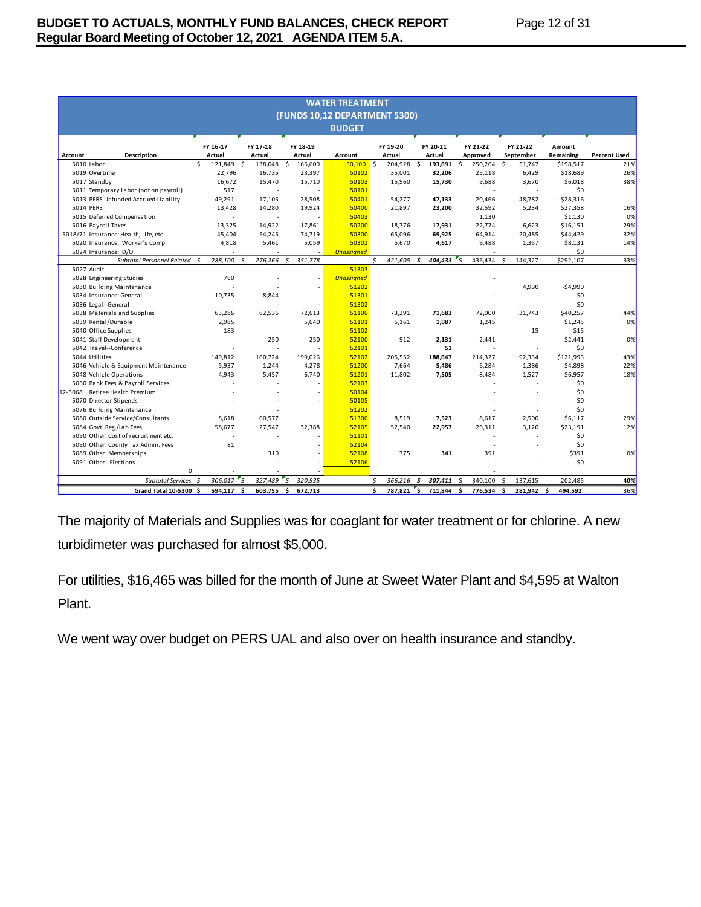|         | <b>WATER TREATMENT</b><br>(FUNDS 10,12 DEPARTMENT 5300) |                           |                    |                         |                               |                    |            |                          |                           |                           |                        |                            |
|---------|---------------------------------------------------------|---------------------------|--------------------|-------------------------|-------------------------------|--------------------|------------|--------------------------|---------------------------|---------------------------|------------------------|----------------------------|
|         |                                                         |                           |                    |                         | <b>BUDGET</b>                 |                    |            |                          |                           |                           |                        |                            |
|         |                                                         |                           |                    |                         |                               |                    |            |                          |                           |                           |                        |                            |
|         |                                                         | FY 16-17                  | FY 17-18<br>Actual | FY 18-19<br>Actual      |                               | FY 19-20<br>Actual |            | FY 20-21                 | FY 21-22                  | FY 21-22                  | Amount                 |                            |
| Account | <b>Description</b><br>5010 Labor                        | Actual<br>Ś<br>121,849 \$ | 138,048            | - Ś<br>166,600          | <b>Account</b><br>$50,100$ \$ |                    | 204,928 \$ | Actual<br>193,691        | Approved<br>Ś.<br>250,264 | September<br>Ŝ.<br>51.747 | Remaining<br>\$198,517 | <b>Percent Used</b><br>21% |
|         | 5019 Overtime                                           | 22,796                    | 16,735             | 23,397                  | 50102                         |                    | 35,001     | 32,206                   | 25,118                    | 6,429                     | \$18,689               | 26%                        |
|         | 5017 Standby                                            | 16.672                    | 15,470             | 15,710                  | 50103                         |                    | 15,960     | 15,730                   | 9,688                     | 3,670                     | \$6,018                | 38%                        |
|         | 5011 Temporary Labor (not on payroll)                   | 517                       |                    |                         | 50101                         |                    |            |                          |                           |                           | \$0                    |                            |
|         | 5013 PERS Unfunded Accrued Liability                    | 49,291                    | 17,105             | 28,508                  | 50401                         |                    | 54,277     | 47,133                   | 20.466                    | 48,782                    | $-528,316$             |                            |
|         | 5014 PERS                                               | 13,428                    | 14,280             | 19,924                  | 50400                         |                    | 21,897     | 23,200                   | 32,592                    | 5,234                     | \$27,358               | 16%                        |
|         | 5015 Deferred Compensation                              |                           |                    |                         | 50403                         |                    |            |                          | 1,130                     |                           | \$1,130                | 0%                         |
|         | 5016 Payroll Taxes                                      | 13.325                    | 14.922             | 17.861                  | 50200                         |                    | 18.776     | 17.931                   | 22,774                    | 6.623                     | \$16,151               | 29%                        |
|         | 5018/71 Insurance: Health, Life, etc                    | 45,404                    | 54,245             | 74,719                  | 50300                         |                    | 65,096     | 69,925                   | 64,914                    | 20,485                    | \$44,429               | 32%                        |
|         | 5020 Insurance: Worker's Comp.                          | 4,818                     | 5,461              | 5,059                   | 50302                         |                    | 5,670      | 4,617                    | 9,488                     | 1,357                     | \$8,131                | 14%                        |
|         | 5024 Insurance: D/O                                     |                           |                    |                         | <b>Unassigned</b>             |                    |            |                          |                           |                           | \$0                    |                            |
|         | <b>Subtotal Personnel Related</b>                       | 288,100<br>$\mathcal{S}$  | -Ś<br>276,266      | -S<br>351,778           |                               | \$.<br>421,605     |            | - S<br>404,433           | "s<br>436,434             | <sup>\$</sup><br>144,327  | \$292,107              | 33%                        |
|         | 5027 Audit                                              |                           |                    |                         | 51303                         |                    |            |                          |                           |                           |                        |                            |
|         | 5028 Engineering Studies                                | 760                       |                    | i,                      | <b>Unassigned</b>             |                    |            |                          |                           |                           |                        |                            |
|         | 5030 Building Maintenance                               |                           |                    |                         | 51202                         |                    |            |                          |                           | 4,990                     | $-$4,990$              |                            |
|         | 5034 Insurance: General                                 | 10,735                    | 8,844              |                         | 51301                         |                    |            |                          |                           |                           | \$0                    |                            |
|         | 5036 Legal--General                                     |                           |                    |                         | 51302                         |                    |            |                          |                           |                           | \$0                    |                            |
|         | 5038 Materials and Supplies                             | 63,286                    | 62,536             | 72,613                  | 51100                         |                    | 73,291     | 71,683                   | 72,000                    | 31,743                    | \$40,257               | 44%                        |
|         | 5039 Rental/Durable                                     | 2,985                     |                    | 5,640                   | 51101                         |                    | 5,161      | 1,087                    | 1,245                     |                           | \$1,245                | 0%                         |
|         | 5040 Office Supplies                                    | 183                       |                    |                         | 51102                         |                    |            |                          |                           | 15                        | $-515$                 |                            |
|         | 5041 Staff Development                                  |                           | 250                | 250                     | 52100                         |                    | 912        | 2,131                    | 2,441                     |                           | \$2,441                | 0%                         |
|         | 5042 Travel--Conference                                 |                           |                    |                         | 52101                         |                    |            | 51                       |                           |                           | \$0                    |                            |
|         | 5044 Utilities                                          | 149,812                   | 160,724            | 199,026                 | 52102                         | 205,552            |            | 188,647                  | 214,327                   | 92,334                    | \$121,993              | 43%                        |
|         | 5046 Vehicle & Equipment Maintenance                    | 5,937                     | 1,244              | 4,278                   | 51200                         |                    | 7,664      | 5,486                    | 6,284                     | 1,386                     | \$4,898                | 22%                        |
|         | 5048 Vehicle Operations                                 | 4,943                     | 5,457              | 6,740                   | 51201                         |                    | 11,802     | 7,505                    | 8,484                     | 1,527                     | \$6,957                | 18%                        |
|         | 5060 Bank Fees & Payroll Services                       |                           |                    |                         | 52103                         |                    |            |                          |                           |                           | \$0                    |                            |
| 12-5068 | Retiree Health Premium                                  |                           |                    |                         | 50104                         |                    |            |                          |                           |                           | \$0                    |                            |
|         | 5070 Director Stipends                                  |                           |                    |                         | 50105                         |                    |            |                          |                           |                           | \$0                    |                            |
|         | 5076 Building Maintenance                               |                           |                    |                         | 51202                         |                    |            |                          |                           |                           | \$0                    |                            |
|         | 5080 Outside Service/Consultants                        | 8,618                     | 60,577             |                         | 51300                         |                    | 8,519      | 7,523                    | 8,617                     | 2,500                     | \$6,117                | 29%                        |
|         | 5084 Govt. Reg./Lab Fees                                | 58,677                    | 27,547             | 32,388                  | 52105                         |                    | 52,540     | 22,957                   | 26,311                    | 3,120                     | \$23,191               | 12%                        |
|         | 5090 Other: Cost of recruitment etc.                    | ٠                         |                    |                         | 51101                         |                    |            |                          |                           |                           | \$0                    |                            |
|         | 5090 Other: County Tax Admin. Fees                      | 81                        |                    |                         | 52104                         |                    |            |                          |                           |                           | \$0                    |                            |
|         | 5089 Other: Memberships                                 |                           | 310                |                         | 52108                         |                    | 775        | 341                      | 391                       |                           | \$391                  | 0%                         |
|         | 5091 Other: Elections                                   |                           |                    |                         | 52106                         |                    |            |                          |                           |                           | \$0                    |                            |
|         | 0                                                       |                           |                    |                         |                               |                    |            |                          |                           |                           |                        |                            |
|         | <b>Subtotal Services</b>                                | 306,017<br>$\mathcal{S}$  | ' خ<br>327,489     | $\mathsf{s}$<br>320,935 |                               | \$.<br>366,216     |            | $\mathfrak s$<br>307,411 | 340,100<br>$\mathsf{S}$   | Ŝ.<br>137,615             | 202.485                | 40%                        |
|         | Grand Total 10-5300 \$                                  | 594,117                   | Ś.<br>603,755 \$   | 672,713                 |                               | Ś<br>787,821       |            | 711,844<br>`\$           | 776,534 \$<br>Ŝ.          | 281,942                   | Ŝ.<br>494,592          | 36%                        |

The majority of Materials and Supplies was for coaglant for water treatment or for chlorine. A new turbidimeter was purchased for almost \$5,000.

For utilities, \$16,465 was billed for the month of June at Sweet Water Plant and \$4,595 at Walton Plant.

We went way over budget on PERS UAL and also over on health insurance and standby.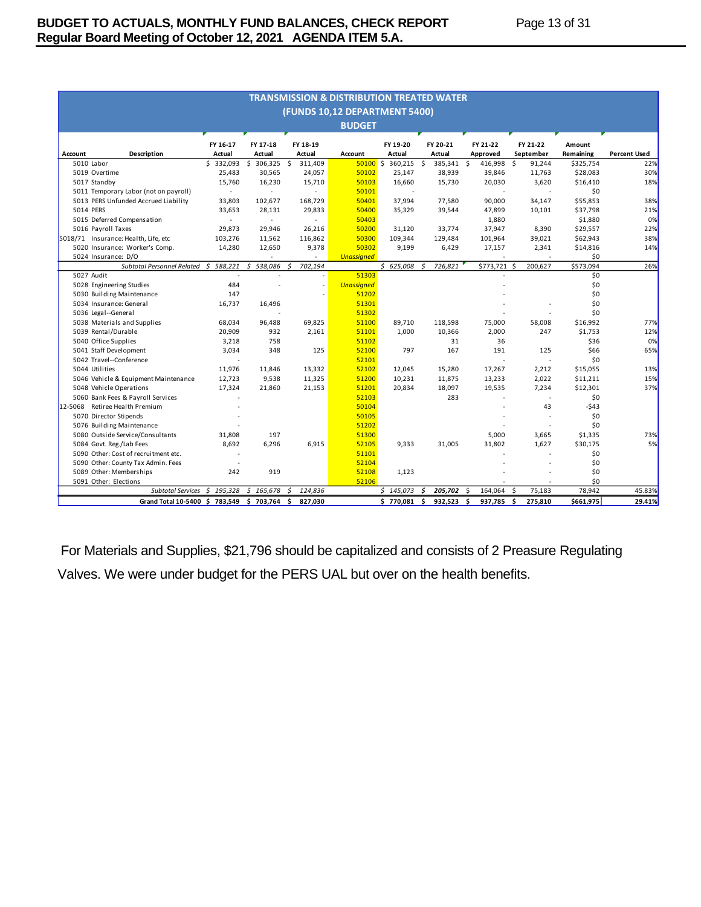| <b>TRANSMISSION &amp; DISTRIBUTION TREATED WATER</b> |                    |                    |                    |                               |                    |                    |                      |                       |                     |                     |
|------------------------------------------------------|--------------------|--------------------|--------------------|-------------------------------|--------------------|--------------------|----------------------|-----------------------|---------------------|---------------------|
|                                                      |                    |                    |                    | (FUNDS 10,12 DEPARTMENT 5400) |                    |                    |                      |                       |                     |                     |
|                                                      |                    |                    |                    | <b>BUDGET</b>                 |                    |                    |                      |                       |                     |                     |
|                                                      |                    |                    |                    |                               |                    |                    |                      |                       |                     |                     |
| Account<br>Description                               | FY 16-17<br>Actual | FY 17-18<br>Actual | FY 18-19<br>Actual | Account                       | FY 19-20<br>Actual | FY 20-21<br>Actual | FY 21-22<br>Approved | FY 21-22<br>September | Amount<br>Remaining | <b>Percent Used</b> |
| 5010 Labor                                           | \$332,093          | \$<br>306,325      | -\$<br>311,409     | $50100$ \$                    | 360,215 \$         | 385,341            | \$<br>416,998        | \$<br>91,244          | \$325,754           | 22%                 |
| 5019 Overtime                                        | 25,483             | 30,565             | 24,057             | 50102                         | 25,147             | 38,939             | 39,846               | 11,763                | \$28,083            | 30%                 |
| 5017 Standby                                         | 15,760             | 16,230             | 15,710             | 50103                         | 16,660             | 15,730             | 20,030               | 3,620                 | \$16,410            | 18%                 |
| 5011 Temporary Labor (not on payroll)                | ÷                  |                    |                    | 50101                         |                    |                    |                      |                       | \$0                 |                     |
| 5013 PERS Unfunded Accrued Liability                 | 33,803             | 102,677            | 168,729            | 50401                         | 37,994             | 77,580             | 90,000               | 34,147                | \$55,853            | 38%                 |
| 5014 PERS                                            | 33,653             | 28,131             | 29,833             | 50400                         | 35,329             | 39,544             | 47,899               | 10,101                | \$37,798            | 21%                 |
| 5015 Deferred Compensation                           | $\mathbf{r}$       | $\sim$             | $\sim$             | 50403                         |                    |                    | 1,880                |                       | \$1,880             | 0%                  |
| 5016 Payroll Taxes                                   | 29,873             | 29,946             | 26,216             | 50200                         | 31,120             | 33,774             | 37,947               | 8,390                 | \$29,557            | 22%                 |
| 5018/71 Insurance: Health, Life, etc                 | 103,276            | 11,562             | 116,862            | 50300                         | 109,344            | 129,484            | 101,964              | 39,021                | \$62,943            | 38%                 |
| 5020 Insurance: Worker's Comp.                       | 14,280             | 12,650             | 9,378              | 50302                         | 9,199              | 6,429              | 17,157               | 2,341                 | \$14,816            | 14%                 |
| 5024 Insurance: D/O                                  |                    |                    |                    | <b>Unassigned</b>             |                    |                    |                      |                       | \$0                 |                     |
| Subtotal Personnel Related                           | 588,221<br>Ś.      | \$<br>538,086      | 702,194<br>Ś       |                               | \$625,008          | 726,821<br>Ś       | \$773,721            | 200,627<br>- Ś        | \$573,094           | 26%                 |
| 5027 Audit                                           |                    |                    |                    | 51303                         |                    |                    |                      |                       | \$0                 |                     |
| 5028 Engineering Studies                             | 484                |                    | ä,                 | <b>Unassigned</b>             |                    |                    |                      |                       | \$0                 |                     |
| 5030 Building Maintenance                            | 147                |                    |                    | 51202                         |                    |                    |                      |                       | \$0                 |                     |
| 5034 Insurance: General                              | 16,737             | 16,496             |                    | 51301                         |                    |                    |                      |                       | \$0                 |                     |
| 5036 Legal--General                                  |                    |                    |                    | 51302                         |                    |                    |                      |                       | \$0                 |                     |
| 5038 Materials and Supplies                          | 68,034             | 96,488             | 69,825             | 51100                         | 89,710             | 118,598            | 75,000               | 58,008                | \$16,992            | 77%                 |
| 5039 Rental/Durable                                  | 20,909             | 932                | 2,161              | 51101                         | 1,000              | 10,366             | 2,000                | 247                   | \$1,753             | 12%                 |
| 5040 Office Supplies                                 | 3,218              | 758                |                    | 51102                         |                    | 31                 | 36                   |                       | \$36                | 0%                  |
| 5041 Staff Development                               | 3,034              | 348                | 125                | 52100                         | 797                | 167                | 191                  | 125                   | \$66                | 65%                 |
| 5042 Travel--Conference                              |                    |                    |                    | 52101                         |                    |                    |                      |                       | \$0                 |                     |
| 5044 Utilities                                       | 11,976             | 11,846             | 13,332             | 52102                         | 12,045             | 15,280             | 17,267               | 2,212                 | \$15,055            | 13%                 |
| 5046 Vehicle & Equipment Maintenance                 | 12,723             | 9,538              | 11,325             | 51200                         | 10,231             | 11,875             | 13,233               | 2,022                 | \$11,211            | 15%                 |
| 5048 Vehicle Operations                              | 17,324             | 21,860             | 21,153             | 51201                         | 20,834             | 18,097             | 19,535               | 7,234                 | \$12,301            | 37%                 |
| 5060 Bank Fees & Payroll Services                    |                    |                    |                    | 52103                         |                    | 283                |                      |                       | \$0                 |                     |
| Retiree Health Premium<br>12-5068                    |                    |                    |                    | 50104                         |                    |                    |                      | 43                    | -\$43               |                     |
| 5070 Director Stipends                               |                    |                    |                    | 50105                         |                    |                    |                      |                       | \$0                 |                     |
| 5076 Building Maintenance                            |                    |                    |                    | 51202                         |                    |                    |                      |                       | \$0                 |                     |
| 5080 Outside Service/Consultants                     | 31,808             | 197                |                    | 51300                         |                    |                    | 5,000                | 3,665                 | \$1,335             | 73%                 |
| 5084 Govt. Reg./Lab Fees                             | 8,692              | 6,296              | 6,915              | 52105                         | 9,333              | 31,005             | 31,802               | 1,627                 | \$30,175            | 5%                  |
| 5090 Other: Cost of recruitment etc.                 |                    |                    |                    | 51101                         |                    |                    |                      |                       | \$0                 |                     |
| 5090 Other: County Tax Admin. Fees                   |                    |                    |                    | 52104                         |                    |                    |                      |                       | \$0                 |                     |
| 5089 Other: Memberships                              | 242                | 919                |                    | 52108                         | 1,123              |                    |                      |                       | \$0                 |                     |
| 5091 Other: Elections                                |                    |                    |                    | 52106                         |                    |                    |                      |                       | \$0                 |                     |
| <b>Subtotal Services</b>                             | \$195,328          | \$165,678          | 124,836<br>Ŝ.      |                               | \$145,073          | 205,702<br>\$.     | 164,064<br>.S        | -\$<br>75,183         | 78,942              | 45.83%              |
| Grand Total 10-5400 \$ 783,549 \$ 703,764            |                    |                    | 827,030<br>\$      |                               | \$770,081          | \$<br>932,523      | 937,785<br>\$.       | 275,810<br>-\$        | \$661,975           | 29.41%              |

For Materials and Supplies, \$21,796 should be capitalized and consists of 2 Preasure Regulating Valves. We were under budget for the PERS UAL but over on the health benefits.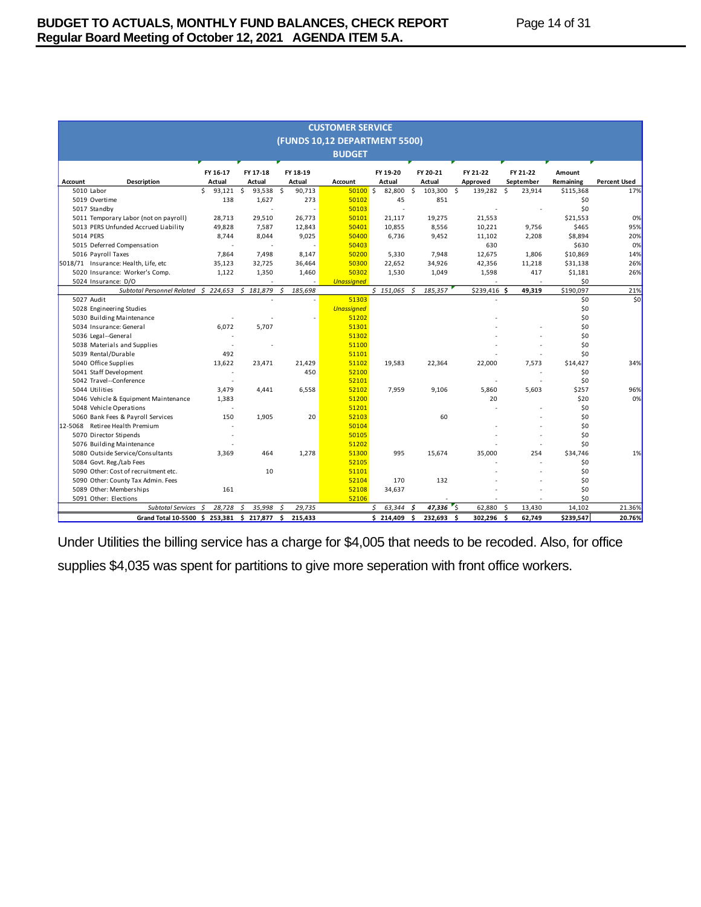|         | <b>CUSTOMER SERVICE</b>                   |                    |                    |                    |                               |                    |                    |                      |                       |                     |                     |
|---------|-------------------------------------------|--------------------|--------------------|--------------------|-------------------------------|--------------------|--------------------|----------------------|-----------------------|---------------------|---------------------|
|         |                                           |                    |                    |                    | (FUNDS 10,12 DEPARTMENT 5500) |                    |                    |                      |                       |                     |                     |
|         |                                           |                    |                    |                    | <b>BUDGET</b>                 |                    |                    |                      |                       |                     |                     |
| Account | Description                               | FY 16-17<br>Actual | FY 17-18<br>Actual | FY 18-19<br>Actual | <b>Account</b>                | FY 19-20<br>Actual | FY 20-21<br>Actual | FY 21-22<br>Approved | FY 21-22<br>September | Amount<br>Remaining | <b>Percent Used</b> |
|         | 5010 Labor                                | \$<br>93,121       | \$<br>93,538       | - \$<br>90,713     | 50100S                        | 82,800             | 103,300 \$<br>\$   | 139,282 \$           | 23,914                | \$115,368           | 17%                 |
|         | 5019 Overtime                             | 138                | 1,627              | 273                | 50102                         | 45                 | 851                |                      |                       | \$0                 |                     |
|         | 5017 Standby                              |                    |                    |                    | 50103                         |                    |                    |                      |                       | \$0                 |                     |
|         | 5011 Temporary Labor (not on payroll)     | 28.713             | 29,510             | 26.773             | 50101                         | 21.117             | 19.275             | 21.553               |                       | \$21,553            | 0%                  |
|         | 5013 PERS Unfunded Accrued Liability      | 49,828             | 7,587              | 12,843             | 50401                         | 10,855             | 8,556              | 10,221               | 9,756                 | \$465               | 95%                 |
|         | 5014 PERS                                 | 8,744              | 8,044              | 9,025              | 50400                         | 6,736              | 9,452              | 11,102               | 2,208                 | \$8,894             | 20%                 |
|         | 5015 Deferred Compensation                |                    |                    |                    | 50403                         |                    |                    | 630                  |                       | \$630               | 0%                  |
|         | 5016 Payroll Taxes                        | 7,864              | 7,498              | 8,147              | 50200                         | 5,330              | 7,948              | 12,675               | 1,806                 | \$10,869            | 14%                 |
|         | 5018/71 Insurance: Health, Life, etc      | 35,123             | 32,725             | 36,464             | 50300                         | 22,652             | 34,926             | 42.356               | 11,218                | \$31,138            | 26%                 |
|         | 5020 Insurance: Worker's Comp.            | 1,122              | 1,350              | 1,460              | 50302                         | 1,530              | 1,049              | 1,598                | 417                   | \$1,181             | 26%                 |
|         | 5024 Insurance: D/O                       |                    |                    |                    | <b>Unassigned</b>             |                    |                    |                      |                       | \$0                 |                     |
|         | Subtotal Personnel Related \$ 224,653     |                    | Ś.<br>181,879      | Ś<br>185,698       |                               | \$151,065          | 185,357<br>Ś       | \$239,416 \$         | 49,319                | \$190,097           | 21%                 |
|         | 5027 Audit                                |                    |                    |                    | 51303                         |                    |                    |                      |                       | \$0                 | \$0                 |
|         | 5028 Engineering Studies                  |                    |                    |                    | <b>Unassigned</b>             |                    |                    |                      |                       | \$0                 |                     |
|         | 5030 Building Maintenance                 |                    |                    |                    | 51202                         |                    |                    |                      |                       | \$0                 |                     |
|         | 5034 Insurance: General                   | 6,072              | 5,707              |                    | 51301                         |                    |                    |                      |                       | \$0                 |                     |
|         | 5036 Legal--General                       |                    |                    |                    | 51302                         |                    |                    |                      |                       | \$0                 |                     |
|         | 5038 Materials and Supplies               |                    |                    |                    | 51100                         |                    |                    |                      |                       | \$0                 |                     |
|         | 5039 Rental/Durable                       | 492                |                    |                    | 51101                         |                    |                    |                      |                       | \$0                 |                     |
|         | 5040 Office Supplies                      | 13,622             | 23,471             | 21,429             | 51102                         | 19,583             | 22,364             | 22,000               | 7,573                 | \$14.427            | 34%                 |
|         | 5041 Staff Development                    | $\sim$             |                    | 450                | 52100                         |                    |                    |                      |                       | \$0                 |                     |
|         | 5042 Travel--Conference                   |                    |                    |                    | 52101                         |                    |                    |                      | ۰.                    | \$0                 |                     |
|         | 5044 Utilities                            | 3,479              | 4,441              | 6,558              | 52102                         | 7,959              | 9,106              | 5,860                | 5,603                 | \$257               | 96%                 |
|         | 5046 Vehicle & Equipment Maintenance      | 1,383              |                    |                    | 51200                         |                    |                    | 20                   |                       | \$20                | 0%                  |
|         | 5048 Vehicle Operations                   |                    |                    |                    | 51201                         |                    |                    |                      |                       | \$0                 |                     |
|         | 5060 Bank Fees & Payroll Services         | 150                | 1,905              | 20                 | 52103                         |                    | 60                 |                      |                       | \$0                 |                     |
| 12-5068 | Retiree Health Premium                    |                    |                    |                    | 50104                         |                    |                    |                      |                       | \$0                 |                     |
|         | 5070 Director Stipends                    |                    |                    |                    | 50105                         |                    |                    |                      |                       | \$0                 |                     |
|         | 5076 Building Maintenance                 |                    |                    |                    | 51202                         |                    |                    |                      |                       | \$0                 |                     |
|         | 5080 Outside Service/Consultants          | 3,369              | 464                | 1,278              | 51300                         | 995                | 15,674             | 35,000               | 254                   | \$34,746            | 1%                  |
|         | 5084 Govt. Reg./Lab Fees                  |                    |                    |                    | 52105                         |                    |                    |                      |                       | \$0                 |                     |
|         | 5090 Other: Cost of recruitment etc.      |                    | 10                 |                    | 51101                         |                    |                    |                      |                       | \$0                 |                     |
|         | 5090 Other: County Tax Admin. Fees        |                    |                    |                    | 52104                         | 170                | 132                |                      |                       | \$0                 |                     |
|         | 5089 Other: Memberships                   | 161                |                    |                    | 52108                         | 34,637             |                    |                      |                       | \$0                 |                     |
|         | 5091 Other: Elections                     |                    |                    |                    | 52106                         |                    |                    |                      |                       | \$0                 |                     |
|         | <b>Subtotal Services</b>                  | 28,728<br>Ś        | 35,998<br>Ś        | Ś<br>29,735        |                               | 63,344<br>\$       | 47,336<br>Ś        | ″ś<br>62,880         | \$<br>13,430          | 14,102              | 21.36%              |
|         | Grand Total 10-5500 \$ 253,381 \$ 217,877 |                    |                    | \$<br>215,433      |                               | \$214,409          | \$<br>232,693      | -\$<br>302,296       | -\$<br>62,749         | \$239,547           | 20.76%              |

Under Utilities the billing service has a charge for \$4,005 that needs to be recoded. Also, for office supplies \$4,035 was spent for partitions to give more seperation with front office workers.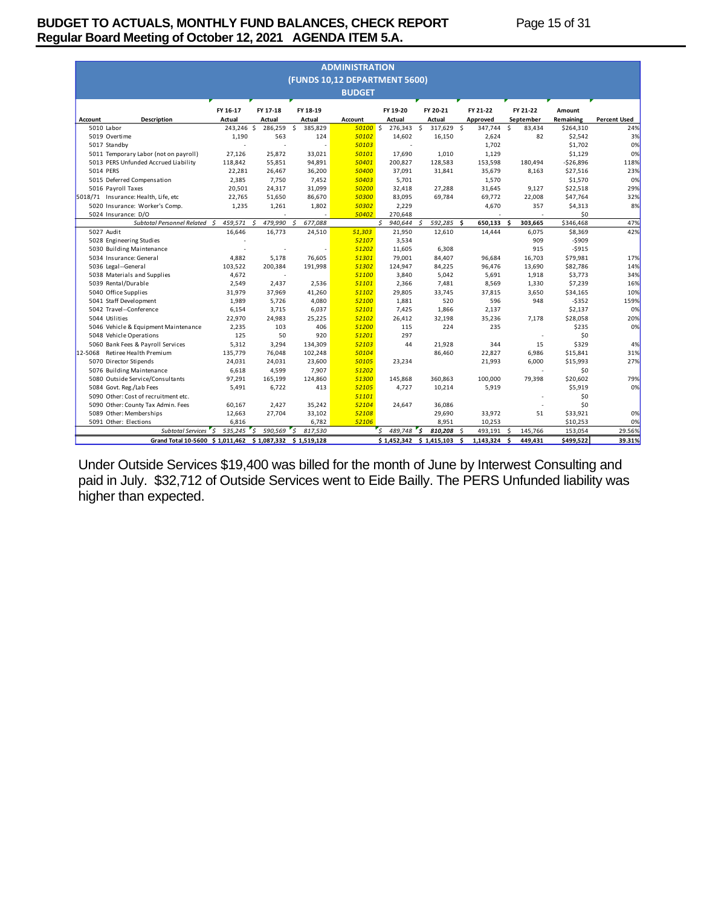# **BUDGET TO ACTUALS, MONTHLY FUND BALANCES, CHECK REPORT Page 15 of 31 Regular Board Meeting of October 12, 2021 AGENDA ITEM 5.A.**

| <b>ADMINISTRATION</b><br>(FUNDS 10,12 DEPARTMENT 5600) |                                                         |                    |                    |                    |                |                    |                           |                      |                       |                     |                     |
|--------------------------------------------------------|---------------------------------------------------------|--------------------|--------------------|--------------------|----------------|--------------------|---------------------------|----------------------|-----------------------|---------------------|---------------------|
|                                                        |                                                         |                    |                    |                    | <b>BUDGET</b>  |                    |                           |                      |                       |                     |                     |
|                                                        |                                                         |                    |                    |                    |                |                    |                           |                      |                       |                     |                     |
| Account                                                | <b>Description</b>                                      | FY 16-17<br>Actual | FY 17-18<br>Actual | FY 18-19<br>Actual | <b>Account</b> | FY 19-20<br>Actual | FY 20-21<br>Actual        | FY 21-22<br>Approved | FY 21-22<br>September | Amount<br>Remaining | <b>Percent Used</b> |
|                                                        | 5010 Labor                                              | 243,246 \$         | 286,259            | \$<br>385,829      | 50100S         | 276,343 \$         | 317,629                   | 347,744<br>\$        | -\$<br>83,434         | \$264,310           | 24%                 |
|                                                        | 5019 Overtime                                           | 1,190              | 563                | 124                | 50102          | 14,602             | 16,150                    | 2,624                | 82                    | \$2,542             | 3%                  |
|                                                        | 5017 Standby                                            |                    |                    |                    | 50103          |                    |                           | 1,702                |                       | \$1,702             | 0%                  |
|                                                        | 5011 Temporary Labor (not on payroll)                   | 27,126             | 25,872             | 33,021             | 50101          | 17,690             | 1,010                     | 1,129                |                       | \$1,129             | 0%                  |
|                                                        | 5013 PERS Unfunded Accrued Liability                    | 118,842            | 55,851             | 94,891             | 50401          | 200,827            | 128,583                   | 153,598              | 180,494               | $-526,896$          | 118%                |
|                                                        | 5014 PERS                                               | 22,281             | 26,467             | 36,200             | 50400          | 37,091             | 31,841                    | 35,679               | 8,163                 | \$27,516            | 23%                 |
|                                                        | 5015 Deferred Compensation                              | 2.385              | 7.750              | 7,452              | 50403          | 5.701              |                           | 1,570                |                       | \$1,570             | 0%                  |
|                                                        | 5016 Payroll Taxes                                      | 20,501             | 24,317             | 31,099             | 50200          | 32,418             | 27,288                    | 31,645               | 9.127                 | \$22,518            | 29%                 |
|                                                        | 5018/71 Insurance: Health, Life, etc                    | 22,765             | 51,650             | 86,670             | 50300          | 83,095             | 69,784                    | 69,772               | 22,008                | \$47,764            | 32%                 |
|                                                        | 5020 Insurance: Worker's Comp.                          | 1,235              | 1,261              | 1,802              | 50302          | 2,229              |                           | 4,670                | 357                   | \$4,313             | 8%                  |
|                                                        | 5024 Insurance: D/O                                     |                    |                    |                    | 50402          | 270,648            |                           |                      |                       | \$0                 |                     |
|                                                        | Subtotal Personnel Related \$                           | 459,571            | 479,990<br>-S      | Ŝ.<br>677,088      |                | 940,644<br>Ś.      | 592,285<br>Ŝ              | \$.<br>650,133       | Ś.<br>303,665         | \$346,468           | 47%                 |
|                                                        | 5027 Audit                                              | 16.646             | 16.773             | 24,510             | 51.303         | 21.950             | 12.610                    | 14,444               | 6.075                 | \$8,369             | 42%                 |
|                                                        | 5028 Engineering Studies                                |                    |                    |                    | 52107          | 3,534              |                           |                      | 909                   | $-$909$             |                     |
|                                                        | 5030 Building Maintenance                               |                    |                    |                    | 51202          | 11,605             | 6.308                     |                      | 915                   | $-5915$             |                     |
|                                                        | 5034 Insurance: General                                 | 4,882              | 5,178              | 76,605             | 51301          | 79,001             | 84,407                    | 96,684               | 16,703                | \$79,981            | 17%                 |
|                                                        | 5036 Legal--General                                     | 103,522            | 200,384            | 191,998            | 51302          | 124,947            | 84,225                    | 96,476               | 13,690                | \$82,786            | 14%                 |
|                                                        | 5038 Materials and Supplies                             | 4,672              | ×.                 |                    | 51100          | 3,840              | 5,042                     | 5,691                | 1,918                 | \$3,773             | 34%                 |
|                                                        | 5039 Rental/Durable                                     | 2.549              | 2.437              | 2,536              | 51101          | 2,366              | 7.481                     | 8,569                | 1.330                 | \$7,239             | 16%                 |
|                                                        | 5040 Office Supplies                                    | 31,979             | 37,969             | 41,260             | 51102          | 29,805             | 33,745                    | 37,815               | 3,650                 | \$34,165            | 10%                 |
|                                                        | 5041 Staff Development                                  | 1.989              | 5,726              | 4,080              | 52100          | 1,881              | 520                       | 596                  | 948                   | $-5352$             | 159%                |
|                                                        | 5042 Travel--Conference                                 | 6,154              | 3,715              | 6,037              | 52101          | 7,425              | 1,866                     | 2,137                |                       | \$2,137             | 0%                  |
|                                                        | 5044 Utilities                                          | 22,970             | 24,983             | 25,225             | 52102          | 26,412             | 32,198                    | 35,236               | 7.178                 | \$28,058            | 20%                 |
|                                                        | 5046 Vehicle & Equipment Maintenance                    | 2,235              | 103                | 406                | 51200          | 115                | 224                       | 235                  |                       | \$235               | 0%                  |
|                                                        | 5048 Vehicle Operations                                 | 125                | 50                 | 920                | 51201          | 297                |                           |                      | ÷                     | \$0                 |                     |
|                                                        | 5060 Bank Fees & Payroll Services                       | 5,312              | 3,294              | 134,309            | 52103          | 44                 | 21,928                    | 344                  | 15                    | \$329               | 4%                  |
| 12-5068                                                | Retiree Health Premium                                  | 135,779            | 76.048             | 102,248            | 50104          |                    | 86.460                    | 22,827               | 6.986                 | \$15,841            | 31%                 |
|                                                        | 5070 Director Stipends                                  | 24,031             | 24,031             | 23,600             | 50105          | 23,234             |                           | 21,993               | 6,000                 | \$15,993            | 27%                 |
|                                                        | 5076 Building Maintenance                               | 6.618              | 4,599              | 7,907              | 51202          |                    |                           |                      | ÷                     | \$0                 |                     |
|                                                        | 5080 Outside Service/Consultants                        | 97,291             | 165,199            | 124,860            | 51300          | 145,868            | 360,863                   | 100,000              | 79,398                | \$20,602            | 79%                 |
|                                                        | 5084 Govt. Reg./Lab Fees                                | 5,491              | 6,722              | 413                | 52105          | 4,727              | 10,214                    | 5,919                |                       | \$5,919             | 0%                  |
|                                                        | 5090 Other: Cost of recruitment etc.                    |                    |                    |                    | 51101          |                    |                           |                      |                       | \$0                 |                     |
|                                                        | 5090 Other: County Tax Admin. Fees                      | 60,167             | 2.427              | 35,242             | 52104          | 24.647             | 36.086                    |                      |                       | \$0                 |                     |
|                                                        | 5089 Other: Memberships                                 | 12,663             | 27,704             | 33,102             | 52108          |                    | 29,690                    | 33,972               | 51                    | \$33,921            | 0%                  |
|                                                        | 5091 Other: Elections                                   | 6.816              |                    | 6.782              | 52106          |                    | 8,951                     | 10,253               |                       | \$10,253            | 0%                  |
|                                                        | Subtotal Services \$                                    | 535,245            | 590,569<br>'s      | "s<br>817,530      |                | 's<br>489,748      | 's<br>810,208             | 493,191<br>¢,        | 145,766<br>\$         | 153,054             | 29.56%              |
|                                                        | Grand Total 10-5600 \$1,011,462 \$1,087,332 \$1,519,128 |                    |                    |                    |                |                    | $$1,452,342 \t$1,415,103$ | \$<br>1,143,324      | \$.<br>449.431        | \$499,522           | 39.31%              |

Under Outside Services \$19,400 was billed for the month of June by Interwest Consulting and paid in July. \$32,712 of Outside Services went to Eide Bailly. The PERS Unfunded liability was higher than expected.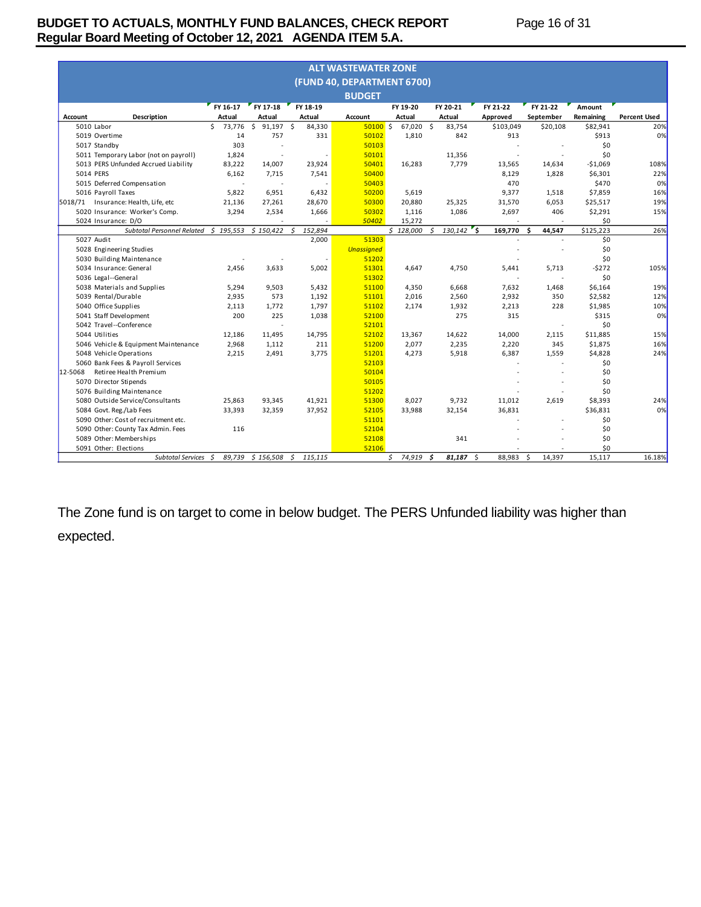# **BUDGET TO ACTUALS, MONTHLY FUND BALANCES, CHECK REPORT Page 16 of 31 Regular Board Meeting of October 12, 2021 AGENDA ITEM 5.A.**

|         | <b>ALT WASTEWATER ZONE</b>            |              |                          |               |                            |              |               |                |              |           |                     |  |
|---------|---------------------------------------|--------------|--------------------------|---------------|----------------------------|--------------|---------------|----------------|--------------|-----------|---------------------|--|
|         |                                       |              |                          |               | (FUND 40, DEPARTMENT 6700) |              |               |                |              |           |                     |  |
|         |                                       |              |                          |               | <b>BUDGET</b>              |              |               |                |              |           |                     |  |
|         |                                       | FY 16-17     | FY 17-18                 | FY 18-19      |                            | FY 19-20     | FY 20-21      | FY 21-22       | FY 21-22     | Amount    |                     |  |
| Account | <b>Description</b>                    | Actual       | Actual                   | Actual        | Account                    | Actual       | Actual        | Approved       | September    | Remaining | <b>Percent Used</b> |  |
|         | 5010 Labor                            | Ś.<br>73.776 | \$<br>91.197             | Ŝ.<br>84,330  | 50100S                     | 67.020       | Ŝ.<br>83.754  | \$103,049      | \$20,108     | \$82,941  | 20%                 |  |
|         | 5019 Overtime                         | 14           | 757                      | 331           | 50102                      | 1,810        | 842           | 913            |              | \$913     | 0%                  |  |
|         | 5017 Standby                          | 303          |                          |               | 50103                      |              |               |                |              | \$0       |                     |  |
|         | 5011 Temporary Labor (not on payroll) | 1,824        | ÷.                       |               | 50101                      |              | 11,356        |                |              | \$0       |                     |  |
|         | 5013 PERS Unfunded Accrued Liability  | 83,222       | 14,007                   | 23,924        | 50401                      | 16,283       | 7,779         | 13,565         | 14.634       | $-51,069$ | 108%                |  |
|         | 5014 PERS                             | 6.162        | 7,715                    | 7,541         | 50400                      |              |               | 8,129          | 1.828        | \$6,301   | 22%                 |  |
|         | 5015 Deferred Compensation            |              | $\overline{\phantom{a}}$ |               | 50403                      |              |               | 470            |              | \$470     | 0%                  |  |
|         | 5016 Payroll Taxes                    | 5.822        | 6,951                    | 6,432         | 50200                      | 5,619        |               | 9,377          | 1.518        | \$7,859   | 16%                 |  |
| 5018/71 | Insurance: Health, Life, etc          | 21,136       | 27,261                   | 28,670        | 50300                      | 20,880       | 25,325        | 31,570         | 6,053        | \$25,517  | 19%                 |  |
|         | 5020 Insurance: Worker's Comp.        | 3,294        | 2,534                    | 1,666         | 50302                      | 1,116        | 1,086         | 2,697          | 406          | \$2,291   | 15%                 |  |
|         | 5024 Insurance: D/O                   |              |                          |               | 50402                      | 15,272       |               |                |              | \$0       |                     |  |
|         | Subtotal Personnel Related            | \$195,553    | \$150,422                | \$<br>152,894 |                            | \$128,000    | 130,142<br>Ŝ. | ۰s.<br>169,770 | 44,547<br>Ŝ  | \$125,223 | 26%                 |  |
|         | 5027 Audit                            |              |                          | 2,000         | 51303                      |              |               |                |              | \$0       |                     |  |
|         | 5028 Engineering Studies              |              |                          |               | <b>Unassigned</b>          |              |               |                |              | \$0       |                     |  |
|         | 5030 Building Maintenance             |              |                          |               | 51202                      |              |               |                |              | \$0       |                     |  |
|         | 5034 Insurance: General               | 2.456        | 3,633                    | 5,002         | 51301                      | 4.647        | 4,750         | 5,441          | 5,713        | $-5272$   | 105%                |  |
|         | 5036 Legal--General                   |              |                          |               | 51302                      |              |               |                |              | \$0       |                     |  |
|         | 5038 Materials and Supplies           | 5,294        | 9,503                    | 5,432         | 51100                      | 4,350        | 6,668         | 7,632          | 1.468        | \$6,164   | 19%                 |  |
|         | 5039 Rental/Durable                   | 2,935        | 573                      | 1,192         | 51101                      | 2,016        | 2,560         | 2,932          | 350          | \$2,582   | 12%                 |  |
|         | 5040 Office Supplies                  | 2,113        | 1,772                    | 1,797         | 51102                      | 2,174        | 1,932         | 2,213          | 228          | \$1,985   | 10%                 |  |
|         | 5041 Staff Development                | 200          | 225                      | 1,038         | 52100                      |              | 275           | 315            |              | \$315     | 0%                  |  |
|         | 5042 Travel--Conference               |              |                          |               | 52101                      |              |               |                |              | \$0       |                     |  |
|         | 5044 Utilities                        | 12,186       | 11.495                   | 14,795        | 52102                      | 13,367       | 14,622        | 14,000         | 2,115        | \$11,885  | 15%                 |  |
|         | 5046 Vehicle & Equipment Maintenance  | 2,968        | 1,112                    | 211           | 51200                      | 2,077        | 2,235         | 2,220          | 345          | \$1,875   | 16%                 |  |
|         | 5048 Vehicle Operations               | 2,215        | 2,491                    | 3,775         | 51201                      | 4,273        | 5,918         | 6,387          | 1,559        | \$4,828   | 24%                 |  |
|         | 5060 Bank Fees & Payroll Services     |              |                          |               | 52103                      |              |               |                |              | \$0       |                     |  |
| 12-5068 | Retiree Health Premium                |              |                          |               | 50104                      |              |               |                |              | \$0       |                     |  |
|         | 5070 Director Stipends                |              |                          |               | 50105                      |              |               |                |              | \$0       |                     |  |
|         | 5076 Building Maintenance             |              |                          |               | 51202                      |              |               |                |              | \$0       |                     |  |
|         | 5080 Outside Service/Consultants      | 25,863       | 93,345                   | 41,921        | 51300                      | 8,027        | 9,732         | 11,012         | 2.619        | \$8,393   | 24%                 |  |
|         | 5084 Govt. Reg./Lab Fees              | 33.393       | 32,359                   | 37,952        | 52105                      | 33.988       | 32.154        | 36.831         |              | \$36.831  | 0%                  |  |
|         | 5090 Other: Cost of recruitment etc.  |              |                          |               | 51101                      |              |               |                |              | \$0       |                     |  |
|         | 5090 Other: County Tax Admin. Fees    | 116          |                          |               | 52104                      |              |               |                |              | \$0       |                     |  |
|         | 5089 Other: Memberships               |              |                          |               | 52108                      |              | 341           |                |              | \$0       |                     |  |
|         | 5091 Other: Elections                 |              |                          |               | 52106                      |              |               |                |              | \$0       |                     |  |
|         | <b>Subtotal Services</b>              | 89,739<br>Ŝ. | \$156,508                | 115,115<br>\$ |                            | 74,919<br>Ś. | 81,187<br>- S | \$<br>88,983   | \$<br>14,397 | 15,117    | 16.18%              |  |

The Zone fund is on target to come in below budget. The PERS Unfunded liability was higher than expected.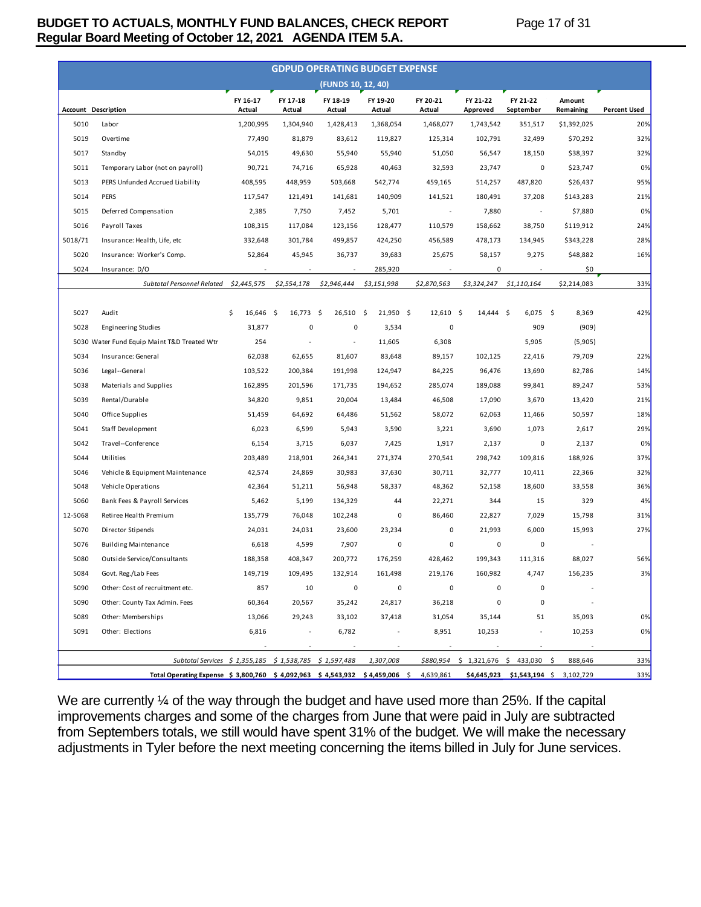# **BUDGET TO ACTUALS, MONTHLY FUND BALANCES, CHECK REPORT Page 17 of 31 Regular Board Meeting of October 12, 2021 AGENDA ITEM 5.A.**

|         |                                                                                                                               |                    |                          |                          | <b>GDPUD OPERATING BUDGET EXPENSE</b> |                          |                                          |                          |                     |                     |
|---------|-------------------------------------------------------------------------------------------------------------------------------|--------------------|--------------------------|--------------------------|---------------------------------------|--------------------------|------------------------------------------|--------------------------|---------------------|---------------------|
|         |                                                                                                                               |                    |                          | (FUNDS 10, 12, 40)       |                                       |                          |                                          |                          |                     |                     |
|         | <b>Account Description</b>                                                                                                    | FY 16-17<br>Actual | FY 17-18<br>Actual       | FY 18-19<br>Actual       | FY 19-20<br>Actual                    | FY 20-21<br>Actual       | FY 21-22<br>Approved                     | FY 21-22<br>September    | Amount<br>Remaining | <b>Percent Used</b> |
| 5010    | Labor                                                                                                                         | 1,200,995          | 1,304,940                | 1,428,413                | 1,368,054                             | 1,468,077                | 1,743,542                                | 351,517                  | \$1,392,025         | 20%                 |
| 5019    | Overtime                                                                                                                      | 77,490             | 81,879                   | 83,612                   | 119,827                               | 125,314                  | 102,791                                  | 32,499                   | \$70,292            | 32%                 |
| 5017    | Standby                                                                                                                       | 54,015             | 49,630                   | 55,940                   | 55,940                                | 51,050                   | 56,547                                   | 18,150                   | \$38,397            | 32%                 |
| 5011    | Temporary Labor (not on payroll)                                                                                              | 90,721             | 74,716                   | 65,928                   | 40,463                                | 32,593                   | 23,747                                   | 0                        | \$23,747            | 0%                  |
| 5013    | PERS Unfunded Accrued Liability                                                                                               | 408,595            | 448,959                  | 503,668                  | 542,774                               | 459,165                  | 514,257                                  | 487,820                  | \$26,437            | 95%                 |
| 5014    | <b>PERS</b>                                                                                                                   | 117,547            | 121,491                  | 141,681                  | 140,909                               | 141,521                  | 180,491                                  | 37,208                   | \$143,283           | 21%                 |
| 5015    | Deferred Compensation                                                                                                         | 2,385              | 7,750                    | 7,452                    | 5,701                                 | $\overline{\phantom{a}}$ | 7,880                                    |                          | \$7,880             | 0%                  |
| 5016    | Payroll Taxes                                                                                                                 | 108,315            | 117,084                  | 123,156                  | 128,477                               | 110,579                  | 158,662                                  | 38,750                   | \$119,912           | 24%                 |
| 5018/71 | Insurance: Health, Life, etc                                                                                                  | 332,648            | 301,784                  | 499,857                  | 424,250                               | 456,589                  | 478,173                                  | 134,945                  | \$343,228           | 28%                 |
| 5020    | Insurance: Worker's Comp.                                                                                                     | 52,864             | 45,945                   | 36,737                   | 39,683                                | 25,675                   | 58,157                                   | 9,275                    | \$48,882            | 16%                 |
| 5024    | Insurance: D/O                                                                                                                |                    | $\overline{\phantom{a}}$ |                          | 285,920                               |                          | 0                                        |                          | \$0                 |                     |
|         | Subtotal Personnel Related                                                                                                    | \$2,445,575        | \$2,554,178              | \$2,946,444              | \$3,151,998                           | \$2,870,563              | \$3,324,247                              | \$1,110,164              | \$2,214,083         | 33%                 |
|         |                                                                                                                               |                    |                          |                          |                                       |                          |                                          |                          |                     |                     |
| 5027    | Audit                                                                                                                         | \$<br>$16,646$ \$  | 16,773                   | -\$<br>26,510            | -\$<br>$21,950$ \$                    | 12,610                   | - \$<br>$14,444$ \$                      | $6,075$ \$               | 8,369               | 42%                 |
| 5028    | Engineering Studies                                                                                                           | 31,877             | 0                        | 0                        | 3,534                                 | 0                        |                                          | 909                      | (909)               |                     |
|         | 5030 Water Fund Equip Maint T&D Treated Wtr                                                                                   | 254                |                          | $\overline{\phantom{a}}$ | 11,605                                | 6,308                    |                                          | 5,905                    | (5,905)             |                     |
| 5034    | Insurance: General                                                                                                            | 62,038             | 62,655                   | 81,607                   | 83,648                                | 89,157                   | 102,125                                  | 22,416                   | 79,709              | 22%                 |
| 5036    | Legal--General                                                                                                                | 103,522            | 200,384                  | 191,998                  | 124,947                               | 84,225                   | 96,476                                   | 13,690                   | 82,786              | 14%                 |
| 5038    | Materials and Supplies                                                                                                        | 162,895            | 201,596                  | 171,735                  | 194,652                               | 285,074                  | 189,088                                  | 99,841                   | 89,247              | 53%                 |
| 5039    | Rental/Durable                                                                                                                | 34,820             | 9,851                    | 20,004                   | 13,484                                | 46,508                   | 17,090                                   | 3,670                    | 13,420              | 21%                 |
| 5040    | Office Supplies                                                                                                               | 51,459             | 64,692                   | 64,486                   | 51,562                                | 58,072                   | 62,063                                   | 11,466                   | 50,597              | 18%                 |
| 5041    | Staff Development                                                                                                             | 6,023              | 6,599                    | 5,943                    | 3,590                                 | 3,221                    | 3,690                                    | 1,073                    | 2,617               | 29%                 |
| 5042    | Travel--Conference                                                                                                            | 6,154              | 3,715                    | 6,037                    | 7,425                                 | 1,917                    | 2,137                                    | 0                        | 2,137               | 0%                  |
| 5044    | Utilities                                                                                                                     | 203,489            | 218,901                  | 264,341                  | 271,374                               | 270,541                  | 298,742                                  | 109,816                  | 188,926             | 37%                 |
| 5046    | Vehicle & Equipment Maintenance                                                                                               | 42,574             | 24,869                   | 30,983                   | 37,630                                | 30,711                   | 32,777                                   | 10,411                   | 22,366              | 32%                 |
| 5048    | Vehicle Operations                                                                                                            | 42,364             | 51,211                   | 56,948                   | 58,337                                | 48,362                   | 52,158                                   | 18,600                   | 33,558              | 36%                 |
| 5060    | Bank Fees & Payroll Services                                                                                                  | 5,462              | 5,199                    | 134,329                  | 44                                    | 22,271                   | 344                                      | 15                       | 329                 | 4%                  |
| 12-5068 | Retiree Health Premium                                                                                                        | 135,779            | 76,048                   | 102,248                  | 0                                     | 86,460                   | 22,827                                   | 7,029                    | 15,798              | 31%                 |
| 5070    | Director Stipends                                                                                                             | 24,031             | 24,031                   | 23,600                   | 23,234                                | 0                        | 21,993                                   | 6,000                    | 15,993              | 27%                 |
| 5076    | <b>Building Maintenance</b>                                                                                                   | 6,618              | 4,599                    | 7,907                    | 0                                     | $\pmb{0}$                | 0                                        | 0                        |                     |                     |
| 5080    | Outside Service/Consultants                                                                                                   | 188,358            | 408,347                  | 200,772                  | 176,259                               | 428,462                  | 199,343                                  | 111,316                  | 88,027              | 56%                 |
| 5084    | Govt. Reg./Lab Fees                                                                                                           | 149,719            | 109,495                  | 132,914                  | 161,498                               | 219,176                  | 160,982                                  | 4,747                    | 156,235             | 3%                  |
| 5090    | Other: Cost of recruitment etc.                                                                                               | 857                | 10                       | 0                        | 0                                     | 0                        | 0                                        | 0                        |                     |                     |
| 5090    | Other: County Tax Admin. Fees                                                                                                 | 60,364             | 20,567                   | 35,242                   | 24,817                                | 36,218                   | 0                                        | 0                        |                     |                     |
| 5089    | Other: Memberships                                                                                                            | 13,066             | 29,243                   | 33,102                   | 37,418                                | 31,054                   | 35,144                                   | 51                       | 35,093              | 0%                  |
| 5091    | Other: Elections                                                                                                              | 6,816              | $\overline{\phantom{a}}$ | 6,782                    | $\overline{\phantom{a}}$              | 8,951                    | 10,253                                   | $\overline{\phantom{a}}$ | 10,253              | 0%                  |
|         |                                                                                                                               |                    | ÷,                       |                          |                                       |                          |                                          | $\sim$                   |                     |                     |
|         | Subtotal Services \$ 1,355,185 \$ 1,538,785 \$ 1,597,488                                                                      |                    |                          |                          | 1,307,008                             |                          | $$880,954 \t$ 1,321,676 \t$ 433,030 \t$$ |                          | 888,646             | 33%                 |
|         | Total Operating Expense \$ 3,800,760 \$ 4,092,963 \$ 4,543,932 \$ 4,459,006 \$ 4,639,861 \$4,645,923 \$1,543,194 \$ 3,102,729 |                    |                          |                          |                                       |                          |                                          |                          |                     | 33%                 |

We are currently  $\frac{1}{4}$  of the way through the budget and have used more than 25%. If the capital improvements charges and some of the charges from June that were paid in July are subtracted from Septembers totals, we still would have spent 31% of the budget. We will make the necessary adjustments in Tyler before the next meeting concerning the items billed in July for June services.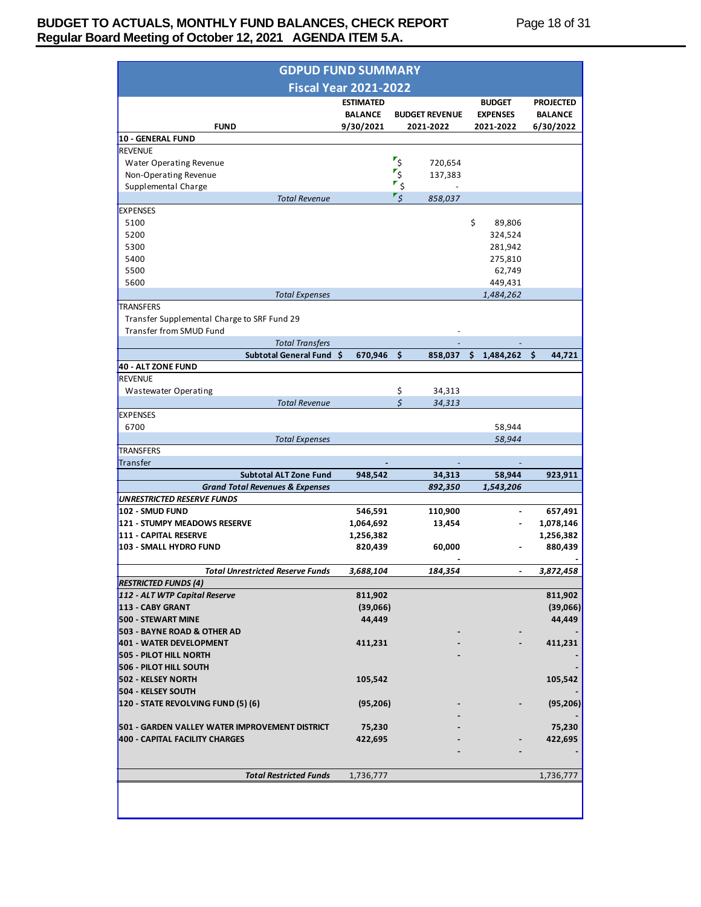# **BUDGET TO ACTUALS, MONTHLY FUND BALANCES, CHECK REPORT Page 18 of 31 Regular Board Meeting of October 12, 2021 AGENDA ITEM 5.A.**

| <b>GDPUD FUND SUMMARY</b>                                  |                              |          |                       |                         |                  |
|------------------------------------------------------------|------------------------------|----------|-----------------------|-------------------------|------------------|
|                                                            | <b>Fiscal Year 2021-2022</b> |          |                       |                         |                  |
|                                                            | <b>ESTIMATED</b>             |          |                       | <b>BUDGET</b>           | <b>PROJECTED</b> |
|                                                            | <b>BALANCE</b>               |          | <b>BUDGET REVENUE</b> | <b>EXPENSES</b>         | <b>BALANCE</b>   |
| <b>FUND</b>                                                | 9/30/2021                    |          | 2021-2022             | 2021-2022               | 6/30/2022        |
| <b>10 - GENERAL FUND</b><br><b>REVENUE</b>                 |                              |          |                       |                         |                  |
| <b>Water Operating Revenue</b>                             |                              | م¶       | 720,654               |                         |                  |
| Non-Operating Revenue                                      |                              | ع"       | 137,383               |                         |                  |
| Supplemental Charge                                        |                              | \$       |                       |                         |                  |
| <b>Total Revenue</b>                                       |                              | ۶ ً'     | 858,037               |                         |                  |
| <b>EXPENSES</b>                                            |                              |          |                       |                         |                  |
| 5100                                                       |                              |          |                       | \$<br>89,806            |                  |
| 5200                                                       |                              |          |                       | 324,524                 |                  |
| 5300                                                       |                              |          |                       | 281,942                 |                  |
| 5400                                                       |                              |          |                       | 275,810                 |                  |
| 5500                                                       |                              |          |                       | 62,749                  |                  |
| 5600                                                       |                              |          |                       | 449,431                 |                  |
| <b>Total Expenses</b>                                      |                              |          |                       | 1,484,262               |                  |
| <b>TRANSFERS</b>                                           |                              |          |                       |                         |                  |
| Transfer Supplemental Charge to SRF Fund 29                |                              |          |                       |                         |                  |
| Transfer from SMUD Fund                                    |                              |          |                       |                         |                  |
| <b>Total Transfers</b>                                     |                              |          |                       |                         |                  |
| Subtotal General Fund \$                                   | $670,946$ \$                 |          |                       | 858,037 \$ 1,484,262 \$ | 44,721           |
| 40 - ALT ZONE FUND                                         |                              |          |                       |                         |                  |
| <b>REVENUE</b>                                             |                              |          |                       |                         |                  |
| Wastewater Operating                                       |                              | \$<br>\$ | 34,313                |                         |                  |
| <b>Total Revenue</b><br><b>EXPENSES</b>                    |                              |          | 34,313                |                         |                  |
| 6700                                                       |                              |          |                       | 58,944                  |                  |
| <b>Total Expenses</b>                                      |                              |          |                       | 58,944                  |                  |
| <b>TRANSFERS</b>                                           |                              |          |                       |                         |                  |
| Transfer                                                   |                              |          |                       |                         |                  |
| <b>Subtotal ALT Zone Fund</b>                              | 948,542                      |          | 34,313                | 58,944                  | 923,911          |
| <b>Grand Total Revenues &amp; Expenses</b>                 |                              |          | 892,350               | 1,543,206               |                  |
| <b>UNRESTRICTED RESERVE FUNDS</b>                          |                              |          |                       |                         |                  |
| 102 - SMUD FUND                                            | 546,591                      |          | 110,900               | $\sim$                  | 657,491          |
| <b>121 - STUMPY MEADOWS RESERVE</b>                        | 1,064,692                    |          | 13,454                |                         | 1,078,146        |
| <b>111 - CAPITAL RESERVE</b>                               | 1,256,382                    |          |                       |                         | 1,256,382        |
| 103 - SMALL HYDRO FUND                                     | 820,439                      |          | 60,000                |                         | 880,439          |
|                                                            |                              |          |                       |                         |                  |
| <b>Total Unrestricted Reserve Funds</b>                    | 3,688,104                    |          | 184,354               |                         | 3,872,458        |
| <b>RESTRICTED FUNDS (4)</b>                                |                              |          |                       |                         |                  |
| 112 - ALT WTP Capital Reserve                              | 811,902                      |          |                       |                         | 811,902          |
| 113 - CABY GRANT                                           | (39,066)                     |          |                       |                         | (39,066)         |
| <b>500 - STEWART MINE</b>                                  | 44,449                       |          |                       |                         | 44,449           |
| 503 - BAYNE ROAD & OTHER AD                                |                              |          |                       |                         |                  |
| 401 - WATER DEVELOPMENT                                    | 411,231                      |          |                       |                         | 411,231          |
| <b>505 - PILOT HILL NORTH</b>                              |                              |          |                       |                         |                  |
| <b>506 - PILOT HILL SOUTH</b><br><b>502 - KELSEY NORTH</b> |                              |          |                       |                         | 105,542          |
| <b>504 - KELSEY SOUTH</b>                                  | 105,542                      |          |                       |                         |                  |
| 120 - STATE REVOLVING FUND (5) (6)                         | (95, 206)                    |          |                       |                         | (95, 206)        |
|                                                            |                              |          |                       |                         |                  |
| 501 - GARDEN VALLEY WATER IMPROVEMENT DISTRICT             | 75,230                       |          |                       |                         | 75,230           |
|                                                            | 422,695                      |          |                       |                         | 422,695          |
|                                                            |                              |          |                       |                         |                  |
| <b>400 - CAPITAL FACILITY CHARGES</b>                      |                              |          |                       |                         |                  |
|                                                            |                              |          |                       |                         |                  |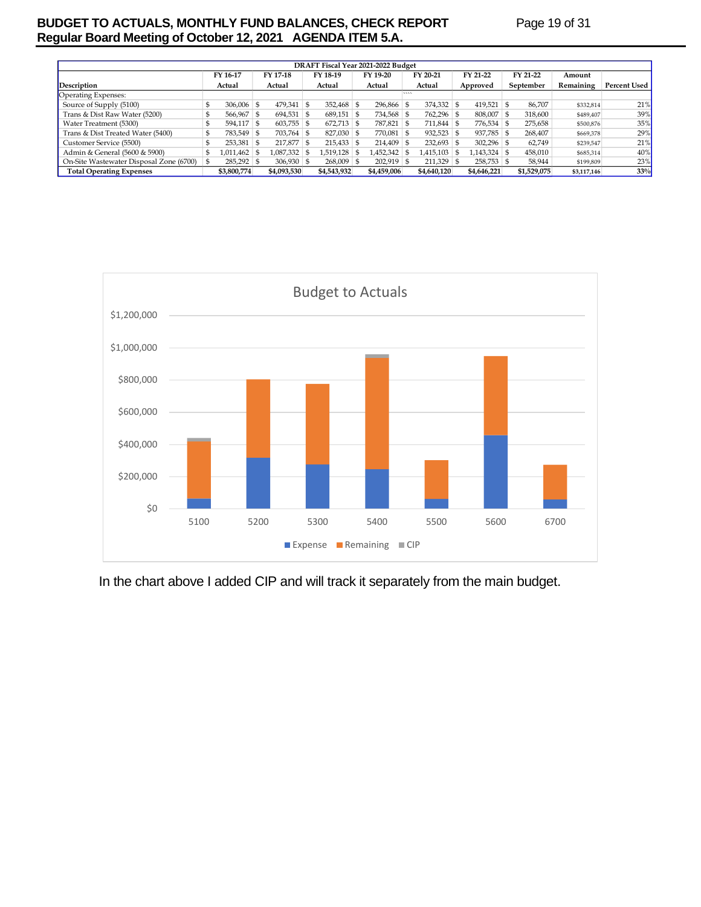# **BUDGET TO ACTUALS, MONTHLY FUND BALANCES, CHECK REPORT Page 19 of 31 Regular Board Meeting of October 12, 2021 AGENDA ITEM 5.A.**

| DRAFT Fiscal Year 2021-2022 Budget      |  |                  |  |                |  |              |  |              |        |              |      |              |    |             |             |              |
|-----------------------------------------|--|------------------|--|----------------|--|--------------|--|--------------|--------|--------------|------|--------------|----|-------------|-------------|--------------|
|                                         |  | FY 16-17         |  | FY 17-18       |  | FY 18-19     |  | FY 19-20     |        | FY 20-21     |      | FY 21-22     |    | FY 21-22    | Amount      |              |
| Description                             |  | Actual           |  | Actual         |  | Actual       |  | Actual       |        | Actual       |      | Approved     |    | September   | Remaining   | Percent Used |
| Operating Expenses:                     |  |                  |  |                |  |              |  |              | $\sim$ |              |      |              |    |             |             |              |
| Source of Supply (5100)                 |  | $306,006$ \$     |  | $479,341$ \$   |  | $352,468$ \$ |  | 296,866 \$   |        | $374,332$ \$ |      | 419,521      | -S | 86.707      | \$332,814   | 21%          |
| Trans & Dist Raw Water (5200)           |  | 566,967 \$       |  | $694,531$ \$   |  | $689,151$ \$ |  | 734,568 \$   |        | 762,296 \$   |      | 808,007      | -S | 318.600     | \$489,407   | 39%          |
| Water Treatment (5300)                  |  | $594.117$ \$     |  | $603,755$ \ \$ |  | $672,713$ \$ |  | 787,821 \$   |        | $711.844$ \$ |      | 776,534 \$   |    | 275,658     | \$500,876   | 35%          |
| Trans & Dist Treated Water (5400)       |  | 783,549 \$       |  | $703,764$ \$   |  | $827,030$ \$ |  | 770,081 \$   |        | $932,523$ \$ |      | 937,785 \$   |    | 268.407     | \$669,378   | 29%          |
| Customer Service (5500)                 |  | $253,381$ \$     |  | $217,877$ \$   |  | $215,433$ \$ |  | $214,409$ \$ |        | $232,693$ \$ |      | $302,296$ \$ |    | 62,749      | \$239,547   | 21%          |
| Admin & General (5600 & 5900)           |  | $1,011,462$   \$ |  | 1,087,332 \$   |  | 1,519,128 \$ |  | 1,452,342 \$ |        | 1,415,103    | - 95 | 1,143,324 \$ |    | 458,010     | \$685,314   | 40%          |
| On-Site Wastewater Disposal Zone (6700) |  | $285,292$ \$     |  | $306,930$ \ \$ |  | $268,009$ \$ |  | $202,919$ \$ |        | $211,329$ \$ |      | $258,753$ \$ |    | 58.944      | \$199,809   | 23%          |
| <b>Total Operating Expenses</b>         |  | \$3,800,774      |  | \$4,093,530    |  | \$4,543,932  |  | \$4,459,006  |        | \$4,640,120  |      | \$4,646,221  |    | \$1,529,075 | \$3,117,146 | 33%          |



In the chart above I added CIP and will track it separately from the main budget.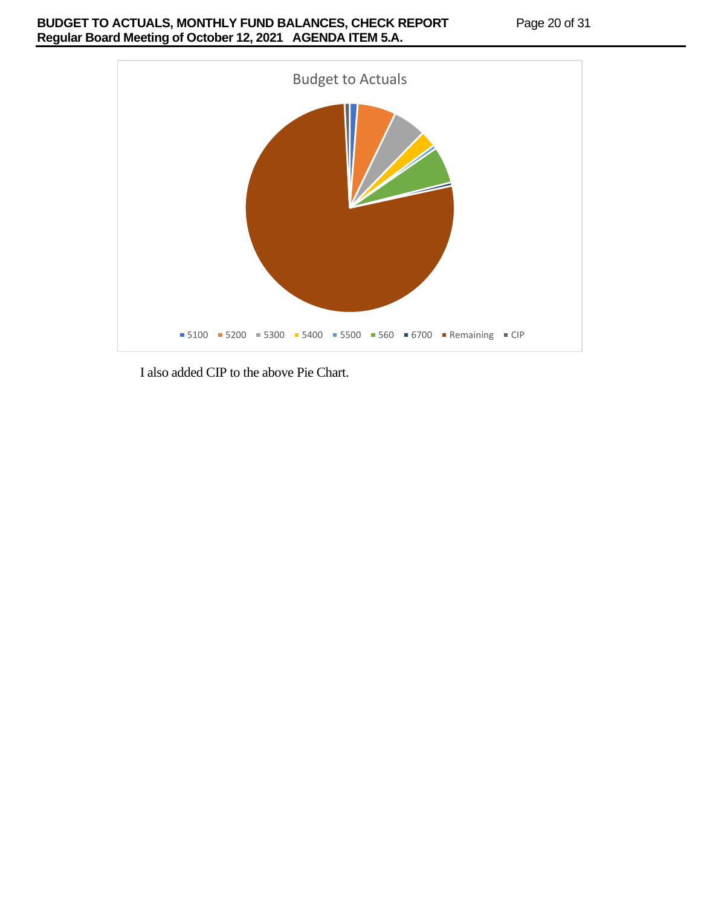# **BUDGET TO ACTUALS, MONTHLY FUND BALANCES, CHECK REPORT Page 20 of 31 Regular Board Meeting of October 12, 2021 AGENDA ITEM 5.A.**



I also added CIP to the above Pie Chart.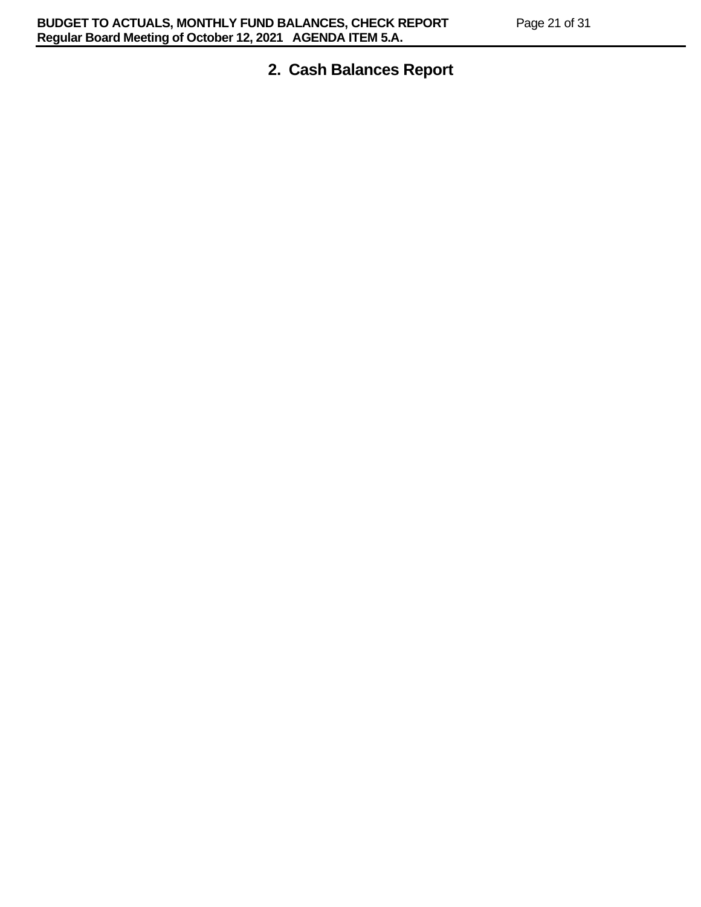# **2. Cash Balances Report**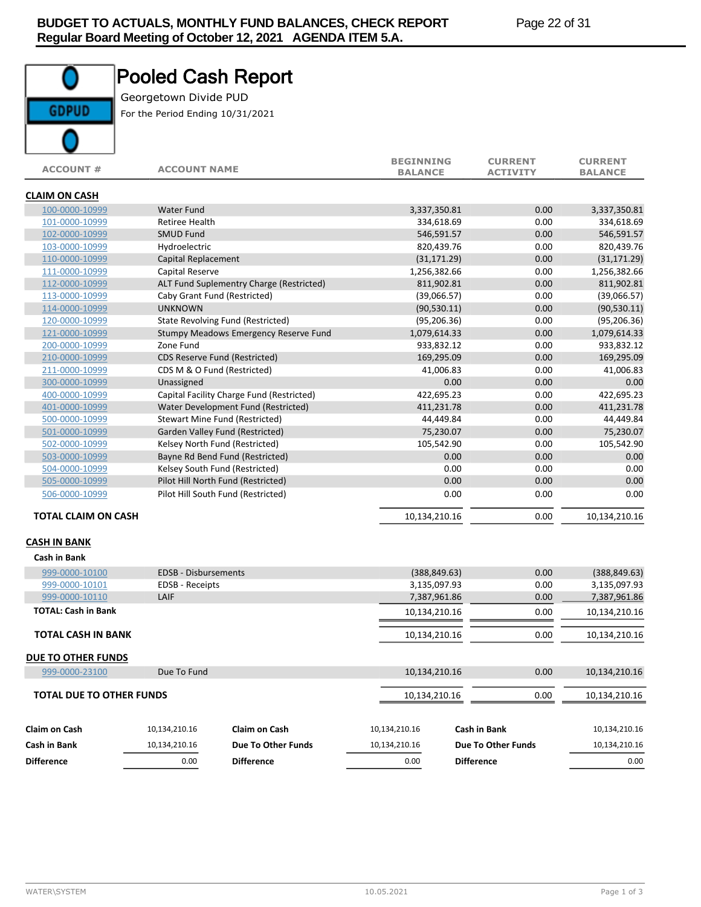# **GDPUD**

# Pooled Cash Report

Georgetown Divide PUD For the Period Ending 10/31/2021

| <b>ACCOUNT#</b>                 | <b>ACCOUNT NAME</b>   |                                           | <b>BEGINNING</b><br><b>BALANCE</b> | <b>CURRENT</b><br><b>ACTIVITY</b> | <b>CURRENT</b><br><b>BALANCE</b> |
|---------------------------------|-----------------------|-------------------------------------------|------------------------------------|-----------------------------------|----------------------------------|
| <b>CLAIM ON CASH</b>            |                       |                                           |                                    |                                   |                                  |
| 100-0000-10999                  | <b>Water Fund</b>     |                                           | 3,337,350.81                       | 0.00                              | 3,337,350.81                     |
| 101-0000-10999                  | <b>Retiree Health</b> |                                           | 334,618.69                         | 0.00                              | 334,618.69                       |
| 102-0000-10999                  | <b>SMUD Fund</b>      |                                           | 546,591.57                         | 0.00                              | 546,591.57                       |
| 103-0000-10999                  | Hydroelectric         |                                           | 820,439.76                         | 0.00                              | 820,439.76                       |
| 110-0000-10999                  | Capital Replacement   |                                           | (31, 171.29)                       | 0.00                              | (31, 171.29)                     |
| 111-0000-10999                  | Capital Reserve       |                                           | 1,256,382.66                       | 0.00                              | 1,256,382.66                     |
| 112-0000-10999                  |                       | ALT Fund Suplementry Charge (Restricted)  | 811,902.81                         | 0.00                              | 811,902.81                       |
| 113-0000-10999                  |                       | Caby Grant Fund (Restricted)              | (39,066.57)                        | 0.00                              | (39,066.57)                      |
| 114-0000-10999                  | <b>UNKNOWN</b>        |                                           | (90, 530.11)                       | 0.00                              | (90, 530.11)                     |
| 120-0000-10999                  |                       | State Revolving Fund (Restricted)         | (95, 206.36)                       | 0.00                              | (95, 206.36)                     |
| 121-0000-10999                  |                       | Stumpy Meadows Emergency Reserve Fund     | 1,079,614.33                       | 0.00                              | 1,079,614.33                     |
| 200-0000-10999                  | Zone Fund             |                                           | 933,832.12                         | 0.00                              | 933,832.12                       |
| 210-0000-10999                  |                       | CDS Reserve Fund (Restricted)             | 169,295.09                         | 0.00                              | 169,295.09                       |
| 211-0000-10999                  |                       | CDS M & O Fund (Restricted)               | 41,006.83                          | 0.00                              | 41,006.83                        |
| 300-0000-10999                  | Unassigned            |                                           | 0.00                               | 0.00                              | 0.00                             |
| 400-0000-10999                  |                       | Capital Facility Charge Fund (Restricted) | 422,695.23                         | 0.00                              | 422,695.23                       |
| 401-0000-10999                  |                       | Water Development Fund (Restricted)       | 411,231.78                         | 0.00                              | 411,231.78                       |
| 500-0000-10999                  |                       | Stewart Mine Fund (Restricted)            | 44,449.84                          | 0.00                              | 44,449.84                        |
| 501-0000-10999                  |                       | Garden Valley Fund (Restricted)           | 75,230.07                          | 0.00                              | 75,230.07                        |
| 502-0000-10999                  |                       | Kelsey North Fund (Restricted)            | 105,542.90                         | 0.00                              | 105,542.90                       |
| 503-0000-10999                  |                       | Bayne Rd Bend Fund (Restricted)           | 0.00                               | 0.00                              | 0.00                             |
| 504-0000-10999                  |                       | Kelsey South Fund (Restricted)            | 0.00                               | 0.00                              | 0.00                             |
| 505-0000-10999                  |                       | Pilot Hill North Fund (Restricted)        | 0.00                               | 0.00                              | 0.00                             |
| 506-0000-10999                  |                       | Pilot Hill South Fund (Restricted)        | 0.00                               | 0.00                              | 0.00                             |
| <b>TOTAL CLAIM ON CASH</b>      |                       |                                           | 10,134,210.16                      | 0.00                              | 10,134,210.16                    |
| <b>CASH IN BANK</b>             |                       |                                           |                                    |                                   |                                  |
| <b>Cash in Bank</b>             |                       |                                           |                                    |                                   |                                  |
| 999-0000-10100                  | EDSB - Disbursements  |                                           | (388, 849.63)                      | 0.00                              | (388, 849.63)                    |
| 999-0000-10101                  | EDSB - Receipts       |                                           | 3,135,097.93                       | 0.00                              | 3,135,097.93                     |
| 999-0000-10110                  | LAIF                  |                                           | 7,387,961.86                       | 0.00                              | 7,387,961.86                     |
| <b>TOTAL: Cash in Bank</b>      |                       |                                           | 10,134,210.16                      | 0.00                              | 10,134,210.16                    |
| <b>TOTAL CASH IN BANK</b>       |                       |                                           | 10,134,210.16                      | 0.00                              | 10,134,210.16                    |
| <b>DUE TO OTHER FUNDS</b>       |                       |                                           |                                    |                                   |                                  |
| 999-0000-23100                  | Due To Fund           |                                           | 10,134,210.16                      | 0.00                              | 10,134,210.16                    |
| <b>TOTAL DUE TO OTHER FUNDS</b> |                       |                                           | 10,134,210.16                      | 0.00                              | 10,134,210.16                    |
|                                 |                       |                                           |                                    |                                   |                                  |
| <b>Claim on Cash</b>            | 10,134,210.16         | <b>Claim on Cash</b>                      | 10,134,210.16                      | Cash in Bank                      | 10,134,210.16                    |
| Cash in Bank                    | 10,134,210.16         | Due To Other Funds                        | 10,134,210.16                      | <b>Due To Other Funds</b>         | 10,134,210.16                    |
| <b>Difference</b>               | 0.00                  | <b>Difference</b>                         | 0.00                               | <b>Difference</b>                 | 0.00                             |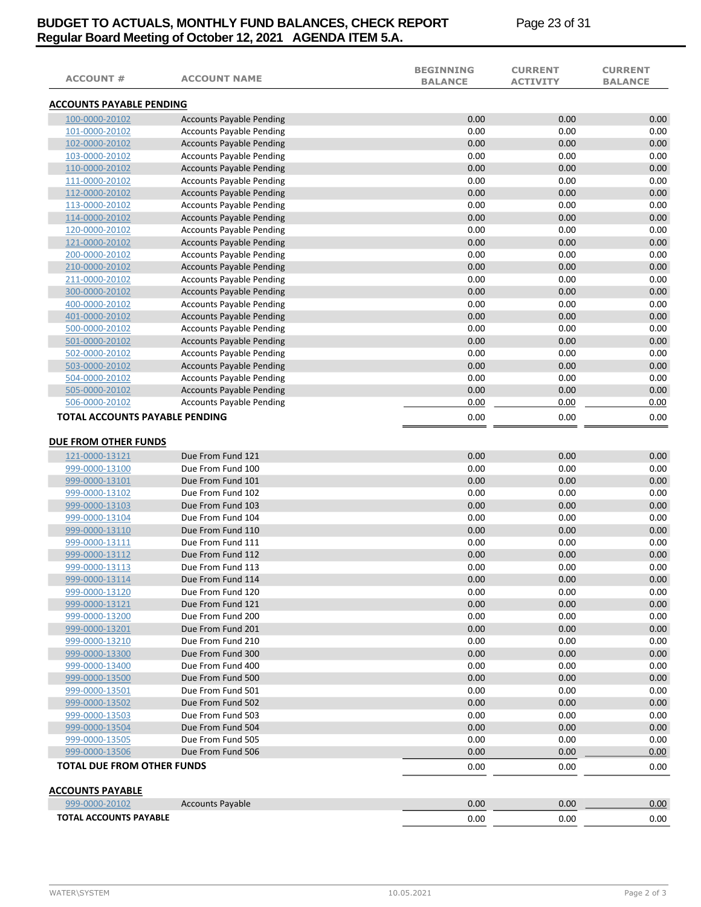# **BUDGET TO ACTUALS, MONTHLY FUND BALANCES, CHECK REPORT Page 23 of 31 Regular Board Meeting of October 12, 2021 AGENDA ITEM 5.A.**

| <b>ACCOUNT #</b>                  | <b>ACCOUNT NAME</b>             | <b>BEGINNING</b><br><b>BALANCE</b> | <b>CURRENT</b><br><b>ACTIVITY</b> | <b>CURRENT</b><br><b>BALANCE</b> |
|-----------------------------------|---------------------------------|------------------------------------|-----------------------------------|----------------------------------|
| <b>ACCOUNTS PAYABLE PENDING</b>   |                                 |                                    |                                   |                                  |
| 100-0000-20102                    | <b>Accounts Payable Pending</b> | 0.00                               | 0.00                              | 0.00                             |
| 101-0000-20102                    | <b>Accounts Payable Pending</b> | 0.00                               | 0.00                              | 0.00                             |
| 102-0000-20102                    | <b>Accounts Payable Pending</b> | 0.00                               | 0.00                              | 0.00                             |
| 103-0000-20102                    | <b>Accounts Payable Pending</b> | 0.00                               | 0.00                              | 0.00                             |
| 110-0000-20102                    | <b>Accounts Payable Pending</b> | 0.00                               | 0.00                              | 0.00                             |
| 111-0000-20102                    | <b>Accounts Payable Pending</b> | 0.00                               | 0.00                              | 0.00                             |
| 112-0000-20102                    | <b>Accounts Payable Pending</b> | 0.00                               | 0.00                              | 0.00                             |
| 113-0000-20102                    | <b>Accounts Payable Pending</b> | 0.00                               | 0.00                              | 0.00                             |
| 114-0000-20102                    | <b>Accounts Payable Pending</b> | 0.00                               | 0.00                              | 0.00                             |
| 120-0000-20102                    | <b>Accounts Payable Pending</b> | 0.00                               | 0.00                              | 0.00                             |
| 121-0000-20102                    | <b>Accounts Payable Pending</b> | 0.00                               | 0.00                              | 0.00                             |
| 200-0000-20102                    | <b>Accounts Payable Pending</b> | 0.00                               | 0.00                              | 0.00                             |
| 210-0000-20102                    | <b>Accounts Payable Pending</b> | 0.00                               | 0.00                              | 0.00                             |
| 211-0000-20102                    | <b>Accounts Payable Pending</b> | 0.00                               | 0.00                              | 0.00                             |
| 300-0000-20102                    | <b>Accounts Payable Pending</b> | 0.00                               | 0.00                              | 0.00                             |
| 400-0000-20102                    | <b>Accounts Payable Pending</b> | 0.00                               | 0.00                              | 0.00                             |
| 401-0000-20102                    | <b>Accounts Payable Pending</b> | 0.00                               | 0.00                              | 0.00                             |
| 500-0000-20102                    | <b>Accounts Payable Pending</b> | 0.00                               | 0.00                              | 0.00                             |
| 501-0000-20102                    | <b>Accounts Payable Pending</b> | 0.00                               | 0.00                              | 0.00                             |
| 502-0000-20102                    | <b>Accounts Payable Pending</b> | 0.00                               | 0.00                              | 0.00                             |
| 503-0000-20102                    | <b>Accounts Payable Pending</b> | 0.00                               | 0.00                              | 0.00                             |
| 504-0000-20102                    | <b>Accounts Payable Pending</b> | 0.00                               | 0.00                              | 0.00                             |
| 505-0000-20102                    | <b>Accounts Payable Pending</b> | 0.00                               | 0.00                              | 0.00                             |
| 506-0000-20102                    | <b>Accounts Payable Pending</b> | 0.00                               | 0.00                              | 0.00                             |
| TOTAL ACCOUNTS PAYABLE PENDING    |                                 | 0.00                               | 0.00                              | 0.00                             |
| DUE FROM OTHER FUNDS              |                                 |                                    |                                   |                                  |
| 121-0000-13121                    | Due From Fund 121               | 0.00                               | 0.00                              | 0.00                             |
| 999-0000-13100                    | Due From Fund 100               | 0.00                               | 0.00                              | 0.00                             |
| 999-0000-13101                    | Due From Fund 101               | 0.00                               | 0.00                              | 0.00                             |
| 999-0000-13102                    | Due From Fund 102               | 0.00                               | 0.00                              | 0.00                             |
| 999-0000-13103                    | Due From Fund 103               | 0.00                               | 0.00                              | 0.00                             |
| 999-0000-13104                    | Due From Fund 104               | 0.00                               | 0.00                              | 0.00                             |
| 999-0000-13110                    | Due From Fund 110               | 0.00                               | 0.00                              | 0.00                             |
| 999-0000-13111                    | Due From Fund 111               | 0.00                               | 0.00                              | 0.00                             |
| 999-0000-13112                    | Due From Fund 112               | 0.00                               | 0.00                              | 0.00                             |
| 999-0000-13113                    | Due From Fund 113               | 0.00                               | 0.00                              | 0.00                             |
| 999-0000-13114                    | Due From Fund 114               | 0.00                               | 0.00                              | 0.00                             |
| 999-0000-13120                    | Due From Fund 120               | 0.00                               | 0.00                              | 0.00                             |
| 999-0000-13121                    | Due From Fund 121               | 0.00                               | 0.00                              | 0.00                             |
| 999-0000-13200                    | Due From Fund 200               | 0.00                               | 0.00                              | 0.00                             |
| 999-0000-13201                    | Due From Fund 201               | 0.00                               | 0.00                              | 0.00                             |
| 999-0000-13210                    | Due From Fund 210               | 0.00                               | 0.00                              | 0.00                             |
| 999-0000-13300                    | Due From Fund 300               | 0.00                               | 0.00                              | 0.00                             |
| 999-0000-13400                    | Due From Fund 400               | 0.00                               | 0.00                              | 0.00                             |
| 999-0000-13500                    | Due From Fund 500               | 0.00                               | 0.00                              | 0.00                             |
| 999-0000-13501                    | Due From Fund 501               | 0.00                               | 0.00                              | 0.00                             |
| 999-0000-13502                    | Due From Fund 502               | 0.00                               | 0.00                              | 0.00                             |
| 999-0000-13503                    | Due From Fund 503               | 0.00                               | 0.00                              | 0.00                             |
| 999-0000-13504                    | Due From Fund 504               | 0.00                               | 0.00                              | 0.00                             |
| 999-0000-13505                    | Due From Fund 505               | 0.00                               | 0.00                              | 0.00                             |
| 999-0000-13506                    | Due From Fund 506               | 0.00                               | 0.00                              | 0.00                             |
| <b>TOTAL DUE FROM OTHER FUNDS</b> |                                 | 0.00                               | 0.00                              | 0.00                             |
| <b>ACCOUNTS PAYABLE</b>           |                                 |                                    |                                   |                                  |
| 999-0000-20102                    | <b>Accounts Payable</b>         | 0.00                               | 0.00                              | 0.00                             |
| <b>TOTAL ACCOUNTS PAYABLE</b>     |                                 | 0.00                               | 0.00                              | 0.00                             |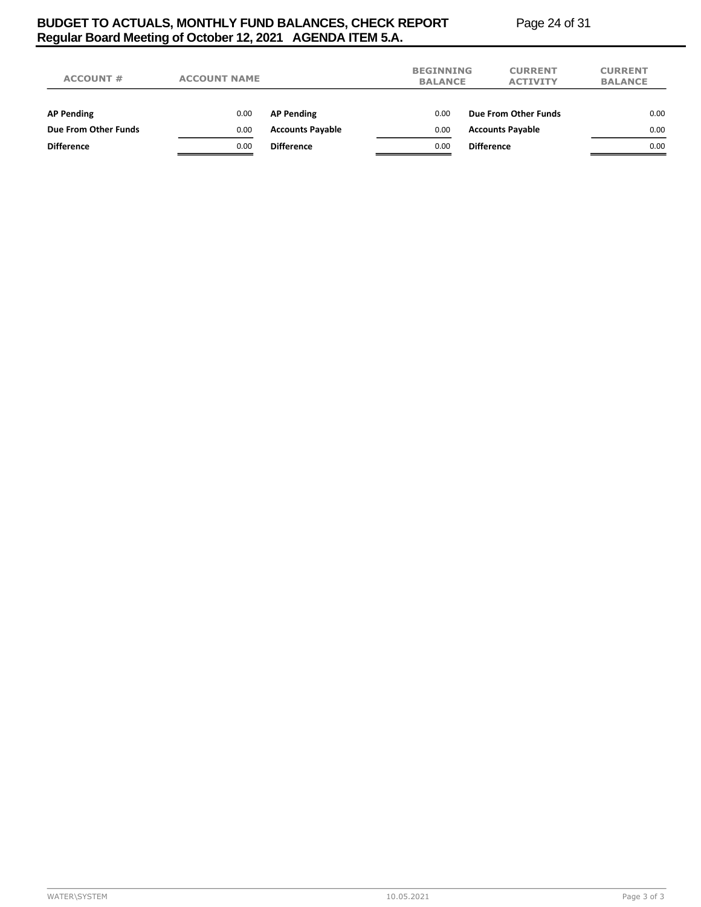# **BUDGET TO ACTUALS, MONTHLY FUND BALANCES, CHECK REPORT Page 24 of 31 Regular Board Meeting of October 12, 2021 AGENDA ITEM 5.A.**

| <b>ACCOUNT #</b>     | <b>ACCOUNT NAME</b> |                         | <b>BEGINNING</b><br><b>BALANCE</b> |                   | <b>CURRENT</b><br><b>ACTIVITY</b> | <b>CURRENT</b><br><b>BALANCE</b> |
|----------------------|---------------------|-------------------------|------------------------------------|-------------------|-----------------------------------|----------------------------------|
| <b>AP Pending</b>    | 0.00                | <b>AP Pending</b>       | 0.00                               |                   | Due From Other Funds              | 0.00                             |
| Due From Other Funds | 0.00                | <b>Accounts Payable</b> | 0.00                               |                   | <b>Accounts Payable</b>           | 0.00                             |
| <b>Difference</b>    | 0.00                | <b>Difference</b>       | 0.00                               | <b>Difference</b> |                                   | 0.00                             |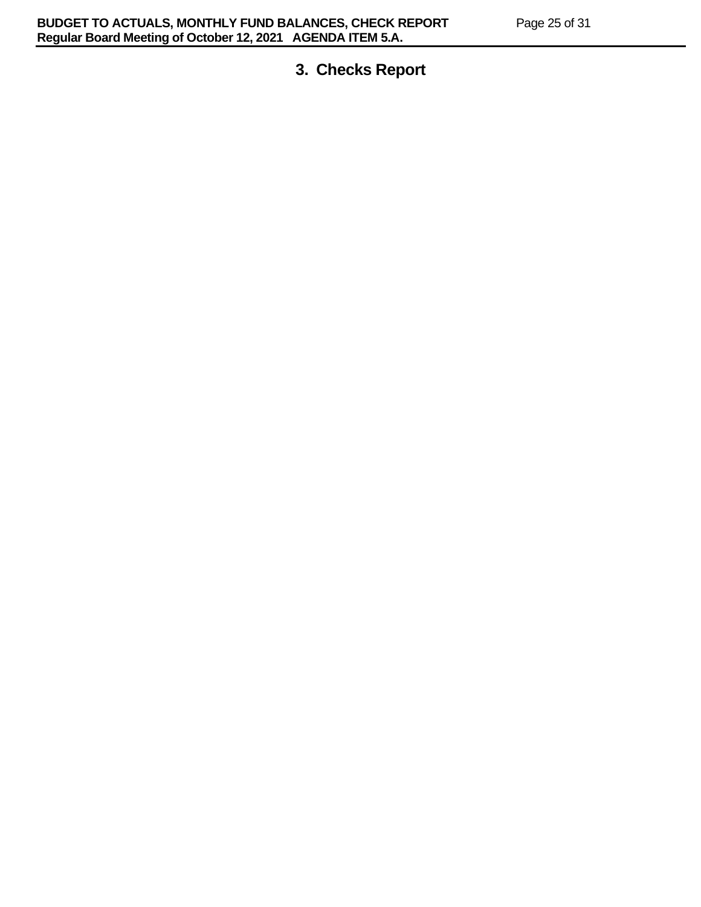# **3. Checks Report**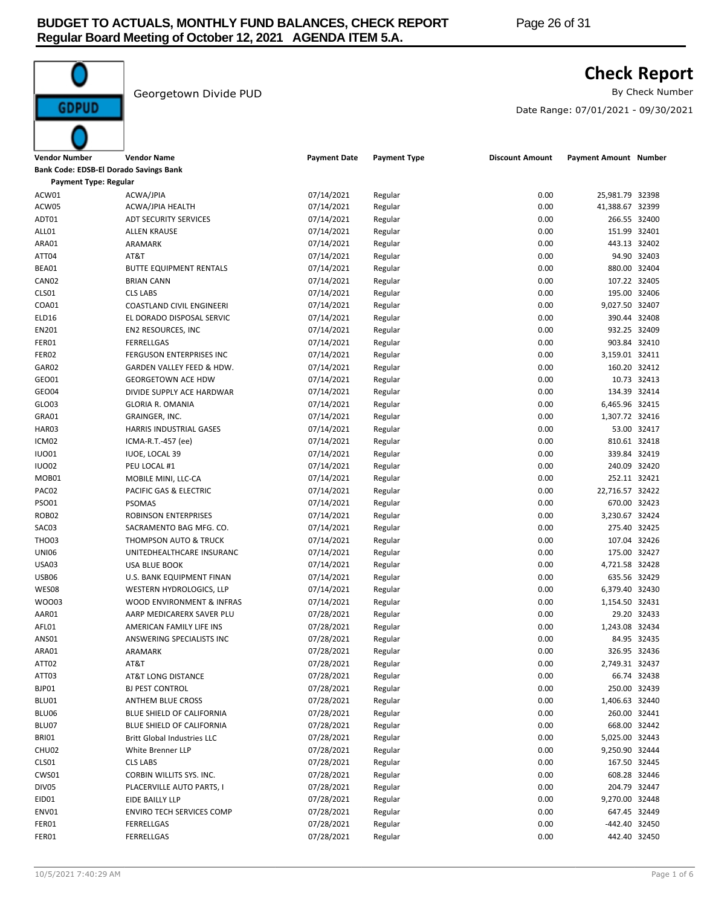

# **Check Report**

Georgetown Divide PUD and the Contract of the Check Number By Check Number

Date Range: 07/01/2021 - 09/30/2021

| Vendor Number                          | <b>Vendor Name</b>                 | <b>Payment Date</b> | <b>Payment Type</b> | <b>Discount Amount</b> | Payment Amount Number |              |
|----------------------------------------|------------------------------------|---------------------|---------------------|------------------------|-----------------------|--------------|
| Bank Code: EDSB-El Dorado Savings Bank |                                    |                     |                     |                        |                       |              |
| <b>Payment Type: Regular</b>           |                                    |                     |                     |                        |                       |              |
| ACW01                                  | ACWA/JPIA                          | 07/14/2021          | Regular             | 0.00                   | 25,981.79 32398       |              |
| ACW05                                  | ACWA/JPIA HEALTH                   | 07/14/2021          | Regular             | 0.00                   | 41,388.67 32399       |              |
| ADT01                                  | <b>ADT SECURITY SERVICES</b>       | 07/14/2021          | Regular             | 0.00                   | 266.55 32400          |              |
| ALL01                                  | <b>ALLEN KRAUSE</b>                | 07/14/2021          | Regular             | 0.00                   | 151.99 32401          |              |
| ARA01                                  | ARAMARK                            | 07/14/2021          | Regular             | 0.00                   | 443.13 32402          |              |
| ATT04                                  | AT&T                               | 07/14/2021          | Regular             | 0.00                   |                       | 94.90 32403  |
| BEA01                                  | <b>BUTTE EQUIPMENT RENTALS</b>     | 07/14/2021          | Regular             | 0.00                   | 880.00 32404          |              |
| CAN <sub>02</sub>                      | <b>BRIAN CANN</b>                  | 07/14/2021          | Regular             | 0.00                   | 107.22 32405          |              |
| CLS01                                  | <b>CLS LABS</b>                    | 07/14/2021          | Regular             | 0.00                   | 195.00 32406          |              |
| COA01                                  | COASTLAND CIVIL ENGINEERI          | 07/14/2021          | Regular             | 0.00                   | 9,027.50 32407        |              |
| ELD16                                  | EL DORADO DISPOSAL SERVIC          | 07/14/2021          | Regular             | 0.00                   | 390.44 32408          |              |
| EN201                                  | EN2 RESOURCES, INC                 | 07/14/2021          | Regular             | 0.00                   | 932.25 32409          |              |
| FER01                                  | FERRELLGAS                         | 07/14/2021          | Regular             | 0.00                   | 903.84 32410          |              |
| FER02                                  | FERGUSON ENTERPRISES INC           | 07/14/2021          | Regular             | 0.00                   | 3,159.01 32411        |              |
| GAR02                                  | GARDEN VALLEY FEED & HDW.          | 07/14/2021          | Regular             | 0.00                   | 160.20 32412          |              |
| GEO01                                  | <b>GEORGETOWN ACE HDW</b>          | 07/14/2021          | Regular             | 0.00                   |                       | 10.73 32413  |
| <b>GEO04</b>                           | DIVIDE SUPPLY ACE HARDWAR          | 07/14/2021          | Regular             | 0.00                   | 134.39 32414          |              |
| GLO03                                  | <b>GLORIA R. OMANIA</b>            | 07/14/2021          | Regular             | 0.00                   | 6,465.96 32415        |              |
| GRA01                                  | GRAINGER, INC.                     | 07/14/2021          | Regular             | 0.00                   | 1,307.72 32416        |              |
| HAR03                                  | <b>HARRIS INDUSTRIAL GASES</b>     | 07/14/2021          | Regular             | 0.00                   |                       | 53.00 32417  |
| ICM02                                  | ICMA-R.T.-457 (ee)                 | 07/14/2021          | Regular             | 0.00                   | 810.61 32418          |              |
| <b>IUO01</b>                           | IUOE, LOCAL 39                     | 07/14/2021          | Regular             | 0.00                   | 339.84 32419          |              |
| <b>IUO02</b>                           | PEU LOCAL #1                       | 07/14/2021          | Regular             | 0.00                   | 240.09 32420          |              |
| MOB01                                  | MOBILE MINI, LLC-CA                | 07/14/2021          | Regular             | 0.00                   | 252.11 32421          |              |
| PAC02                                  | PACIFIC GAS & ELECTRIC             | 07/14/2021          | Regular             | 0.00                   | 22,716.57 32422       |              |
| PSO01                                  | <b>PSOMAS</b>                      | 07/14/2021          | Regular             | 0.00                   | 670.00 32423          |              |
| ROB02                                  | ROBINSON ENTERPRISES               | 07/14/2021          | Regular             | 0.00                   | 3,230.67 32424        |              |
| SAC03                                  | SACRAMENTO BAG MFG. CO.            | 07/14/2021          | Regular             | 0.00                   | 275.40 32425          |              |
| THO03                                  | THOMPSON AUTO & TRUCK              | 07/14/2021          | Regular             | 0.00                   | 107.04 32426          |              |
| <b>UNI06</b>                           | UNITEDHEALTHCARE INSURANC          | 07/14/2021          | Regular             | 0.00                   | 175.00 32427          |              |
| <b>USA03</b>                           | USA BLUE BOOK                      | 07/14/2021          | Regular             | 0.00                   | 4,721.58 32428        |              |
| <b>USB06</b>                           | U.S. BANK EQUIPMENT FINAN          | 07/14/2021          | Regular             | 0.00                   | 635.56 32429          |              |
| WES08                                  | WESTERN HYDROLOGICS, LLP           | 07/14/2021          | Regular             | 0.00                   | 6,379.40 32430        |              |
| WOO03                                  | WOOD ENVIRONMENT & INFRAS          | 07/14/2021          | Regular             | 0.00                   | 1,154.50 32431        |              |
| AAR01                                  | AARP MEDICARERX SAVER PLU          | 07/28/2021          | Regular             | 0.00                   |                       | 29.20 32433  |
| AFL01                                  | AMERICAN FAMILY LIFE INS           | 07/28/2021          | Regular             | 0.00                   | 1,243.08 32434        |              |
| ANS01                                  | ANSWERING SPECIALISTS INC          | 07/28/2021          | Regular             | 0.00                   |                       | 84.95 32435  |
| ARA01                                  | ARAMARK                            | 07/28/2021          | Regular             | 0.00                   | 326.95 32436          |              |
| ATT02                                  | AT&T                               | 07/28/2021          | Regular             | 0.00                   | 2,749.31 32437        |              |
| ATT03                                  | <b>AT&amp;T LONG DISTANCE</b>      | 07/28/2021          | Regular             | 0.00                   |                       | 66.74 32438  |
| BJP01                                  | <b>BJ PEST CONTROL</b>             | 07/28/2021          | Regular             | 0.00                   | 250.00 32439          |              |
| BLU01                                  | <b>ANTHEM BLUE CROSS</b>           | 07/28/2021          | Regular             | 0.00                   | 1,406.63 32440        |              |
| BLU06                                  | BLUE SHIELD OF CALIFORNIA          | 07/28/2021          | Regular             | 0.00                   | 260.00 32441          |              |
| BLU07                                  | BLUE SHIELD OF CALIFORNIA          | 07/28/2021          | Regular             | 0.00                   | 668.00 32442          |              |
| BRIO1                                  | <b>Britt Global Industries LLC</b> | 07/28/2021          | Regular             | 0.00                   | 5,025.00 32443        |              |
| CHU02                                  | White Brenner LLP                  | 07/28/2021          | Regular             | 0.00                   | 9,250.90 32444        |              |
| CLS01                                  | <b>CLS LABS</b>                    | 07/28/2021          | Regular             | 0.00                   | 167.50 32445          |              |
| CWS01                                  | CORBIN WILLITS SYS. INC.           | 07/28/2021          | Regular             | 0.00                   | 608.28 32446          |              |
| DIV05                                  | PLACERVILLE AUTO PARTS, I          | 07/28/2021          | Regular             | 0.00                   | 204.79 32447          |              |
| EID01                                  | EIDE BAILLY LLP                    | 07/28/2021          | Regular             | 0.00                   | 9,270.00 32448        |              |
| ENV01                                  | ENVIRO TECH SERVICES COMP          | 07/28/2021          | Regular             | 0.00                   | 647.45 32449          |              |
| FER01                                  | FERRELLGAS                         | 07/28/2021          | Regular             | 0.00                   | -442.40 32450         |              |
| FER01                                  | FERRELLGAS                         | 07/28/2021          | Regular             | 0.00                   |                       | 442.40 32450 |

**GDPUD**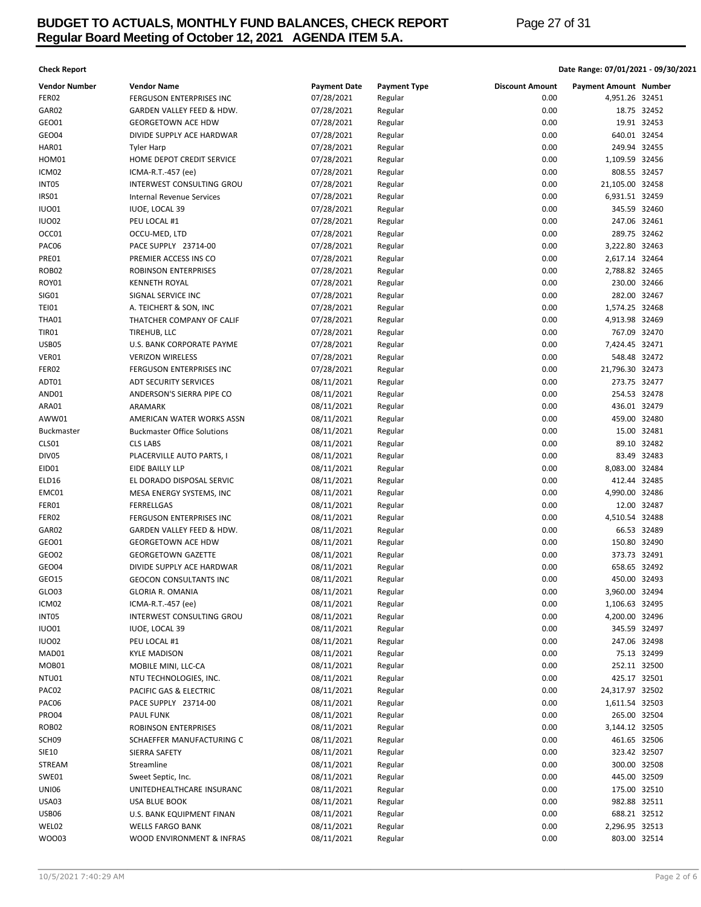# **BUDGET TO ACTUALS, MONTHLY FUND BALANCES, CHECK REPORT Page 27 of 31 Regular Board Meeting of October 12, 2021 AGENDA ITEM 5.A.**

## **Check Report Date Range: 07/01/2021 - 09/30/2021**

| <b>Vendor Number</b> | <b>Vendor Name</b>                 | <b>Payment Date</b>      | <b>Payment Type</b> | <b>Discount Amount</b> | Payment Amount Number |             |
|----------------------|------------------------------------|--------------------------|---------------------|------------------------|-----------------------|-------------|
| FER02                | FERGUSON ENTERPRISES INC           | 07/28/2021               | Regular             | 0.00                   | 4,951.26 32451        |             |
| GAR02                | GARDEN VALLEY FEED & HDW.          | 07/28/2021               | Regular             | 0.00                   |                       | 18.75 32452 |
| GEO01                | <b>GEORGETOWN ACE HDW</b>          | 07/28/2021               | Regular             | 0.00                   |                       | 19.91 32453 |
| GEO04                | DIVIDE SUPPLY ACE HARDWAR          | 07/28/2021               | Regular             | 0.00                   | 640.01 32454          |             |
| HAR01                | <b>Tyler Harp</b>                  | 07/28/2021               | Regular             | 0.00                   | 249.94 32455          |             |
| HOM01                | HOME DEPOT CREDIT SERVICE          | 07/28/2021               | Regular             | 0.00                   | 1,109.59 32456        |             |
| ICM02                | ICMA-R.T.-457 (ee)                 | 07/28/2021               | Regular             | 0.00                   | 808.55 32457          |             |
| INT05                | INTERWEST CONSULTING GROU          | 07/28/2021               | Regular             | 0.00                   | 21,105.00 32458       |             |
| IRS01                | <b>Internal Revenue Services</b>   | 07/28/2021               | Regular             | 0.00                   | 6,931.51 32459        |             |
| <b>IUO01</b>         | <b>IUOE, LOCAL 39</b>              | 07/28/2021               | Regular             | 0.00                   | 345.59 32460          |             |
| <b>IUO02</b>         | PEU LOCAL #1                       | 07/28/2021               | Regular             | 0.00                   | 247.06 32461          |             |
| OCC01                | OCCU-MED, LTD                      | 07/28/2021               | Regular             | 0.00                   | 289.75 32462          |             |
| PAC06                | PACE SUPPLY 23714-00               | 07/28/2021               | Regular             | 0.00                   | 3,222.80 32463        |             |
| PRE01                | PREMIER ACCESS INS CO              | 07/28/2021               | Regular             | 0.00                   | 2,617.14 32464        |             |
| ROB <sub>02</sub>    | ROBINSON ENTERPRISES               | 07/28/2021               | Regular             | 0.00                   | 2,788.82 32465        |             |
| ROY01                | <b>KENNETH ROYAL</b>               | 07/28/2021               | Regular             | 0.00                   | 230.00 32466          |             |
| <b>SIG01</b>         | SIGNAL SERVICE INC                 | 07/28/2021               | Regular             | 0.00                   | 282.00 32467          |             |
| <b>TEI01</b>         | A. TEICHERT & SON, INC             | 07/28/2021               | Regular             | 0.00                   | 1,574.25 32468        |             |
| <b>THA01</b>         | THATCHER COMPANY OF CALIF          | 07/28/2021               | Regular             | 0.00                   | 4,913.98 32469        |             |
| <b>TIR01</b>         | TIREHUB, LLC                       | 07/28/2021               | Regular             | 0.00                   | 767.09 32470          |             |
| USB05                | U.S. BANK CORPORATE PAYME          | 07/28/2021               | Regular             | 0.00                   | 7,424.45 32471        |             |
| VER01                | <b>VERIZON WIRELESS</b>            | 07/28/2021               | Regular             | 0.00                   | 548.48 32472          |             |
| FER02                |                                    | 07/28/2021               |                     | 0.00                   | 21,796.30 32473       |             |
|                      | FERGUSON ENTERPRISES INC           |                          | Regular             |                        |                       |             |
| ADT01                | ADT SECURITY SERVICES              | 08/11/2021               | Regular             | 0.00                   | 273.75 32477          |             |
| AND01                | ANDERSON'S SIERRA PIPE CO          | 08/11/2021               | Regular             | 0.00                   | 254.53 32478          |             |
| ARA01                | ARAMARK                            | 08/11/2021               | Regular             | 0.00                   | 436.01 32479          |             |
| AWW01                | AMERICAN WATER WORKS ASSN          | 08/11/2021               | Regular             | 0.00                   | 459.00 32480          |             |
| <b>Buckmaster</b>    | <b>Buckmaster Office Solutions</b> | 08/11/2021               | Regular             | 0.00                   |                       | 15.00 32481 |
| CLS01                | <b>CLS LABS</b>                    | 08/11/2021               | Regular             | 0.00                   |                       | 89.10 32482 |
| DIV05                | PLACERVILLE AUTO PARTS, I          | 08/11/2021               | Regular             | 0.00                   |                       | 83.49 32483 |
| EID01                | EIDE BAILLY LLP                    | 08/11/2021               | Regular             | 0.00                   | 8,083.00 32484        |             |
| ELD16                | EL DORADO DISPOSAL SERVIC          | 08/11/2021               | Regular             | 0.00                   | 412.44 32485          |             |
| EMC01                | MESA ENERGY SYSTEMS, INC           | 08/11/2021               | Regular             | 0.00                   | 4,990.00 32486        |             |
| FER01                | <b>FERRELLGAS</b>                  | 08/11/2021               | Regular             | 0.00                   | 12.00 32487           |             |
| FER02                | FERGUSON ENTERPRISES INC           | 08/11/2021               | Regular             | 0.00                   | 4,510.54 32488        |             |
| GAR02                | GARDEN VALLEY FEED & HDW.          | 08/11/2021               | Regular             | 0.00                   |                       | 66.53 32489 |
| GEO01                | <b>GEORGETOWN ACE HDW</b>          | 08/11/2021               | Regular             | 0.00                   | 150.80 32490          |             |
| GEO02                | <b>GEORGETOWN GAZETTE</b>          | 08/11/2021               | Regular             | 0.00                   | 373.73 32491          |             |
| GEO04                | DIVIDE SUPPLY ACE HARDWAR          | 08/11/2021               | Regular             | 0.00                   | 658.65 32492          |             |
| GEO15                | <b>GEOCON CONSULTANTS INC</b>      | 08/11/2021               | Regular             | 0.00                   | 450.00 32493          |             |
| GLO03                | GLORIA R. OMANIA                   | 08/11/2021               | Regular             | 0.00                   | 3,960.00 32494        |             |
| ICM02                | ICMA-R.T.-457 (ee)                 | 08/11/2021               | Regular             | 0.00                   | 1,106.63 32495        |             |
| INT05                | INTERWEST CONSULTING GROU          | 08/11/2021               | Regular             | 0.00                   | 4,200.00 32496        |             |
| <b>IUO01</b>         | <b>IUOE, LOCAL 39</b>              | 08/11/2021               | Regular             | 0.00                   | 345.59 32497          |             |
| <b>IUO02</b>         | PEU LOCAL #1                       | 08/11/2021               | Regular             | 0.00                   | 247.06 32498          |             |
| MAD01                | <b>KYLE MADISON</b>                | 08/11/2021               | Regular             | 0.00                   |                       | 75.13 32499 |
| MOB01                | MOBILE MINI, LLC-CA                | 08/11/2021               | Regular             | 0.00                   | 252.11 32500          |             |
| NTU01                | NTU TECHNOLOGIES, INC.             | 08/11/2021               | Regular             | 0.00                   | 425.17 32501          |             |
| PAC02                | PACIFIC GAS & ELECTRIC             | 08/11/2021               | Regular             | 0.00                   | 24,317.97 32502       |             |
| PAC06                | PACE SUPPLY 23714-00               | 08/11/2021               | Regular             | 0.00                   | 1,611.54 32503        |             |
| <b>PRO04</b>         | <b>PAUL FUNK</b>                   | 08/11/2021               | Regular             | 0.00                   | 265.00 32504          |             |
| ROB <sub>02</sub>    | ROBINSON ENTERPRISES               | 08/11/2021               | Regular             | 0.00                   | 3,144.12 32505        |             |
| SCH <sub>09</sub>    | SCHAEFFER MANUFACTURING C          | 08/11/2021               | Regular             | 0.00                   | 461.65 32506          |             |
| SIE10                | SIERRA SAFETY                      | 08/11/2021               | Regular             | 0.00                   | 323.42 32507          |             |
| STREAM               | Streamline                         | 08/11/2021               | Regular             | 0.00                   | 300.00 32508          |             |
| SWE01                | Sweet Septic, Inc.                 | 08/11/2021               | Regular             | 0.00                   | 445.00 32509          |             |
| <b>UNI06</b>         | UNITEDHEALTHCARE INSURANC          | 08/11/2021               | Regular             | 0.00                   | 175.00 32510          |             |
|                      |                                    |                          |                     | 0.00                   |                       |             |
| USA03                | USA BLUE BOOK                      | 08/11/2021<br>08/11/2021 | Regular             | 0.00                   | 982.88 32511          |             |
| USB06                | U.S. BANK EQUIPMENT FINAN          |                          | Regular             |                        | 688.21 32512          |             |
| WEL02                | <b>WELLS FARGO BANK</b>            | 08/11/2021               | Regular             | 0.00                   | 2,296.95 32513        |             |
| WO003                | WOOD ENVIRONMENT & INFRAS          | 08/11/2021               | Regular             | 0.00                   | 803.00 32514          |             |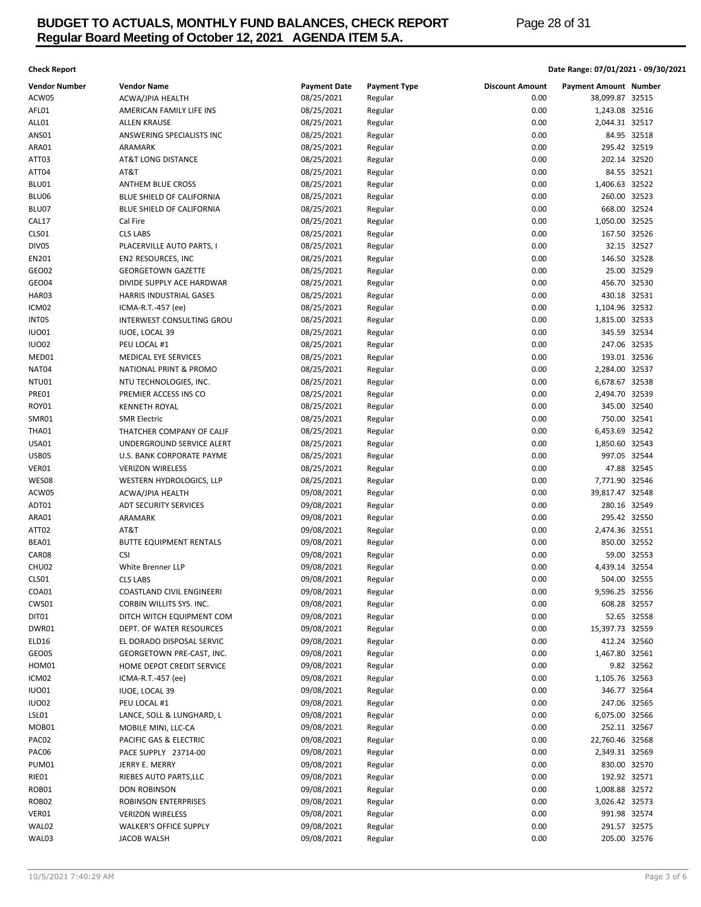# **BUDGET TO ACTUALS, MONTHLY FUND BALANCES, CHECK REPORT Page 28 of 31 Regular Board Meeting of October 12, 2021 AGENDA ITEM 5.A.**

## **Check Report Date Range: 07/01/2021 - 09/30/2021**

| <b>Vendor Number</b> | <b>Vendor Name</b>                           | <b>Payment Date</b>      | <b>Payment Type</b> | <b>Discount Amount</b> | <b>Payment Amount Number</b>   |             |
|----------------------|----------------------------------------------|--------------------------|---------------------|------------------------|--------------------------------|-------------|
| ACW05                | ACWA/JPIA HEALTH                             | 08/25/2021               | Regular             | 0.00                   | 38,099.87 32515                |             |
| AFL01                | AMERICAN FAMILY LIFE INS                     | 08/25/2021               | Regular             | 0.00                   | 1,243.08 32516                 |             |
| ALL01                | ALLEN KRAUSE                                 | 08/25/2021               | Regular             | 0.00                   | 2,044.31 32517                 |             |
| <b>ANS01</b>         | ANSWERING SPECIALISTS INC                    | 08/25/2021               | Regular             | 0.00                   |                                | 84.95 32518 |
| ARA01                | ARAMARK                                      | 08/25/2021               | Regular             | 0.00                   | 295.42 32519                   |             |
| ATT03                | AT&T LONG DISTANCE                           | 08/25/2021               | Regular             | 0.00                   | 202.14 32520                   |             |
| ATT04                | AT&T                                         | 08/25/2021               | Regular             | 0.00                   |                                | 84.55 32521 |
| BLU01                | ANTHEM BLUE CROSS                            | 08/25/2021               | Regular             | 0.00                   | 1,406.63 32522                 |             |
| BLU06                | BLUE SHIELD OF CALIFORNIA                    | 08/25/2021               | Regular             | 0.00                   | 260.00 32523                   |             |
| BLU07                | BLUE SHIELD OF CALIFORNIA                    | 08/25/2021               | Regular             | 0.00                   | 668.00 32524                   |             |
| CAL17                | Cal Fire                                     | 08/25/2021               | Regular             | 0.00                   | 1,050.00 32525                 |             |
| CLS01                | <b>CLS LABS</b>                              | 08/25/2021               | Regular             | 0.00                   | 167.50 32526                   |             |
| DIV05                | PLACERVILLE AUTO PARTS, I                    | 08/25/2021               | Regular             | 0.00                   |                                | 32.15 32527 |
| EN201                | EN2 RESOURCES, INC                           | 08/25/2021               | Regular             | 0.00                   | 146.50 32528                   |             |
| GEO02                | <b>GEORGETOWN GAZETTE</b>                    | 08/25/2021               | Regular             | 0.00                   |                                | 25.00 32529 |
| GEO04                | DIVIDE SUPPLY ACE HARDWAR                    | 08/25/2021               | Regular             | 0.00                   | 456.70 32530                   |             |
| HAR03                | HARRIS INDUSTRIAL GASES                      | 08/25/2021               | Regular             | 0.00                   | 430.18 32531                   |             |
| ICM02                | ICMA-R.T.-457 (ee)                           | 08/25/2021               | Regular             | 0.00                   | 1,104.96 32532                 |             |
| INT05                | INTERWEST CONSULTING GROU                    | 08/25/2021               | Regular             | 0.00                   | 1,815.00 32533                 |             |
| <b>IUO01</b>         | <b>IUOE, LOCAL 39</b>                        | 08/25/2021               | Regular             | 0.00                   | 345.59 32534                   |             |
| IUO02                | PEU LOCAL #1                                 | 08/25/2021               | Regular             | 0.00                   | 247.06 32535                   |             |
| MED01                | MEDICAL EYE SERVICES                         | 08/25/2021               | Regular             | 0.00                   | 193.01 32536                   |             |
| NAT04                | <b>NATIONAL PRINT &amp; PROMO</b>            | 08/25/2021               | Regular             | 0.00                   | 2,284.00 32537                 |             |
| NTU01                | NTU TECHNOLOGIES, INC.                       | 08/25/2021               | Regular             | 0.00                   | 6,678.67 32538                 |             |
| PRE01                | PREMIER ACCESS INS CO                        | 08/25/2021               | Regular             | 0.00                   | 2,494.70 32539                 |             |
| ROY01                | <b>KENNETH ROYAL</b>                         | 08/25/2021               | Regular             | 0.00                   | 345.00 32540                   |             |
| SMR01                | <b>SMR Electric</b>                          | 08/25/2021               | Regular             | 0.00                   | 750.00 32541                   |             |
| THA01                | THATCHER COMPANY OF CALIF                    | 08/25/2021               | Regular             | 0.00                   | 6,453.69 32542                 |             |
| USA01                | UNDERGROUND SERVICE ALERT                    | 08/25/2021               | Regular             | 0.00                   | 1,850.60 32543                 |             |
| USB05                | U.S. BANK CORPORATE PAYME                    | 08/25/2021               | Regular             | 0.00                   | 997.05 32544                   |             |
| VER01                | <b>VERIZON WIRELESS</b>                      | 08/25/2021               | Regular             | 0.00                   |                                | 47.88 32545 |
| WES08                | WESTERN HYDROLOGICS, LLP                     | 08/25/2021               | Regular             | 0.00                   | 7,771.90 32546                 |             |
| ACW05                | ACWA/JPIA HEALTH                             | 09/08/2021               | Regular             | 0.00                   | 39,817.47 32548                |             |
| ADT01                | <b>ADT SECURITY SERVICES</b>                 | 09/08/2021               | Regular             | 0.00                   | 280.16 32549                   |             |
| ARA01                | ARAMARK                                      | 09/08/2021               | Regular             | 0.00                   | 295.42 32550                   |             |
| ATT02                | AT&T                                         | 09/08/2021               | Regular             | 0.00<br>0.00           | 2,474.36 32551<br>850.00 32552 |             |
| BEA01<br>CAR08       | <b>BUTTE EQUIPMENT RENTALS</b>               | 09/08/2021<br>09/08/2021 | Regular             | 0.00                   |                                | 59.00 32553 |
| CHU02                | <b>CSI</b><br>White Brenner LLP              |                          | Regular             | 0.00                   | 4,439.14 32554                 |             |
|                      |                                              | 09/08/2021               | Regular             | 0.00                   |                                |             |
| CLS01<br>COA01       | <b>CLS LABS</b><br>COASTLAND CIVIL ENGINEERI | 09/08/2021<br>09/08/2021 | Regular<br>Regular  | 0.00                   | 504.00 32555<br>9,596.25 32556 |             |
| CWS01                | CORBIN WILLITS SYS. INC.                     | 09/08/2021               | Regular             | 0.00                   | 608.28 32557                   |             |
| DIT01                | DITCH WITCH EQUIPMENT COM                    | 09/08/2021               | Regular             | 0.00                   |                                | 52.65 32558 |
| DWR01                | DEPT. OF WATER RESOURCES                     | 09/08/2021               | Regular             | 0.00                   | 15,397.73 32559                |             |
| ELD16                | EL DORADO DISPOSAL SERVIC                    | 09/08/2021               | Regular             | 0.00                   | 412.24 32560                   |             |
| GEO05                | GEORGETOWN PRE-CAST, INC.                    | 09/08/2021               | Regular             | 0.00                   | 1,467.80 32561                 |             |
| HOM01                | HOME DEPOT CREDIT SERVICE                    | 09/08/2021               | Regular             | 0.00                   |                                | 9.82 32562  |
| ICM02                | ICMA-R.T.-457 (ee)                           | 09/08/2021               | Regular             | 0.00                   | 1,105.76 32563                 |             |
| <b>IUO01</b>         | <b>IUOE, LOCAL 39</b>                        | 09/08/2021               | Regular             | 0.00                   | 346.77 32564                   |             |
| IUO02                | PEU LOCAL #1                                 | 09/08/2021               | Regular             | 0.00                   | 247.06 32565                   |             |
| LSL01                | LANCE, SOLL & LUNGHARD, L                    | 09/08/2021               | Regular             | 0.00                   | 6,075.00 32566                 |             |
| MOB01                | MOBILE MINI, LLC-CA                          | 09/08/2021               | Regular             | 0.00                   | 252.11 32567                   |             |
| PAC02                | PACIFIC GAS & ELECTRIC                       | 09/08/2021               | Regular             | 0.00                   | 22,760.46 32568                |             |
| PAC06                | PACE SUPPLY 23714-00                         | 09/08/2021               | Regular             | 0.00                   | 2,349.31 32569                 |             |
| PUM01                | JERRY E. MERRY                               | 09/08/2021               | Regular             | 0.00                   | 830.00 32570                   |             |
| RIE01                | RIEBES AUTO PARTS, LLC                       | 09/08/2021               | Regular             | 0.00                   | 192.92 32571                   |             |
| ROB01                | <b>DON ROBINSON</b>                          | 09/08/2021               | Regular             | 0.00                   | 1,008.88 32572                 |             |
| ROB02                | ROBINSON ENTERPRISES                         | 09/08/2021               | Regular             | 0.00                   | 3,026.42 32573                 |             |
| VER01                | <b>VERIZON WIRELESS</b>                      | 09/08/2021               | Regular             | 0.00                   | 991.98 32574                   |             |
| WAL02                | WALKER'S OFFICE SUPPLY                       | 09/08/2021               | Regular             | 0.00                   | 291.57 32575                   |             |
| WAL03                | <b>JACOB WALSH</b>                           | 09/08/2021               | Regular             | 0.00                   | 205.00 32576                   |             |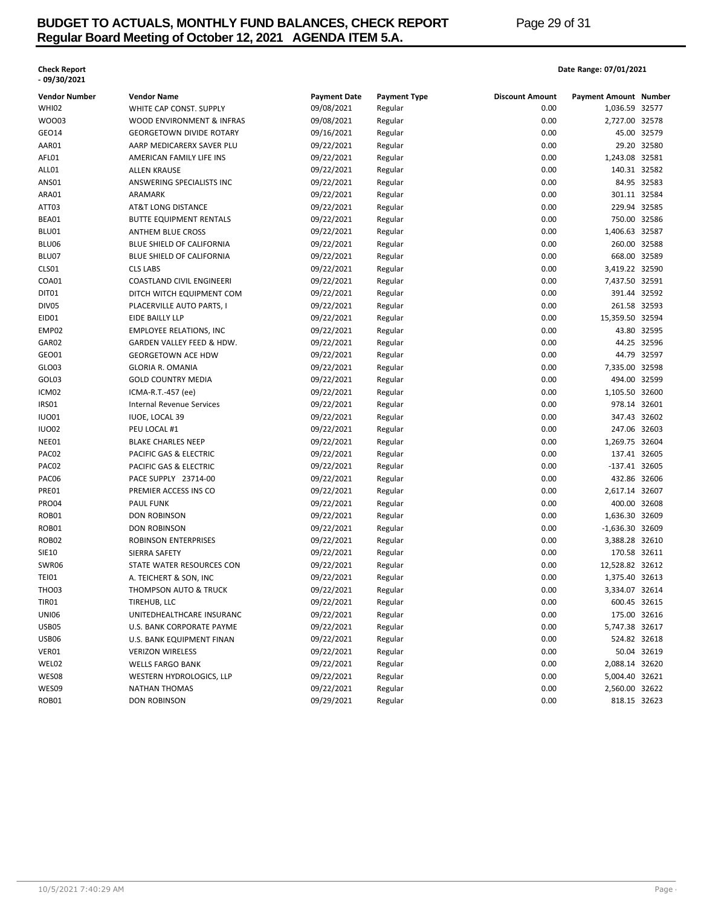# **BUDGET TO ACTUALS, MONTHLY FUND BALANCES, CHECK REPORT Page 29 of 31 Regular Board Meeting of October 12, 2021 AGENDA ITEM 5.A.**

# **- 09/30/2021**

## **Check Report Date Range: 07/01/2021**

| Vendor Number  | <b>Vendor Name</b>                               | <b>Payment Date</b>      | <b>Payment Type</b> | <b>Discount Amount</b> | <b>Payment Amount Number</b>      |              |
|----------------|--------------------------------------------------|--------------------------|---------------------|------------------------|-----------------------------------|--------------|
| <b>WHI02</b>   | WHITE CAP CONST. SUPPLY                          | 09/08/2021               | Regular             | 0.00                   | 1,036.59 32577                    |              |
| WO003          | WOOD ENVIRONMENT & INFRAS                        | 09/08/2021               | Regular             | 0.00                   | 2,727.00 32578                    |              |
| GEO14          | <b>GEORGETOWN DIVIDE ROTARY</b>                  | 09/16/2021               | Regular             | 0.00                   |                                   | 45.00 32579  |
| AAR01          | AARP MEDICARERX SAVER PLU                        | 09/22/2021               | Regular             | 0.00                   |                                   | 29.20 32580  |
| AFL01          | AMERICAN FAMILY LIFE INS                         | 09/22/2021               | Regular             | 0.00                   | 1,243.08 32581                    |              |
| ALL01          | <b>ALLEN KRAUSE</b>                              | 09/22/2021               | Regular             | 0.00                   | 140.31 32582                      |              |
| ANS01          | ANSWERING SPECIALISTS INC                        | 09/22/2021               | Regular             | 0.00                   |                                   | 84.95 32583  |
| ARA01          | ARAMARK                                          | 09/22/2021               | Regular             | 0.00                   | 301.11 32584                      |              |
| ATT03          | <b>AT&amp;T LONG DISTANCE</b>                    | 09/22/2021               | Regular             | 0.00                   | 229.94 32585                      |              |
| BEA01          | <b>BUTTE EQUIPMENT RENTALS</b>                   | 09/22/2021               | Regular             | 0.00                   | 750.00 32586                      |              |
| BLU01          | <b>ANTHEM BLUE CROSS</b>                         | 09/22/2021               | Regular             | 0.00                   | 1,406.63 32587                    |              |
| BLU06          | BLUE SHIELD OF CALIFORNIA                        | 09/22/2021               | Regular             | 0.00                   | 260.00 32588                      |              |
| BLU07          | BLUE SHIELD OF CALIFORNIA                        | 09/22/2021               | Regular             | 0.00                   | 668.00 32589                      |              |
| CLS01          | <b>CLS LABS</b>                                  | 09/22/2021               | Regular             | 0.00                   | 3,419.22 32590                    |              |
| COA01          | COASTLAND CIVIL ENGINEERI                        | 09/22/2021               | Regular             | 0.00                   | 7,437.50 32591                    |              |
| DIT01          | DITCH WITCH EQUIPMENT COM                        | 09/22/2021               | Regular             | 0.00                   | 391.44 32592                      |              |
| DIV05          | PLACERVILLE AUTO PARTS, I                        | 09/22/2021               | Regular             | 0.00                   | 261.58 32593                      |              |
| EID01          | EIDE BAILLY LLP                                  | 09/22/2021               | Regular             | 0.00                   | 15,359.50 32594                   |              |
| EMP02          | <b>EMPLOYEE RELATIONS, INC</b>                   | 09/22/2021               | Regular             | 0.00                   |                                   | 43.80 32595  |
| GAR02          | GARDEN VALLEY FEED & HDW.                        | 09/22/2021               | Regular             | 0.00                   |                                   | 44.25 32596  |
| GEO01          | <b>GEORGETOWN ACE HDW</b>                        | 09/22/2021               | Regular             | 0.00                   |                                   | 44.79 32597  |
| GLO03          | <b>GLORIA R. OMANIA</b>                          | 09/22/2021               | Regular             | 0.00                   | 7,335.00 32598                    |              |
| GOL03          | <b>GOLD COUNTRY MEDIA</b>                        | 09/22/2021               | Regular             | 0.00                   | 494.00 32599                      |              |
| ICM02          | ICMA-R.T.-457 (ee)                               | 09/22/2021               | Regular             | 0.00                   | 1,105.50 32600                    |              |
| IRSO1          | <b>Internal Revenue Services</b>                 | 09/22/2021               | Regular             | 0.00                   | 978.14 32601                      |              |
| <b>IUO01</b>   | <b>IUOE, LOCAL 39</b>                            | 09/22/2021               | Regular             | 0.00                   | 347.43 32602                      |              |
| <b>IUO02</b>   | PEU LOCAL #1                                     | 09/22/2021               | Regular             | 0.00                   | 247.06 32603                      |              |
| NEE01          | <b>BLAKE CHARLES NEEP</b>                        | 09/22/2021               | Regular             | 0.00                   | 1,269.75 32604                    |              |
| PAC02          | PACIFIC GAS & ELECTRIC                           | 09/22/2021               | Regular             | 0.00                   | 137.41 32605                      |              |
| PAC02          | PACIFIC GAS & ELECTRIC                           | 09/22/2021               | Regular             | 0.00                   | -137.41 32605                     |              |
| PAC06          | PACE SUPPLY 23714-00                             | 09/22/2021               | Regular             | 0.00                   | 432.86 32606                      |              |
| PRE01          | PREMIER ACCESS INS CO                            | 09/22/2021               | Regular             | 0.00                   | 2,617.14 32607                    |              |
| <b>PRO04</b>   | <b>PAUL FUNK</b>                                 | 09/22/2021               | Regular             | 0.00                   | 400.00 32608                      |              |
| ROB01          | DON ROBINSON                                     | 09/22/2021               | Regular             | 0.00                   | 1,636.30 32609                    |              |
| ROB01          | DON ROBINSON                                     | 09/22/2021               | Regular             | 0.00                   | -1,636.30 32609                   |              |
| <b>ROB02</b>   | ROBINSON ENTERPRISES                             | 09/22/2021               | Regular             | 0.00                   | 3,388.28 32610                    |              |
| SIE10          | SIERRA SAFETY                                    | 09/22/2021               | Regular             | 0.00                   | 170.58 32611                      |              |
|                | STATE WATER RESOURCES CON                        |                          |                     | 0.00                   |                                   |              |
| SWR06          |                                                  | 09/22/2021<br>09/22/2021 | Regular             | 0.00                   | 12,528.82 32612<br>1,375.40 32613 |              |
| TEI01<br>THO03 | A. TEICHERT & SON, INC                           | 09/22/2021               | Regular             | 0.00                   | 3,334.07 32614                    |              |
| TIR01          | <b>THOMPSON AUTO &amp; TRUCK</b><br>TIREHUB. LLC |                          | Regular             | 0.00                   | 600.45 32615                      |              |
|                |                                                  | 09/22/2021               | Regular             |                        |                                   |              |
| UNI06          | UNITEDHEALTHCARE INSURANC                        | 09/22/2021               | Regular             | 0.00                   | 175.00 32616                      |              |
| USB05          | U.S. BANK CORPORATE PAYME                        | 09/22/2021               | Regular             | 0.00                   | 5,747.38 32617                    |              |
| USB06          | U.S. BANK EQUIPMENT FINAN                        | 09/22/2021               | Regular             | 0.00                   |                                   | 524.82 32618 |
| VER01          | <b>VERIZON WIRELESS</b>                          | 09/22/2021               | Regular             | 0.00                   |                                   | 50.04 32619  |
| WEL02          | <b>WELLS FARGO BANK</b>                          | 09/22/2021               | Regular             | 0.00                   | 2,088.14 32620                    |              |
| WES08          | WESTERN HYDROLOGICS, LLP                         | 09/22/2021               | Regular             | 0.00                   | 5,004.40 32621                    |              |
| WES09          | <b>NATHAN THOMAS</b>                             | 09/22/2021               | Regular             | 0.00                   | 2,560.00 32622                    |              |
| ROB01          | <b>DON ROBINSON</b>                              | 09/29/2021               | Regular             | 0.00                   | 818.15 32623                      |              |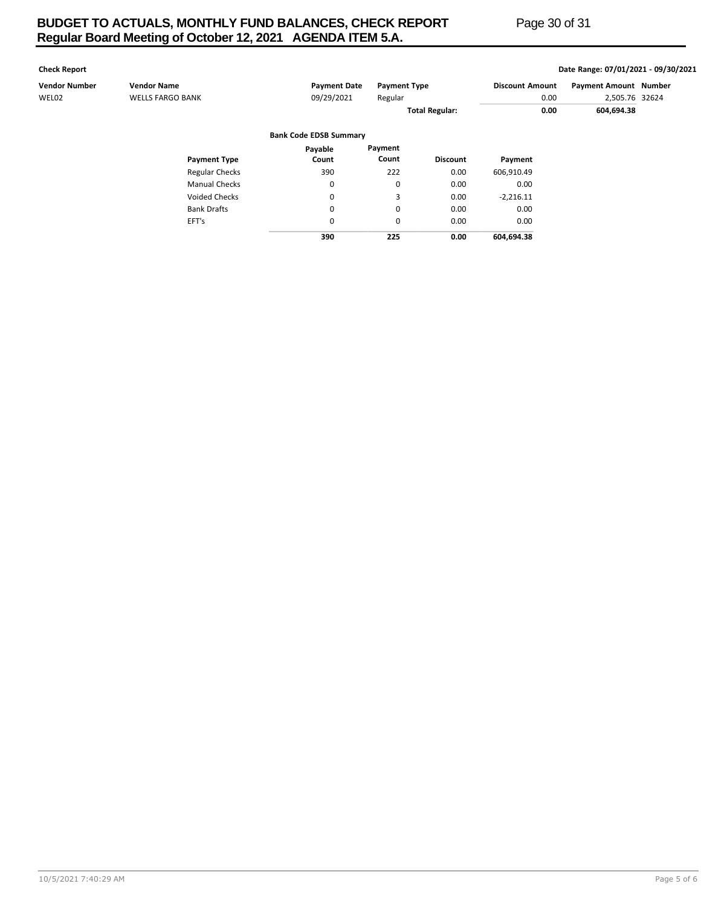# **BUDGET TO ACTUALS, MONTHLY FUND BALANCES, CHECK REPORT Page 30 of 31 Regular Board Meeting of October 12, 2021 AGENDA ITEM 5.A.**

**Check Report Date Range: 07/01/2021 - 09/30/2021**

| Vendor Number | <b>Vendor Name</b>      | <b>Payment Date</b>           | <b>Payment Type</b>   |                 | <b>Discount Amount</b> |      | <b>Payment Amount Number</b> |  |
|---------------|-------------------------|-------------------------------|-----------------------|-----------------|------------------------|------|------------------------------|--|
| WEL02         | <b>WELLS FARGO BANK</b> | 09/29/2021                    | Regular               |                 |                        | 0.00 | 2,505.76 32624               |  |
|               |                         |                               | <b>Total Regular:</b> |                 | 0.00                   |      | 604,694.38                   |  |
|               |                         | <b>Bank Code EDSB Summary</b> |                       |                 |                        |      |                              |  |
|               |                         | Payable                       | Payment               |                 |                        |      |                              |  |
|               | <b>Payment Type</b>     | Count                         | Count                 | <b>Discount</b> | Payment                |      |                              |  |
|               | <b>Regular Checks</b>   | 390                           | 222                   | 0.00            | 606,910.49             |      |                              |  |
|               | <b>Manual Checks</b>    | 0                             | 0                     | 0.00            | 0.00                   |      |                              |  |
|               | <b>Voided Checks</b>    | $\mathbf 0$                   | 3                     | 0.00            | $-2,216.11$            |      |                              |  |
|               | <b>Bank Drafts</b>      | $\mathbf 0$                   | 0                     | 0.00            | 0.00                   |      |                              |  |
|               | EFT's                   | $\mathbf 0$                   | 0                     | 0.00            | 0.00                   |      |                              |  |
|               |                         | 390                           | 225                   | 0.00            | 604,694.38             |      |                              |  |